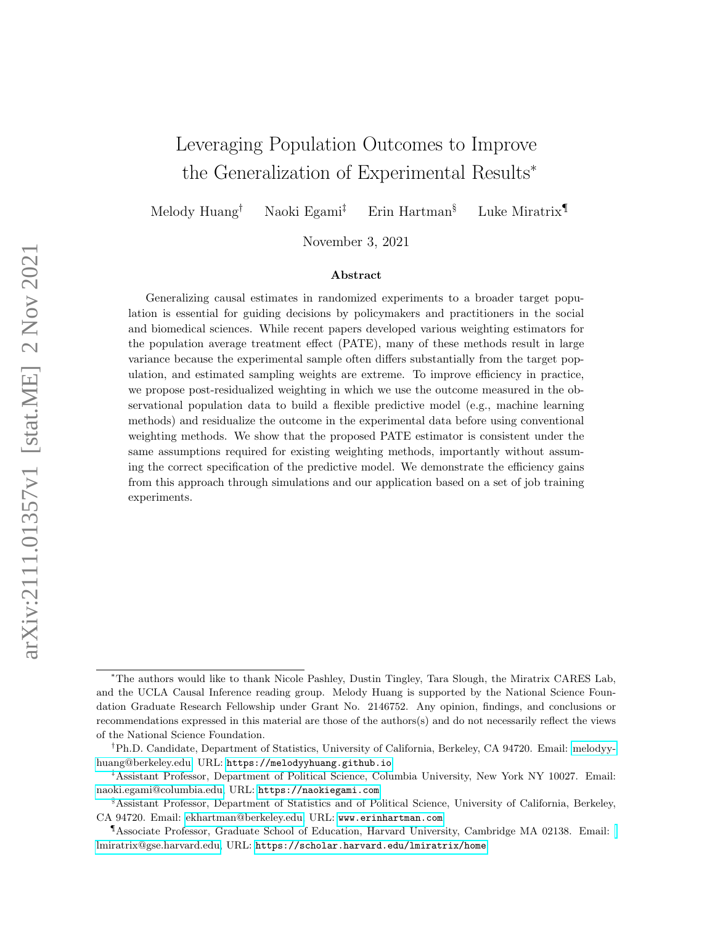# <span id="page-0-0"></span>Leveraging Population Outcomes to Improve the Generalization of Experimental Results<sup>∗</sup>

Melody Huang† Naoki Egami‡ Erin Hartman§ Luke Miratrix¶

November 3, 2021

#### Abstract

Generalizing causal estimates in randomized experiments to a broader target population is essential for guiding decisions by policymakers and practitioners in the social and biomedical sciences. While recent papers developed various weighting estimators for the population average treatment effect (PATE), many of these methods result in large variance because the experimental sample often differs substantially from the target population, and estimated sampling weights are extreme. To improve efficiency in practice, we propose post-residualized weighting in which we use the outcome measured in the observational population data to build a flexible predictive model (e.g., machine learning methods) and residualize the outcome in the experimental data before using conventional weighting methods. We show that the proposed PATE estimator is consistent under the same assumptions required for existing weighting methods, importantly without assuming the correct specification of the predictive model. We demonstrate the efficiency gains from this approach through simulations and our application based on a set of job training experiments.

<sup>∗</sup>The authors would like to thank Nicole Pashley, Dustin Tingley, Tara Slough, the Miratrix CARES Lab, and the UCLA Causal Inference reading group. Melody Huang is supported by the National Science Foundation Graduate Research Fellowship under Grant No. 2146752. Any opinion, findings, and conclusions or recommendations expressed in this material are those of the authors(s) and do not necessarily reflect the views of the National Science Foundation.

<sup>†</sup>Ph.D. Candidate, Department of Statistics, University of California, Berkeley, CA 94720. Email: [melodyy](mailto:melodyyhuang@berkeley.edu)[huang@berkeley.edu,](mailto:melodyyhuang@berkeley.edu) URL: <https://melodyyhuang.github.io>

<sup>‡</sup>Assistant Professor, Department of Political Science, Columbia University, New York NY 10027. Email: [naoki.egami@columbia.edu,](mailto:naoki.egami@columbia.edu) URL: <https://naokiegami.com>

<sup>§</sup>Assistant Professor, Department of Statistics and of Political Science, University of California, Berkeley, CA 94720. Email: [ekhartman@berkeley.edu,](mailto:ekhartman@berkeley.edu) URL: <www.erinhartman.com>

<sup>¶</sup>Associate Professor, Graduate School of Education, Harvard University, Cambridge MA 02138. Email: [lmiratrix@gse.harvard.edu,](mailto:lmiratrix@gse.harvard.edu) URL: <https://scholar.harvard.edu/lmiratrix/home>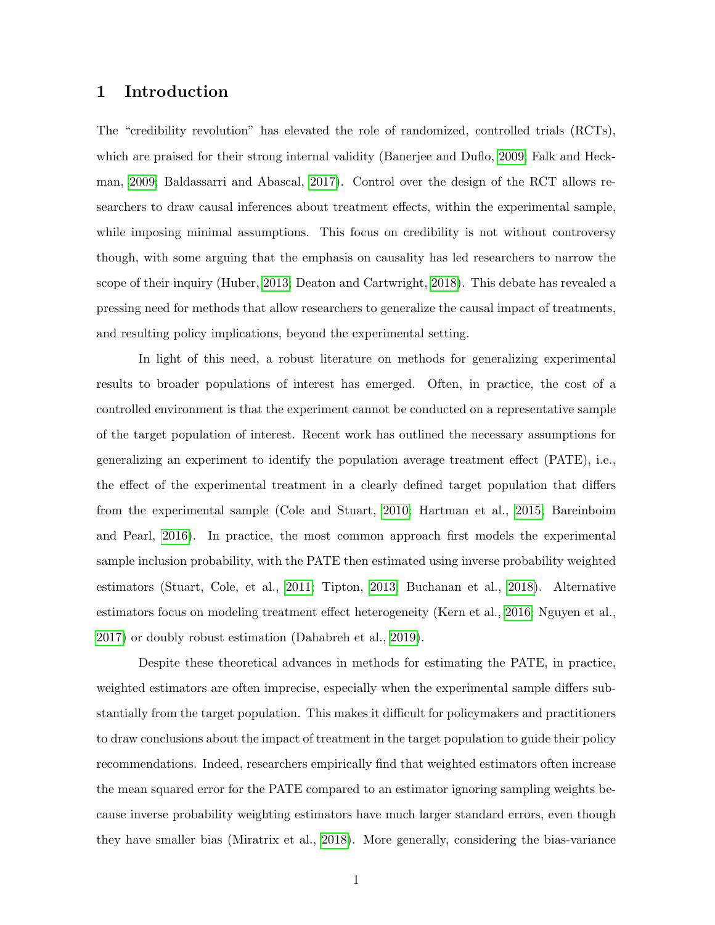### 1 Introduction

The "credibility revolution" has elevated the role of randomized, controlled trials (RCTs), which are praised for their strong internal validity (Banerjee and Duflo, [2009;](#page-36-0) Falk and Heckman, [2009;](#page-37-0) Baldassarri and Abascal, [2017\)](#page-36-1). Control over the design of the RCT allows researchers to draw causal inferences about treatment effects, within the experimental sample, while imposing minimal assumptions. This focus on credibility is not without controversy though, with some arguing that the emphasis on causality has led researchers to narrow the scope of their inquiry (Huber, [2013;](#page-38-0) Deaton and Cartwright, [2018\)](#page-37-1). This debate has revealed a pressing need for methods that allow researchers to generalize the causal impact of treatments, and resulting policy implications, beyond the experimental setting.

In light of this need, a robust literature on methods for generalizing experimental results to broader populations of interest has emerged. Often, in practice, the cost of a controlled environment is that the experiment cannot be conducted on a representative sample of the target population of interest. Recent work has outlined the necessary assumptions for generalizing an experiment to identify the population average treatment effect (PATE), i.e., the effect of the experimental treatment in a clearly defined target population that differs from the experimental sample (Cole and Stuart, [2010;](#page-37-2) Hartman et al., [2015;](#page-38-1) Bareinboim and Pearl, [2016\)](#page-36-2). In practice, the most common approach first models the experimental sample inclusion probability, with the PATE then estimated using inverse probability weighted estimators (Stuart, Cole, et al., [2011;](#page-40-0) Tipton, [2013;](#page-40-1) Buchanan et al., [2018\)](#page-36-3). Alternative estimators focus on modeling treatment effect heterogeneity (Kern et al., [2016;](#page-38-2) Nguyen et al., [2017\)](#page-39-0) or doubly robust estimation (Dahabreh et al., [2019\)](#page-37-3).

Despite these theoretical advances in methods for estimating the PATE, in practice, weighted estimators are often imprecise, especially when the experimental sample differs substantially from the target population. This makes it difficult for policymakers and practitioners to draw conclusions about the impact of treatment in the target population to guide their policy recommendations. Indeed, researchers empirically find that weighted estimators often increase the mean squared error for the PATE compared to an estimator ignoring sampling weights because inverse probability weighting estimators have much larger standard errors, even though they have smaller bias (Miratrix et al., [2018\)](#page-39-1). More generally, considering the bias-variance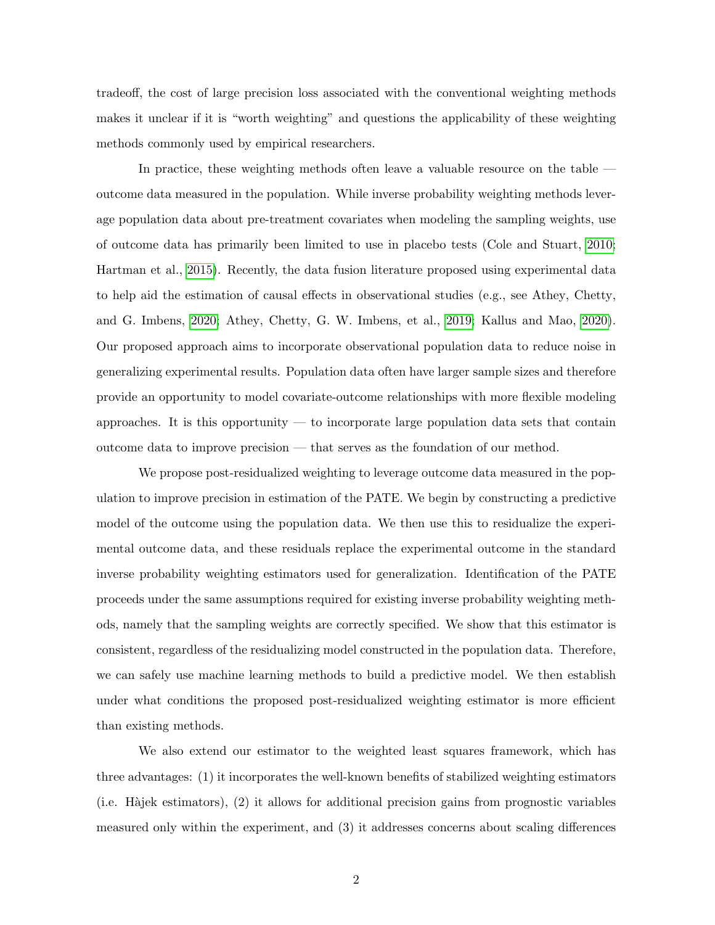tradeoff, the cost of large precision loss associated with the conventional weighting methods makes it unclear if it is "worth weighting" and questions the applicability of these weighting methods commonly used by empirical researchers.

In practice, these weighting methods often leave a valuable resource on the table outcome data measured in the population. While inverse probability weighting methods leverage population data about pre-treatment covariates when modeling the sampling weights, use of outcome data has primarily been limited to use in placebo tests (Cole and Stuart, [2010;](#page-37-2) Hartman et al., [2015\)](#page-38-1). Recently, the data fusion literature proposed using experimental data to help aid the estimation of causal effects in observational studies (e.g., see Athey, Chetty, and G. Imbens, [2020;](#page-36-4) Athey, Chetty, G. W. Imbens, et al., [2019;](#page-36-5) Kallus and Mao, [2020\)](#page-38-3). Our proposed approach aims to incorporate observational population data to reduce noise in generalizing experimental results. Population data often have larger sample sizes and therefore provide an opportunity to model covariate-outcome relationships with more flexible modeling approaches. It is this opportunity — to incorporate large population data sets that contain outcome data to improve precision — that serves as the foundation of our method.

We propose post-residualized weighting to leverage outcome data measured in the population to improve precision in estimation of the PATE. We begin by constructing a predictive model of the outcome using the population data. We then use this to residualize the experimental outcome data, and these residuals replace the experimental outcome in the standard inverse probability weighting estimators used for generalization. Identification of the PATE proceeds under the same assumptions required for existing inverse probability weighting methods, namely that the sampling weights are correctly specified. We show that this estimator is consistent, regardless of the residualizing model constructed in the population data. Therefore, we can safely use machine learning methods to build a predictive model. We then establish under what conditions the proposed post-residualized weighting estimator is more efficient than existing methods.

We also extend our estimator to the weighted least squares framework, which has three advantages: (1) it incorporates the well-known benefits of stabilized weighting estimators  $(i.e.$  Hajek estimators),  $(2)$  it allows for additional precision gains from prognostic variables measured only within the experiment, and (3) it addresses concerns about scaling differences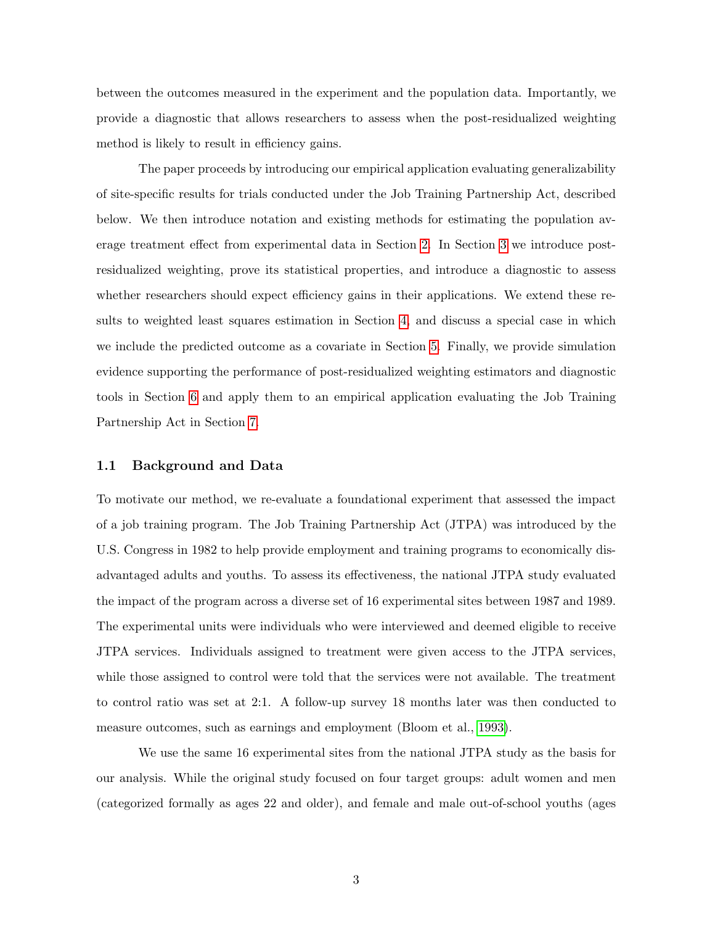between the outcomes measured in the experiment and the population data. Importantly, we provide a diagnostic that allows researchers to assess when the post-residualized weighting method is likely to result in efficiency gains.

The paper proceeds by introducing our empirical application evaluating generalizability of site-specific results for trials conducted under the Job Training Partnership Act, described below. We then introduce notation and existing methods for estimating the population average treatment effect from experimental data in Section [2.](#page-4-0) In Section [3](#page-8-0) we introduce postresidualized weighting, prove its statistical properties, and introduce a diagnostic to assess whether researchers should expect efficiency gains in their applications. We extend these results to weighted least squares estimation in Section [4,](#page-16-0) and discuss a special case in which we include the predicted outcome as a covariate in Section [5.](#page-21-0) Finally, we provide simulation evidence supporting the performance of post-residualized weighting estimators and diagnostic tools in Section [6](#page-26-0) and apply them to an empirical application evaluating the Job Training Partnership Act in Section [7.](#page-30-0)

### 1.1 Background and Data

To motivate our method, we re-evaluate a foundational experiment that assessed the impact of a job training program. The Job Training Partnership Act (JTPA) was introduced by the U.S. Congress in 1982 to help provide employment and training programs to economically disadvantaged adults and youths. To assess its effectiveness, the national JTPA study evaluated the impact of the program across a diverse set of 16 experimental sites between 1987 and 1989. The experimental units were individuals who were interviewed and deemed eligible to receive JTPA services. Individuals assigned to treatment were given access to the JTPA services, while those assigned to control were told that the services were not available. The treatment to control ratio was set at 2:1. A follow-up survey 18 months later was then conducted to measure outcomes, such as earnings and employment (Bloom et al., [1993\)](#page-36-6).

We use the same 16 experimental sites from the national JTPA study as the basis for our analysis. While the original study focused on four target groups: adult women and men (categorized formally as ages 22 and older), and female and male out-of-school youths (ages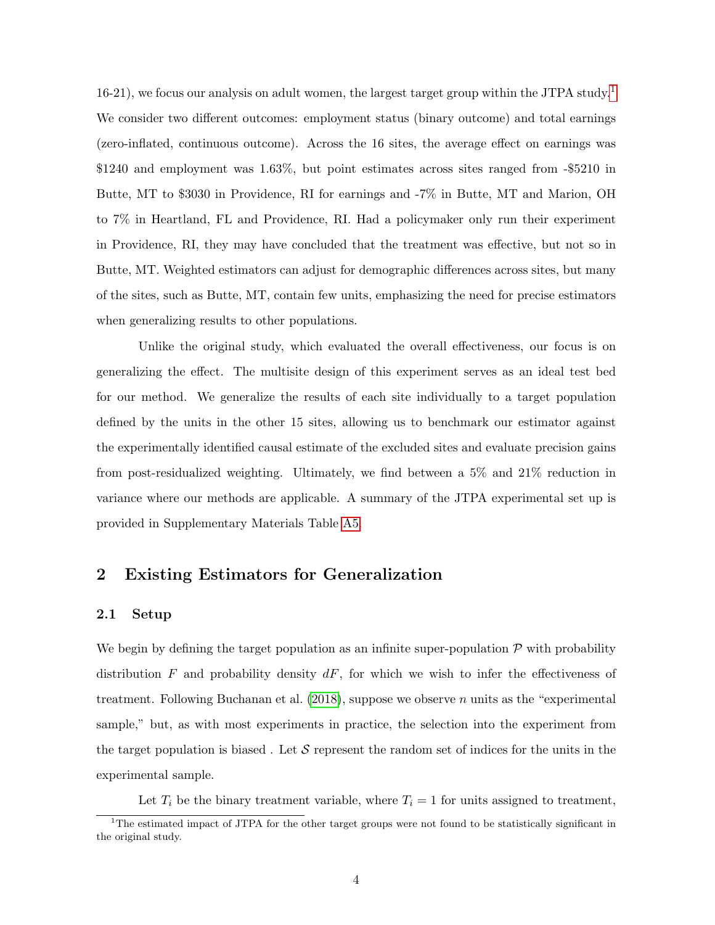[1](#page-0-0)6-21), we focus our analysis on adult women, the largest target group within the JTPA study.<sup>1</sup> We consider two different outcomes: employment status (binary outcome) and total earnings (zero-inflated, continuous outcome). Across the 16 sites, the average effect on earnings was \$1240 and employment was 1.63%, but point estimates across sites ranged from -\$5210 in Butte, MT to \$3030 in Providence, RI for earnings and -7% in Butte, MT and Marion, OH to 7% in Heartland, FL and Providence, RI. Had a policymaker only run their experiment in Providence, RI, they may have concluded that the treatment was effective, but not so in Butte, MT. Weighted estimators can adjust for demographic differences across sites, but many of the sites, such as Butte, MT, contain few units, emphasizing the need for precise estimators when generalizing results to other populations.

Unlike the original study, which evaluated the overall effectiveness, our focus is on generalizing the effect. The multisite design of this experiment serves as an ideal test bed for our method. We generalize the results of each site individually to a target population defined by the units in the other 15 sites, allowing us to benchmark our estimator against the experimentally identified causal estimate of the excluded sites and evaluate precision gains from post-residualized weighting. Ultimately, we find between a 5% and 21% reduction in variance where our methods are applicable. A summary of the JTPA experimental set up is provided in Supplementary Materials Table [A5.](#page-64-0)

# <span id="page-4-0"></span>2 Existing Estimators for Generalization

### 2.1 Setup

We begin by defining the target population as an infinite super-population  $\mathcal P$  with probability distribution  $F$  and probability density  $dF$ , for which we wish to infer the effectiveness of treatment. Following Buchanan et al.  $(2018)$ , suppose we observe n units as the "experimental" sample," but, as with most experiments in practice, the selection into the experiment from the target population is biased. Let  $\mathcal S$  represent the random set of indices for the units in the experimental sample.

Let  $T_i$  be the binary treatment variable, where  $T_i = 1$  for units assigned to treatment,

<sup>&</sup>lt;sup>1</sup>The estimated impact of JTPA for the other target groups were not found to be statistically significant in the original study.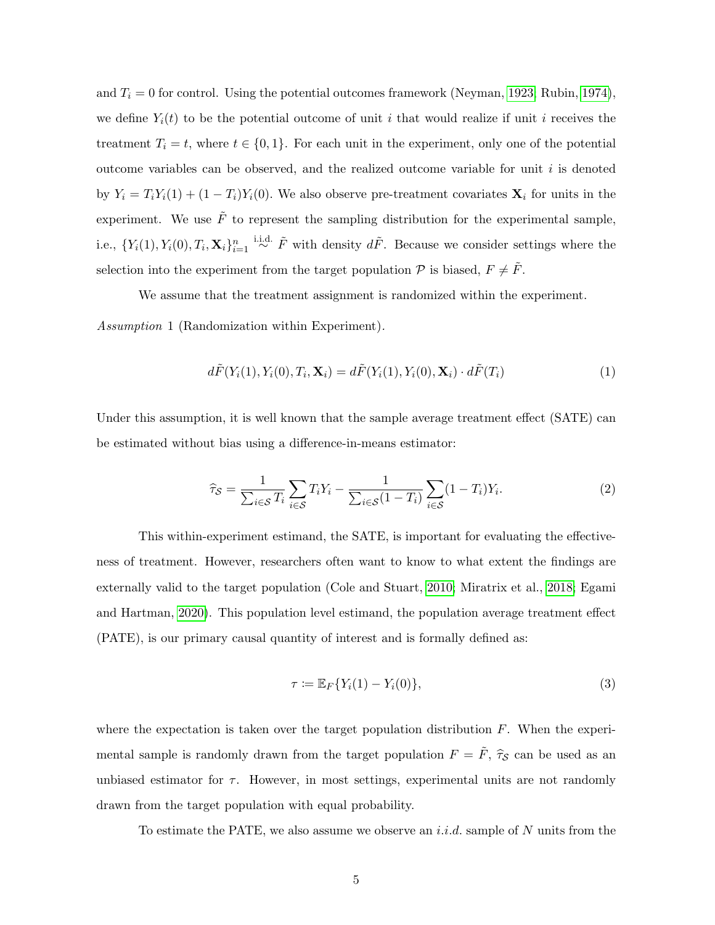and  $T_i = 0$  for control. Using the potential outcomes framework (Neyman, [1923;](#page-39-2) Rubin, [1974\)](#page-39-3), we define  $Y_i(t)$  to be the potential outcome of unit i that would realize if unit i receives the treatment  $T_i = t$ , where  $t \in \{0, 1\}$ . For each unit in the experiment, only one of the potential outcome variables can be observed, and the realized outcome variable for unit  $i$  is denoted by  $Y_i = T_i Y_i(1) + (1 - T_i) Y_i(0)$ . We also observe pre-treatment covariates  $\mathbf{X}_i$  for units in the experiment. We use  $\tilde{F}$  to represent the sampling distribution for the experimental sample, i.e.,  $\{Y_i(1), Y_i(0), T_i, \mathbf{X}_i\}_{i=1}^n \stackrel{\text{i.i.d.}}{\sim} \tilde{F}$  with density  $d\tilde{F}$ . Because we consider settings where the selection into the experiment from the target population  $P$  is biased,  $F \neq \tilde{F}$ .

We assume that the treatment assignment is randomized within the experiment.

<span id="page-5-0"></span>Assumption 1 (Randomization within Experiment).

$$
d\tilde{F}(Y_i(1), Y_i(0), T_i, \mathbf{X}_i) = d\tilde{F}(Y_i(1), Y_i(0), \mathbf{X}_i) \cdot d\tilde{F}(T_i)
$$
\n(1)

Under this assumption, it is well known that the sample average treatment effect (SATE) can be estimated without bias using a difference-in-means estimator:

$$
\widehat{\tau}_{\mathcal{S}} = \frac{1}{\sum_{i \in \mathcal{S}} T_i} \sum_{i \in \mathcal{S}} T_i Y_i - \frac{1}{\sum_{i \in \mathcal{S}} (1 - T_i)} \sum_{i \in \mathcal{S}} (1 - T_i) Y_i.
$$
\n(2)

This within-experiment estimand, the SATE, is important for evaluating the effectiveness of treatment. However, researchers often want to know to what extent the findings are externally valid to the target population (Cole and Stuart, [2010;](#page-37-2) Miratrix et al., [2018;](#page-39-1) Egami and Hartman, [2020\)](#page-37-4). This population level estimand, the population average treatment effect (PATE), is our primary causal quantity of interest and is formally defined as:

$$
\tau \coloneqq \mathbb{E}_F \{ Y_i(1) - Y_i(0) \},\tag{3}
$$

where the expectation is taken over the target population distribution  $F$ . When the experimental sample is randomly drawn from the target population  $F = \tilde{F}$ ,  $\hat{\tau}_{\mathcal{S}}$  can be used as an unbiased estimator for  $\tau$ . However, in most settings, experimental units are not randomly drawn from the target population with equal probability.

To estimate the PATE, we also assume we observe an *i.i.d.* sample of N units from the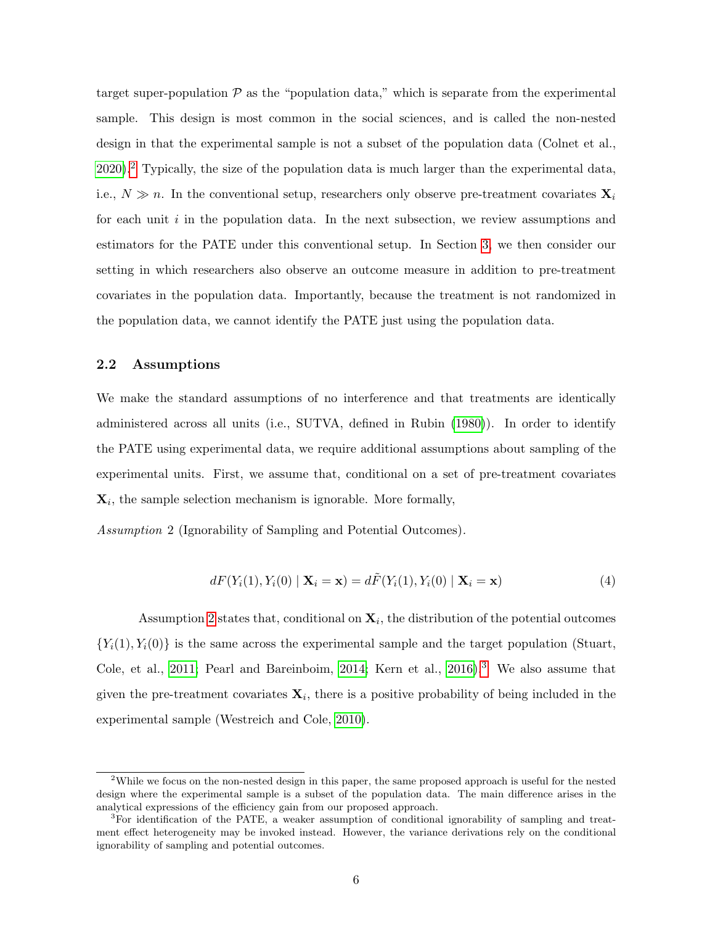target super-population  $P$  as the "population data," which is separate from the experimental sample. This design is most common in the social sciences, and is called the non-nested design in that the experimental sample is not a subset of the population data (Colnet et al., [2020\)](#page-37-5).[2](#page-0-0) Typically, the size of the population data is much larger than the experimental data, i.e.,  $N \gg n$ . In the conventional setup, researchers only observe pre-treatment covariates  $\mathbf{X}_i$ for each unit  $i$  in the population data. In the next subsection, we review assumptions and estimators for the PATE under this conventional setup. In Section [3,](#page-8-0) we then consider our setting in which researchers also observe an outcome measure in addition to pre-treatment covariates in the population data. Importantly, because the treatment is not randomized in the population data, we cannot identify the PATE just using the population data.

### 2.2 Assumptions

We make the standard assumptions of no interference and that treatments are identically administered across all units (i.e., SUTVA, defined in Rubin [\(1980\)](#page-39-4)). In order to identify the PATE using experimental data, we require additional assumptions about sampling of the experimental units. First, we assume that, conditional on a set of pre-treatment covariates  $\mathbf{X}_i$ , the sample selection mechanism is ignorable. More formally,

<span id="page-6-0"></span>Assumption 2 (Ignorability of Sampling and Potential Outcomes).

$$
dF(Y_i(1), Y_i(0) | \mathbf{X}_i = \mathbf{x}) = d\tilde{F}(Y_i(1), Y_i(0) | \mathbf{X}_i = \mathbf{x})
$$
\n(4)

Assumption [2](#page-6-0) states that, conditional on  $\mathbf{X}_i$ , the distribution of the potential outcomes  ${Y_i(1), Y_i(0)}$  is the same across the experimental sample and the target population (Stuart, Cole, et al., [2011;](#page-40-0) Pearl and Bareinboim, [2014;](#page-39-5) Kern et al., [2016\)](#page-38-2).<sup>[3](#page-0-0)</sup> We also assume that given the pre-treatment covariates  $\mathbf{X}_i$ , there is a positive probability of being included in the experimental sample (Westreich and Cole, [2010\)](#page-40-2).

<sup>2</sup>While we focus on the non-nested design in this paper, the same proposed approach is useful for the nested design where the experimental sample is a subset of the population data. The main difference arises in the analytical expressions of the efficiency gain from our proposed approach.

<sup>3</sup>For identification of the PATE, a weaker assumption of conditional ignorability of sampling and treatment effect heterogeneity may be invoked instead. However, the variance derivations rely on the conditional ignorability of sampling and potential outcomes.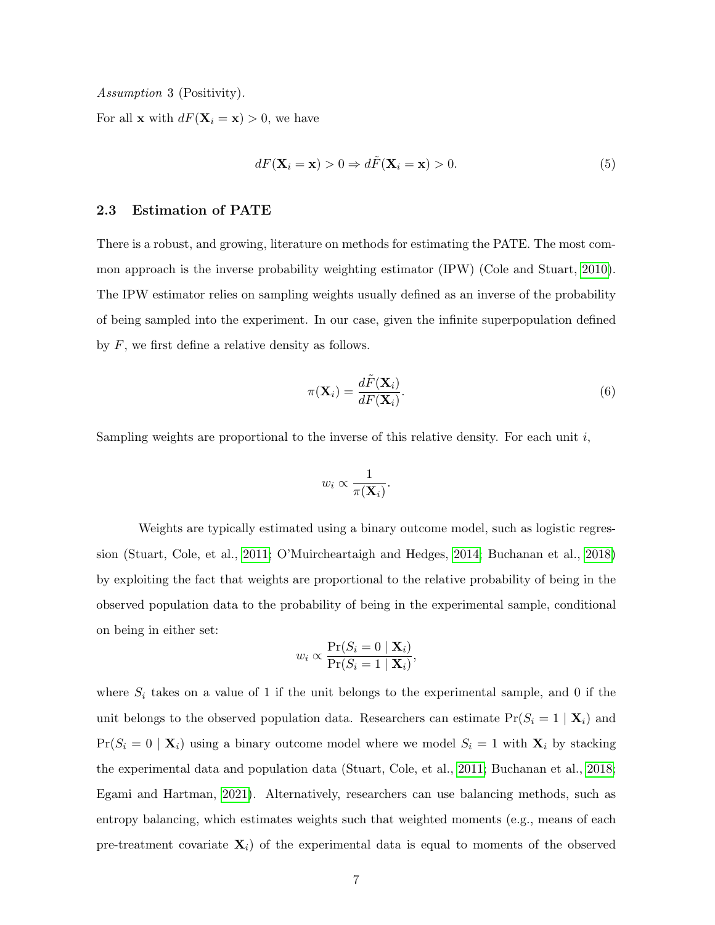<span id="page-7-0"></span>Assumption 3 (Positivity).

For all **x** with  $dF(\mathbf{X}_i = \mathbf{x}) > 0$ , we have

$$
dF(\mathbf{X}_i = \mathbf{x}) > 0 \Rightarrow d\tilde{F}(\mathbf{X}_i = \mathbf{x}) > 0.
$$
 (5)

### 2.3 Estimation of PATE

There is a robust, and growing, literature on methods for estimating the PATE. The most common approach is the inverse probability weighting estimator (IPW) (Cole and Stuart, [2010\)](#page-37-2). The IPW estimator relies on sampling weights usually defined as an inverse of the probability of being sampled into the experiment. In our case, given the infinite superpopulation defined by  $F$ , we first define a relative density as follows.

$$
\pi(\mathbf{X}_i) = \frac{d\tilde{F}(\mathbf{X}_i)}{dF(\mathbf{X}_i)}.
$$
\n(6)

Sampling weights are proportional to the inverse of this relative density. For each unit  $i$ ,

$$
w_i \propto \frac{1}{\pi(\mathbf{X}_i)}.
$$

Weights are typically estimated using a binary outcome model, such as logistic regression (Stuart, Cole, et al., [2011;](#page-40-0) O'Muircheartaigh and Hedges, [2014;](#page-39-6) Buchanan et al., [2018\)](#page-36-3) by exploiting the fact that weights are proportional to the relative probability of being in the observed population data to the probability of being in the experimental sample, conditional on being in either set:

$$
w_i \propto \frac{\Pr(S_i = 0 \mid \mathbf{X}_i)}{\Pr(S_i = 1 \mid \mathbf{X}_i)},
$$

where  $S_i$  takes on a value of 1 if the unit belongs to the experimental sample, and 0 if the unit belongs to the observed population data. Researchers can estimate  $Pr(S_i = 1 | \mathbf{X}_i)$  and  $Pr(S_i = 0 | \mathbf{X}_i)$  using a binary outcome model where we model  $S_i = 1$  with  $\mathbf{X}_i$  by stacking the experimental data and population data (Stuart, Cole, et al., [2011;](#page-40-0) Buchanan et al., [2018;](#page-36-3) Egami and Hartman, [2021\)](#page-37-6). Alternatively, researchers can use balancing methods, such as entropy balancing, which estimates weights such that weighted moments (e.g., means of each pre-treatment covariate  $\mathbf{X}_i$ ) of the experimental data is equal to moments of the observed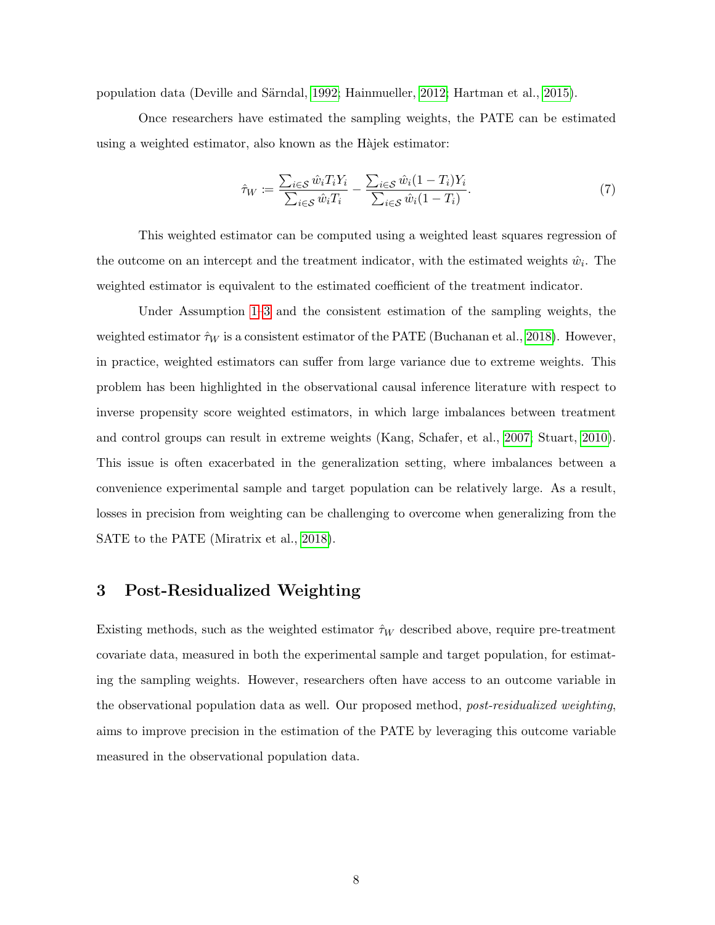population data (Deville and S¨arndal, [1992;](#page-37-7) Hainmueller, [2012;](#page-38-4) Hartman et al., [2015\)](#page-38-1).

Once researchers have estimated the sampling weights, the PATE can be estimated using a weighted estimator, also known as the Hajek estimator:

<span id="page-8-1"></span>
$$
\hat{\tau}_W := \frac{\sum_{i \in \mathcal{S}} \hat{w}_i T_i Y_i}{\sum_{i \in \mathcal{S}} \hat{w}_i T_i} - \frac{\sum_{i \in \mathcal{S}} \hat{w}_i (1 - T_i) Y_i}{\sum_{i \in \mathcal{S}} \hat{w}_i (1 - T_i)}.
$$
\n
$$
(7)
$$

This weighted estimator can be computed using a weighted least squares regression of the outcome on an intercept and the treatment indicator, with the estimated weights  $\hat{w}_i$ . The weighted estimator is equivalent to the estimated coefficient of the treatment indicator.

Under Assumption [1–](#page-5-0)[3](#page-7-0) and the consistent estimation of the sampling weights, the weighted estimator  $\hat{\tau}_W$  is a consistent estimator of the PATE (Buchanan et al., [2018\)](#page-36-3). However, in practice, weighted estimators can suffer from large variance due to extreme weights. This problem has been highlighted in the observational causal inference literature with respect to inverse propensity score weighted estimators, in which large imbalances between treatment and control groups can result in extreme weights (Kang, Schafer, et al., [2007;](#page-38-5) Stuart, [2010\)](#page-40-3). This issue is often exacerbated in the generalization setting, where imbalances between a convenience experimental sample and target population can be relatively large. As a result, losses in precision from weighting can be challenging to overcome when generalizing from the SATE to the PATE (Miratrix et al., [2018\)](#page-39-1).

# <span id="page-8-0"></span>3 Post-Residualized Weighting

Existing methods, such as the weighted estimator  $\hat{\tau}_W$  described above, require pre-treatment covariate data, measured in both the experimental sample and target population, for estimating the sampling weights. However, researchers often have access to an outcome variable in the observational population data as well. Our proposed method, post-residualized weighting, aims to improve precision in the estimation of the PATE by leveraging this outcome variable measured in the observational population data.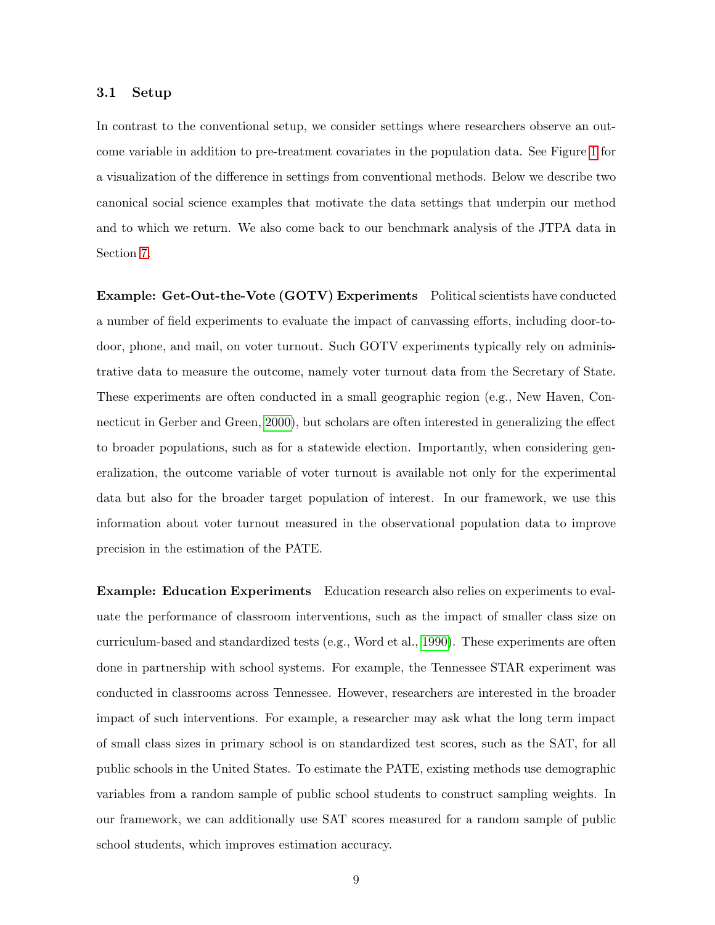### 3.1 Setup

In contrast to the conventional setup, we consider settings where researchers observe an outcome variable in addition to pre-treatment covariates in the population data. See Figure [1](#page-10-0) for a visualization of the difference in settings from conventional methods. Below we describe two canonical social science examples that motivate the data settings that underpin our method and to which we return. We also come back to our benchmark analysis of the JTPA data in Section [7.](#page-30-0)

Example: Get-Out-the-Vote (GOTV) Experiments Political scientists have conducted a number of field experiments to evaluate the impact of canvassing efforts, including door-todoor, phone, and mail, on voter turnout. Such GOTV experiments typically rely on administrative data to measure the outcome, namely voter turnout data from the Secretary of State. These experiments are often conducted in a small geographic region (e.g., New Haven, Connecticut in Gerber and Green, [2000\)](#page-38-6), but scholars are often interested in generalizing the effect to broader populations, such as for a statewide election. Importantly, when considering generalization, the outcome variable of voter turnout is available not only for the experimental data but also for the broader target population of interest. In our framework, we use this information about voter turnout measured in the observational population data to improve precision in the estimation of the PATE.

Example: Education Experiments Education research also relies on experiments to evaluate the performance of classroom interventions, such as the impact of smaller class size on curriculum-based and standardized tests (e.g., Word et al., [1990\)](#page-40-4). These experiments are often done in partnership with school systems. For example, the Tennessee STAR experiment was conducted in classrooms across Tennessee. However, researchers are interested in the broader impact of such interventions. For example, a researcher may ask what the long term impact of small class sizes in primary school is on standardized test scores, such as the SAT, for all public schools in the United States. To estimate the PATE, existing methods use demographic variables from a random sample of public school students to construct sampling weights. In our framework, we can additionally use SAT scores measured for a random sample of public school students, which improves estimation accuracy.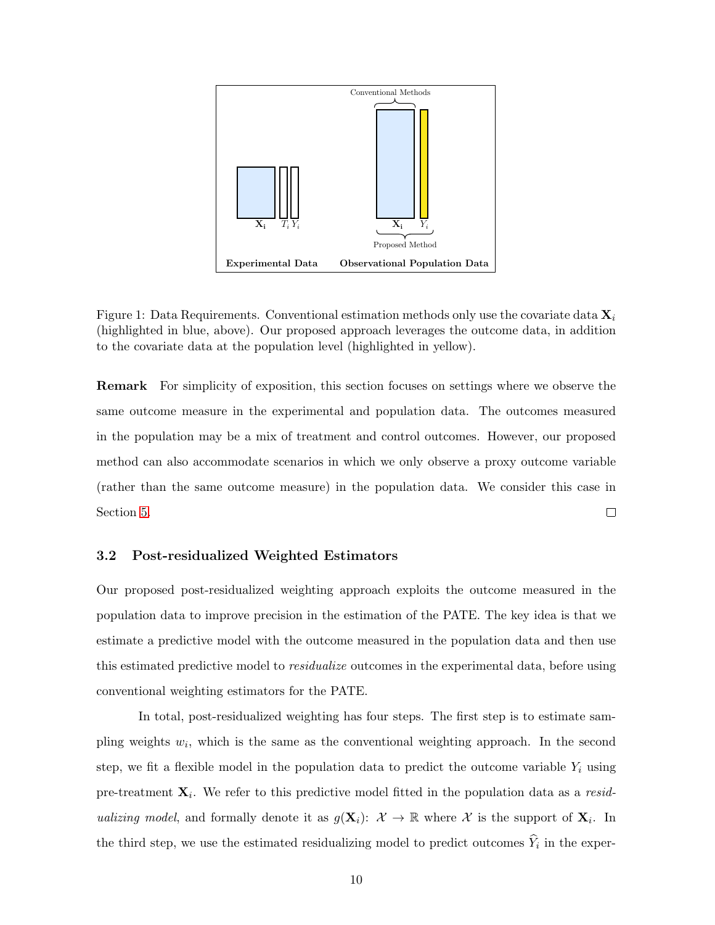

<span id="page-10-0"></span>Figure 1: Data Requirements. Conventional estimation methods only use the covariate data  $\mathbf{X}_i$ (highlighted in blue, above). Our proposed approach leverages the outcome data, in addition to the covariate data at the population level (highlighted in yellow).

Remark For simplicity of exposition, this section focuses on settings where we observe the same outcome measure in the experimental and population data. The outcomes measured in the population may be a mix of treatment and control outcomes. However, our proposed method can also accommodate scenarios in which we only observe a proxy outcome variable (rather than the same outcome measure) in the population data. We consider this case in Section [5.](#page-21-0)  $\Box$ 

### <span id="page-10-1"></span>3.2 Post-residualized Weighted Estimators

Our proposed post-residualized weighting approach exploits the outcome measured in the population data to improve precision in the estimation of the PATE. The key idea is that we estimate a predictive model with the outcome measured in the population data and then use this estimated predictive model to *residualize* outcomes in the experimental data, before using conventional weighting estimators for the PATE.

In total, post-residualized weighting has four steps. The first step is to estimate sampling weights  $w_i$ , which is the same as the conventional weighting approach. In the second step, we fit a flexible model in the population data to predict the outcome variable  $Y_i$  using pre-treatment  $\mathbf{X}_i$ . We refer to this predictive model fitted in the population data as a residualizing model, and formally denote it as  $g(\mathbf{X}_i): \mathcal{X} \to \mathbb{R}$  where X is the support of  $\mathbf{X}_i$ . In the third step, we use the estimated residualizing model to predict outcomes  $Y_i$  in the exper-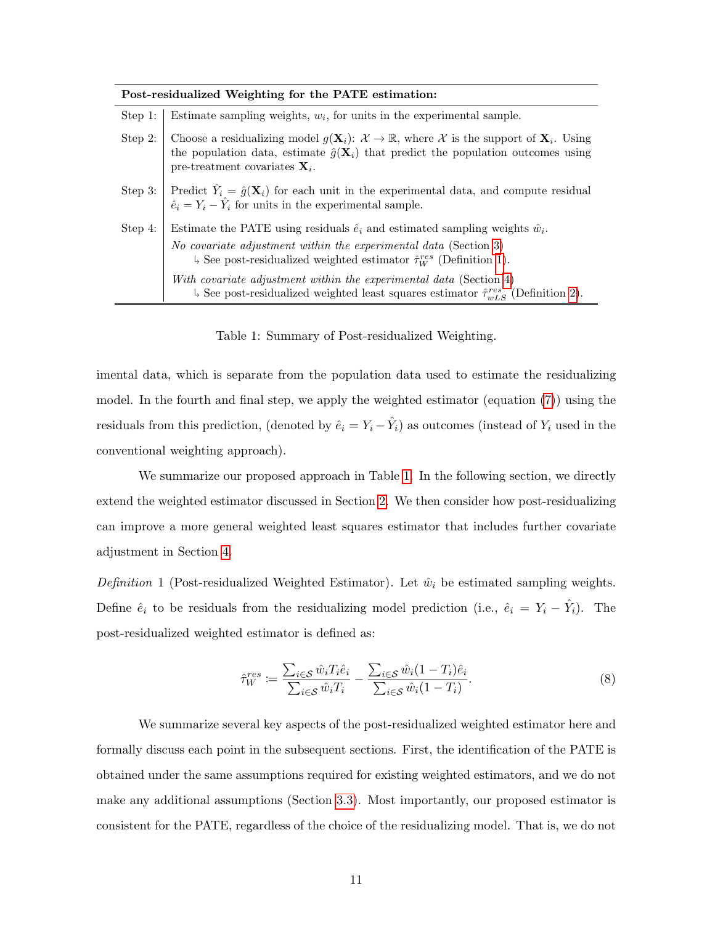| Post-residualized Weighting for the PATE estimation: |                                                                                                                                                                                                                                                                       |  |  |  |  |  |
|------------------------------------------------------|-----------------------------------------------------------------------------------------------------------------------------------------------------------------------------------------------------------------------------------------------------------------------|--|--|--|--|--|
| Step 1:                                              | Estimate sampling weights, $w_i$ , for units in the experimental sample.                                                                                                                                                                                              |  |  |  |  |  |
| Step 2:                                              | Choose a residualizing model $g(\mathbf{X}_i): \mathcal{X} \to \mathbb{R}$ , where X is the support of $\mathbf{X}_i$ . Using<br>the population data, estimate $\hat{g}(\mathbf{X}_i)$ that predict the population outcomes using<br>pre-treatment covariates $X_i$ . |  |  |  |  |  |
|                                                      | Step 3: Predict $\hat{Y}_i = \hat{g}(\mathbf{X}_i)$ for each unit in the experimental data, and compute residual $\hat{e}_i = Y_i - \hat{Y}_i$ for units in the experimental sample.                                                                                  |  |  |  |  |  |
| Step 4:                                              | Estimate the PATE using residuals $\hat{e}_i$ and estimated sampling weights $\hat{w}_i$ .                                                                                                                                                                            |  |  |  |  |  |
|                                                      | No covariate adjustment within the experimental data (Section 3)<br>$\frac{1}{2}$ See post-residualized weighted estimator $\hat{\tau}_{W}^{res}$ (Definition 1).                                                                                                     |  |  |  |  |  |
|                                                      | With covariate adjustment within the experimental data (Section 4)<br>$\downarrow$ See post-residualized weighted least squares estimator $\hat{\tau}_{wLS}^{res}$ (Definition 2).                                                                                    |  |  |  |  |  |

<span id="page-11-1"></span>Table 1: Summary of Post-residualized Weighting.

imental data, which is separate from the population data used to estimate the residualizing model. In the fourth and final step, we apply the weighted estimator (equation [\(7\)](#page-8-1)) using the residuals from this prediction, (denoted by  $\hat{e}_i = Y_i - \hat{Y}_i$ ) as outcomes (instead of  $Y_i$  used in the conventional weighting approach).

We summarize our proposed approach in Table [1.](#page-11-1) In the following section, we directly extend the weighted estimator discussed in Section [2.](#page-4-0) We then consider how post-residualizing can improve a more general weighted least squares estimator that includes further covariate adjustment in Section [4.](#page-16-0)

<span id="page-11-0"></span>Definition 1 (Post-residualized Weighted Estimator). Let  $\hat{w}_i$  be estimated sampling weights. Define  $\hat{e}_i$  to be residuals from the residualizing model prediction (i.e.,  $\hat{e}_i = Y_i - \hat{Y}_i$ ). The post-residualized weighted estimator is defined as:

<span id="page-11-2"></span>
$$
\hat{\tau}_W^{res} := \frac{\sum_{i \in \mathcal{S}} \hat{w}_i T_i \hat{e}_i}{\sum_{i \in \mathcal{S}} \hat{w}_i T_i} - \frac{\sum_{i \in \mathcal{S}} \hat{w}_i (1 - T_i) \hat{e}_i}{\sum_{i \in \mathcal{S}} \hat{w}_i (1 - T_i)}.
$$
\n(8)

We summarize several key aspects of the post-residualized weighted estimator here and formally discuss each point in the subsequent sections. First, the identification of the PATE is obtained under the same assumptions required for existing weighted estimators, and we do not make any additional assumptions (Section [3.3\)](#page-13-0). Most importantly, our proposed estimator is consistent for the PATE, regardless of the choice of the residualizing model. That is, we do not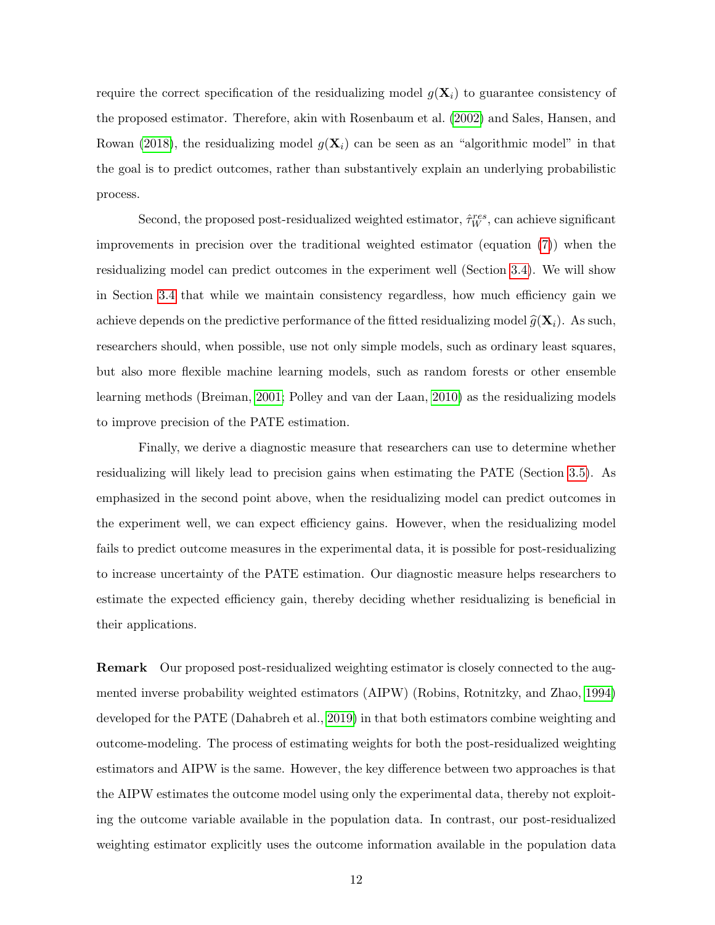require the correct specification of the residualizing model  $g(\mathbf{X}_i)$  to guarantee consistency of the proposed estimator. Therefore, akin with Rosenbaum et al. [\(2002\)](#page-39-7) and Sales, Hansen, and Rowan [\(2018\)](#page-39-8), the residualizing model  $g(\mathbf{X}_i)$  can be seen as an "algorithmic model" in that the goal is to predict outcomes, rather than substantively explain an underlying probabilistic process.

Second, the proposed post-residualized weighted estimator,  $\hat{\tau}_W^{res}$ , can achieve significant improvements in precision over the traditional weighted estimator (equation [\(7\)](#page-8-1)) when the residualizing model can predict outcomes in the experiment well (Section [3.4\)](#page-14-0). We will show in Section [3.4](#page-14-0) that while we maintain consistency regardless, how much efficiency gain we achieve depends on the predictive performance of the fitted residualizing model  $\widehat{g}(\mathbf{X}_i)$ . As such, researchers should, when possible, use not only simple models, such as ordinary least squares, but also more flexible machine learning models, such as random forests or other ensemble learning methods (Breiman, [2001;](#page-36-7) Polley and van der Laan, [2010\)](#page-39-9) as the residualizing models to improve precision of the PATE estimation.

Finally, we derive a diagnostic measure that researchers can use to determine whether residualizing will likely lead to precision gains when estimating the PATE (Section [3.5\)](#page-15-0). As emphasized in the second point above, when the residualizing model can predict outcomes in the experiment well, we can expect efficiency gains. However, when the residualizing model fails to predict outcome measures in the experimental data, it is possible for post-residualizing to increase uncertainty of the PATE estimation. Our diagnostic measure helps researchers to estimate the expected efficiency gain, thereby deciding whether residualizing is beneficial in their applications.

Remark Our proposed post-residualized weighting estimator is closely connected to the augmented inverse probability weighted estimators (AIPW) (Robins, Rotnitzky, and Zhao, [1994\)](#page-39-10) developed for the PATE (Dahabreh et al., [2019\)](#page-37-3) in that both estimators combine weighting and outcome-modeling. The process of estimating weights for both the post-residualized weighting estimators and AIPW is the same. However, the key difference between two approaches is that the AIPW estimates the outcome model using only the experimental data, thereby not exploiting the outcome variable available in the population data. In contrast, our post-residualized weighting estimator explicitly uses the outcome information available in the population data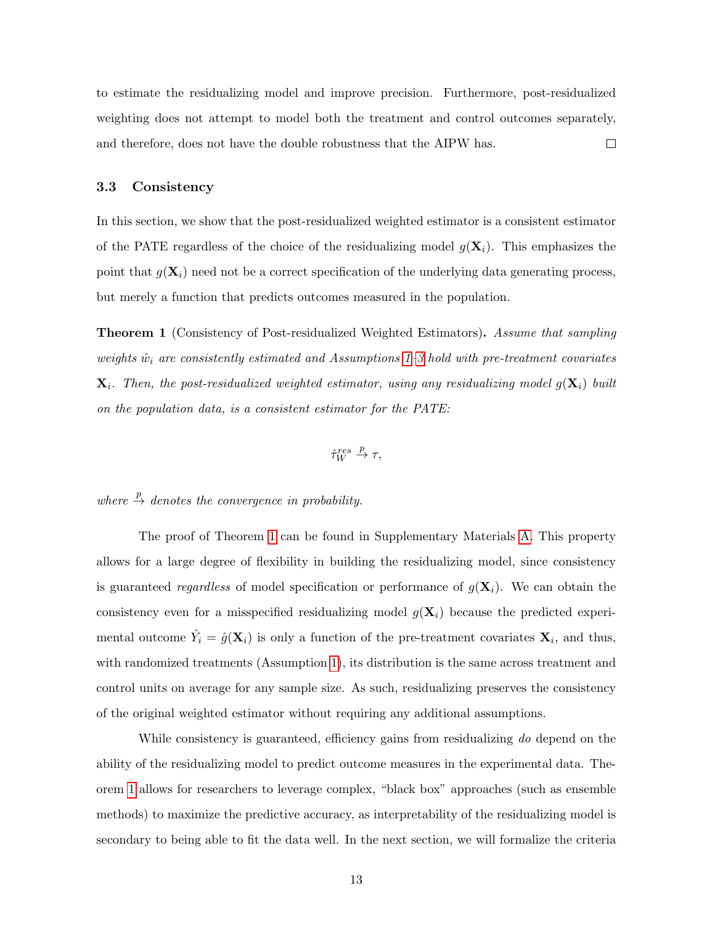to estimate the residualizing model and improve precision. Furthermore, post-residualized weighting does not attempt to model both the treatment and control outcomes separately, and therefore, does not have the double robustness that the AIPW has.  $\Box$ 

### <span id="page-13-0"></span>3.3 Consistency

In this section, we show that the post-residualized weighted estimator is a consistent estimator of the PATE regardless of the choice of the residualizing model  $q(\mathbf{X}_i)$ . This emphasizes the point that  $g(\mathbf{X}_i)$  need not be a correct specification of the underlying data generating process, but merely a function that predicts outcomes measured in the population.

<span id="page-13-1"></span>Theorem 1 (Consistency of Post-residualized Weighted Estimators). Assume that sampling weights  $\hat{w}_i$  are consistently estimated and Assumptions [1–](#page-5-0)[3](#page-7-0) hold with pre-treatment covariates  $\mathbf{X}_i$ . Then, the post-residualized weighted estimator, using any residualizing model  $g(\mathbf{X}_i)$  built on the population data, is a consistent estimator for the PATE:

$$
\hat{\tau}_W^{res} \stackrel{p}{\to} \tau,
$$

where  $\stackrel{p}{\rightarrow}$  denotes the convergence in probability.

The proof of Theorem [1](#page-13-1) can be found in Supplementary Materials [A.](#page-41-0) This property allows for a large degree of flexibility in building the residualizing model, since consistency is guaranteed *regardless* of model specification or performance of  $g(\mathbf{X}_i)$ . We can obtain the consistency even for a misspecified residualizing model  $q(\mathbf{X}_i)$  because the predicted experimental outcome  $\hat{Y}_i = \hat{g}(\mathbf{X}_i)$  is only a function of the pre-treatment covariates  $\mathbf{X}_i$ , and thus, with randomized treatments (Assumption [1\)](#page-5-0), its distribution is the same across treatment and control units on average for any sample size. As such, residualizing preserves the consistency of the original weighted estimator without requiring any additional assumptions.

While consistency is guaranteed, efficiency gains from residualizing do depend on the ability of the residualizing model to predict outcome measures in the experimental data. Theorem [1](#page-13-1) allows for researchers to leverage complex, "black box" approaches (such as ensemble methods) to maximize the predictive accuracy, as interpretability of the residualizing model is secondary to being able to fit the data well. In the next section, we will formalize the criteria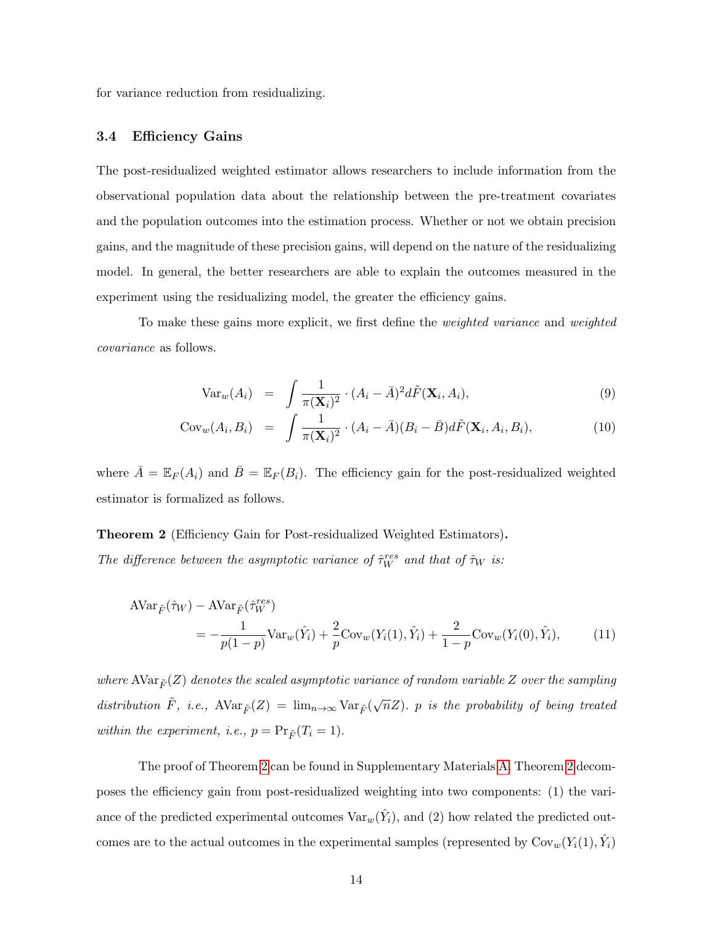for variance reduction from residualizing.

### <span id="page-14-0"></span>3.4 Efficiency Gains

The post-residualized weighted estimator allows researchers to include information from the observational population data about the relationship between the pre-treatment covariates and the population outcomes into the estimation process. Whether or not we obtain precision gains, and the magnitude of these precision gains, will depend on the nature of the residualizing model. In general, the better researchers are able to explain the outcomes measured in the experiment using the residualizing model, the greater the efficiency gains.

To make these gains more explicit, we first define the *weighted variance* and *weighted* covariance as follows.

<span id="page-14-1"></span>
$$
\text{Var}_w(A_i) = \int \frac{1}{\pi(\mathbf{X}_i)^2} \cdot (A_i - \bar{A})^2 d\tilde{F}(\mathbf{X}_i, A_i), \tag{9}
$$

$$
Cov_w(A_i, B_i) = \int \frac{1}{\pi(\mathbf{X}_i)^2} \cdot (A_i - \bar{A})(B_i - \bar{B}) d\tilde{F}(\mathbf{X}_i, A_i, B_i), \tag{10}
$$

where  $\overline{A} = \mathbb{E}_F(A_i)$  and  $\overline{B} = \mathbb{E}_F(B_i)$ . The efficiency gain for the post-residualized weighted estimator is formalized as follows.

Theorem 2 (Efficiency Gain for Post-residualized Weighted Estimators). The difference between the asymptotic variance of  $\hat{\tau}_W^{res}$  and that of  $\hat{\tau}_W$  is:

$$
\begin{split} \text{AVar}_{\tilde{F}}(\hat{\tau}_{W}) - \text{AVar}_{\tilde{F}}(\hat{\tau}_{W}^{res}) \\ &= -\frac{1}{p(1-p)} \text{Var}_{w}(\hat{Y}_{i}) + \frac{2}{p} \text{Cov}_{w}(Y_{i}(1), \hat{Y}_{i}) + \frac{2}{1-p} \text{Cov}_{w}(Y_{i}(0), \hat{Y}_{i}), \end{split} \tag{11}
$$

where AVar $_{\tilde{F}}(Z)$  denotes the scaled asymptotic variance of random variable Z over the sampling distribution  $\tilde{F}$ , i.e.,  $AVar_{\tilde{F}}(Z) = \lim_{n\to\infty} Var_{\tilde{F}}(\sqrt{n}Z)$ . p is the probability of being treated within the experiment, i.e.,  $p = Pr_{\tilde{F}}(T_i = 1)$ .

The proof of Theorem [2](#page-14-1) can be found in Supplementary Materials [A.](#page-41-0) Theorem [2](#page-14-1) decomposes the efficiency gain from post-residualized weighting into two components: (1) the variance of the predicted experimental outcomes  $\text{Var}_w(\hat{Y}_i)$ , and (2) how related the predicted outcomes are to the actual outcomes in the experimental samples (represented by  $\text{Cov}_w(Y_i(1), \hat{Y}_i)$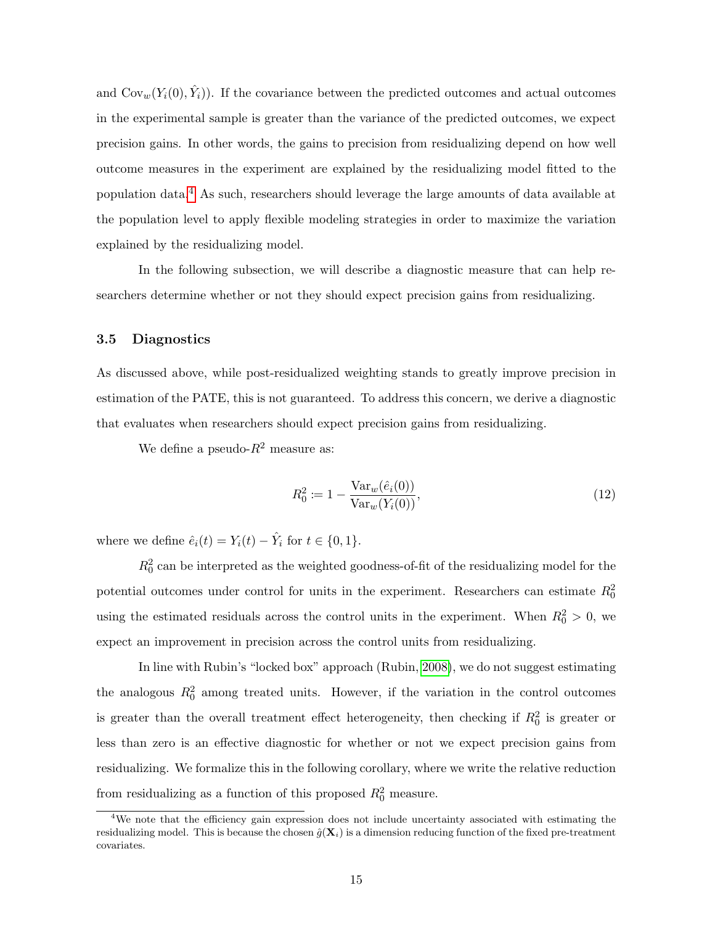and  $\text{Cov}_w(Y_i(0), \hat{Y}_i)$ . If the covariance between the predicted outcomes and actual outcomes in the experimental sample is greater than the variance of the predicted outcomes, we expect precision gains. In other words, the gains to precision from residualizing depend on how well outcome measures in the experiment are explained by the residualizing model fitted to the population data.[4](#page-0-0) As such, researchers should leverage the large amounts of data available at the population level to apply flexible modeling strategies in order to maximize the variation explained by the residualizing model.

In the following subsection, we will describe a diagnostic measure that can help researchers determine whether or not they should expect precision gains from residualizing.

### <span id="page-15-0"></span>3.5 Diagnostics

As discussed above, while post-residualized weighting stands to greatly improve precision in estimation of the PATE, this is not guaranteed. To address this concern, we derive a diagnostic that evaluates when researchers should expect precision gains from residualizing.

We define a pseudo- $R^2$  measure as:

<span id="page-15-1"></span>
$$
R_0^2 := 1 - \frac{\text{Var}_w(\hat{e}_i(0))}{\text{Var}_w(Y_i(0))},\tag{12}
$$

where we define  $\hat{e}_i(t) = Y_i(t) - \hat{Y}_i$  for  $t \in \{0, 1\}$ .

 $R_0^2$  can be interpreted as the weighted goodness-of-fit of the residualizing model for the potential outcomes under control for units in the experiment. Researchers can estimate  $R_0^2$ using the estimated residuals across the control units in the experiment. When  $R_0^2 > 0$ , we expect an improvement in precision across the control units from residualizing.

In line with Rubin's "locked box" approach (Rubin, [2008\)](#page-39-11), we do not suggest estimating the analogous  $R_0^2$  among treated units. However, if the variation in the control outcomes is greater than the overall treatment effect heterogeneity, then checking if  $R_0^2$  is greater or less than zero is an effective diagnostic for whether or not we expect precision gains from residualizing. We formalize this in the following corollary, where we write the relative reduction from residualizing as a function of this proposed  $R_0^2$  measure.

<sup>&</sup>lt;sup>4</sup>We note that the efficiency gain expression does not include uncertainty associated with estimating the residualizing model. This is because the chosen  $\hat{q}(\mathbf{X}_i)$  is a dimension reducing function of the fixed pre-treatment covariates.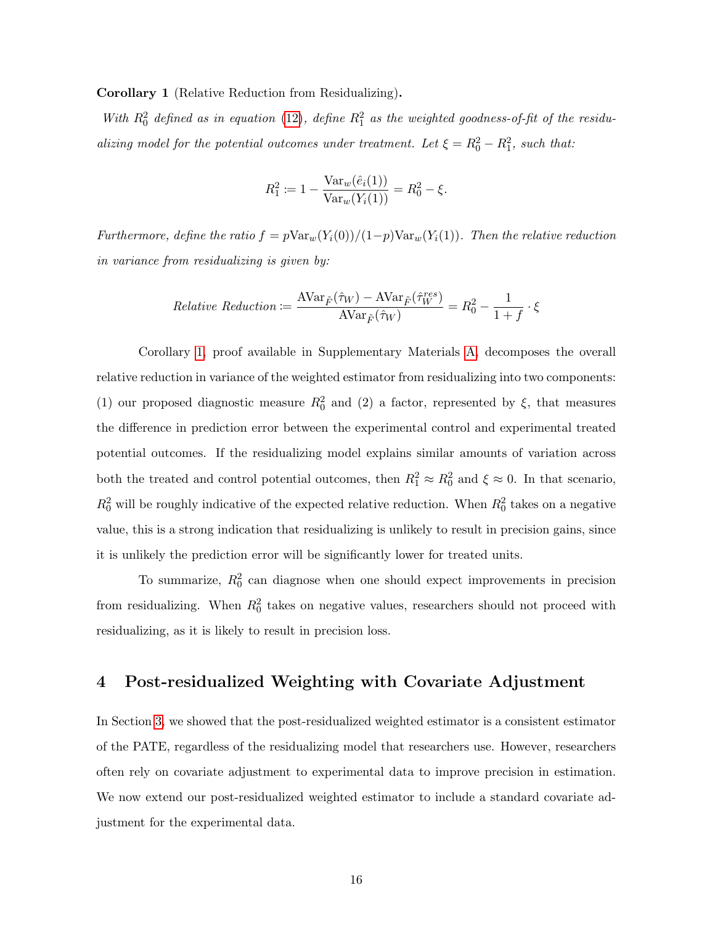<span id="page-16-1"></span>Corollary 1 (Relative Reduction from Residualizing).

With  $R_0^2$  defined as in equation [\(12\)](#page-15-1), define  $R_1^2$  as the weighted goodness-of-fit of the residualizing model for the potential outcomes under treatment. Let  $\xi = R_0^2 - R_1^2$ , such that:

$$
R_1^2 := 1 - \frac{\text{Var}_w(\hat{e}_i(1))}{\text{Var}_w(Y_i(1))} = R_0^2 - \xi.
$$

Furthermore, define the ratio  $f = p \text{Var}_w(Y_i(0)) / (1-p) \text{Var}_w(Y_i(1))$ . Then the relative reduction in variance from residualizing is given by:

$$
Relative \; Reduction := \frac{\text{AVar}_{\tilde{F}}(\hat{\tau}_W) - \text{AVar}_{\tilde{F}}(\hat{\tau}_W^{res})}{\text{AVar}_{\tilde{F}}(\hat{\tau}_W)} = R_0^2 - \frac{1}{1+f} \cdot \xi
$$

Corollary [1,](#page-16-1) proof available in Supplementary Materials [A,](#page-41-0) decomposes the overall relative reduction in variance of the weighted estimator from residualizing into two components: (1) our proposed diagnostic measure  $R_0^2$  and (2) a factor, represented by  $\xi$ , that measures the difference in prediction error between the experimental control and experimental treated potential outcomes. If the residualizing model explains similar amounts of variation across both the treated and control potential outcomes, then  $R_1^2 \approx R_0^2$  and  $\xi \approx 0$ . In that scenario,  $R_0^2$  will be roughly indicative of the expected relative reduction. When  $R_0^2$  takes on a negative value, this is a strong indication that residualizing is unlikely to result in precision gains, since it is unlikely the prediction error will be significantly lower for treated units.

To summarize,  $R_0^2$  can diagnose when one should expect improvements in precision from residualizing. When  $R_0^2$  takes on negative values, researchers should not proceed with residualizing, as it is likely to result in precision loss.

# <span id="page-16-0"></span>4 Post-residualized Weighting with Covariate Adjustment

In Section [3,](#page-8-0) we showed that the post-residualized weighted estimator is a consistent estimator of the PATE, regardless of the residualizing model that researchers use. However, researchers often rely on covariate adjustment to experimental data to improve precision in estimation. We now extend our post-residualized weighted estimator to include a standard covariate adjustment for the experimental data.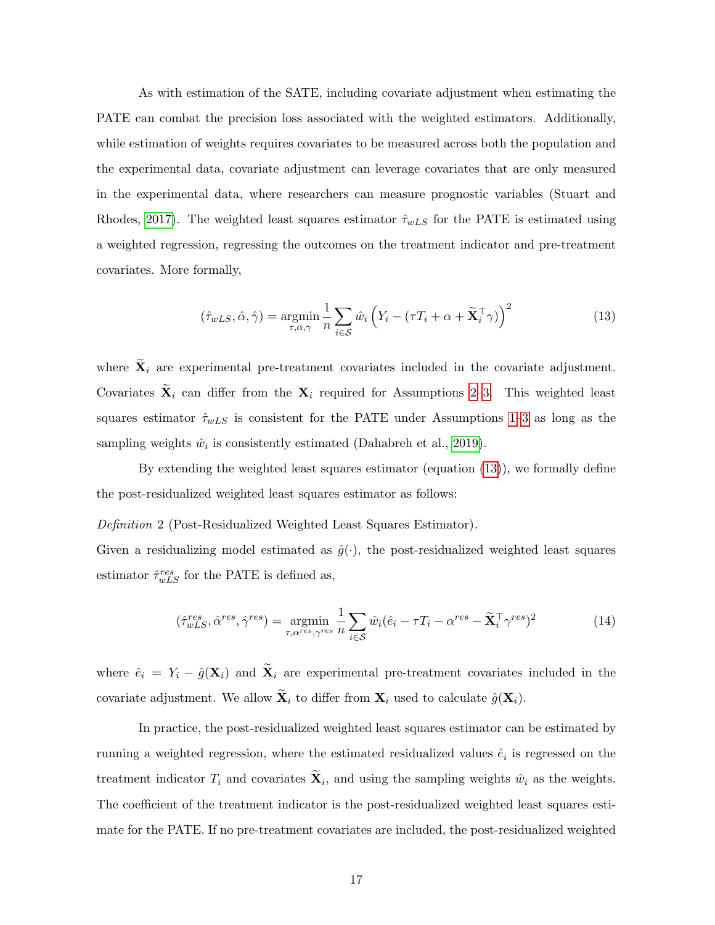As with estimation of the SATE, including covariate adjustment when estimating the PATE can combat the precision loss associated with the weighted estimators. Additionally, while estimation of weights requires covariates to be measured across both the population and the experimental data, covariate adjustment can leverage covariates that are only measured in the experimental data, where researchers can measure prognostic variables (Stuart and Rhodes, [2017\)](#page-40-5). The weighted least squares estimator  $\hat{\tau}_{wLS}$  for the PATE is estimated using a weighted regression, regressing the outcomes on the treatment indicator and pre-treatment covariates. More formally,

<span id="page-17-1"></span>
$$
(\hat{\tau}_{wLS}, \hat{\alpha}, \hat{\gamma}) = \underset{\tau, \alpha, \gamma}{\text{argmin}} \frac{1}{n} \sum_{i \in \mathcal{S}} \hat{w}_i \left( Y_i - (\tau T_i + \alpha + \widetilde{\mathbf{X}}_i^{\top} \gamma) \right)^2 \tag{13}
$$

where  $\widetilde{\mathbf{X}}_i$  are experimental pre-treatment covariates included in the covariate adjustment. Covariates  $\widetilde{\mathbf{X}}_i$  can differ from the  $\mathbf{X}_i$  required for Assumptions [2–](#page-6-0)[3.](#page-7-0) This weighted least squares estimator  $\hat{\tau}_{wLS}$  is consistent for the PATE under Assumptions [1–](#page-5-0)[3](#page-7-0) as long as the sampling weights  $\hat{w}_i$  is consistently estimated (Dahabreh et al., [2019\)](#page-37-3).

By extending the weighted least squares estimator (equation [\(13\)](#page-17-1)), we formally define the post-residualized weighted least squares estimator as follows:

### <span id="page-17-0"></span>Definition 2 (Post-Residualized Weighted Least Squares Estimator).

Given a residualizing model estimated as  $\hat{g}(\cdot)$ , the post-residualized weighted least squares estimator  $\hat{\tau}_{wLS}^{res}$  for the PATE is defined as,

<span id="page-17-2"></span>
$$
(\hat{\tau}_{wLS}^{res}, \hat{\alpha}^{res}, \hat{\gamma}^{res}) = \underset{\tau, \alpha^{res}, \gamma^{res}}{\operatorname{argmin}} \frac{1}{n} \sum_{i \in \mathcal{S}} \hat{w}_i (\hat{e}_i - \tau T_i - \alpha^{res} - \tilde{\mathbf{X}}_i^{\top} \gamma^{res})^2 \tag{14}
$$

where  $\hat{e}_i = Y_i - \hat{g}(\mathbf{X}_i)$  and  $\tilde{\mathbf{X}}_i$  are experimental pre-treatment covariates included in the covariate adjustment. We allow  $\widetilde{\mathbf{X}}_i$  to differ from  $\mathbf{X}_i$  used to calculate  $\hat{g}(\mathbf{X}_i)$ .

In practice, the post-residualized weighted least squares estimator can be estimated by running a weighted regression, where the estimated residualized values  $\hat{e}_i$  is regressed on the treatment indicator  $T_i$  and covariates  $\mathbf{X}_i$ , and using the sampling weights  $\hat{w}_i$  as the weights. The coefficient of the treatment indicator is the post-residualized weighted least squares estimate for the PATE. If no pre-treatment covariates are included, the post-residualized weighted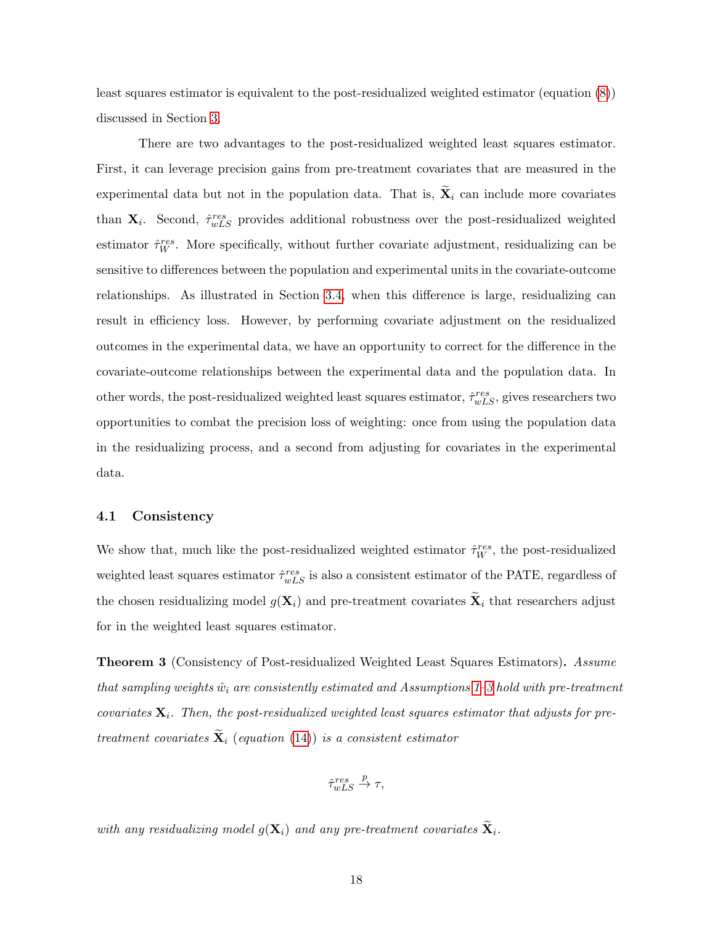least squares estimator is equivalent to the post-residualized weighted estimator (equation [\(8\)](#page-11-2)) discussed in Section [3.](#page-8-0)

There are two advantages to the post-residualized weighted least squares estimator. First, it can leverage precision gains from pre-treatment covariates that are measured in the experimental data but not in the population data. That is,  $\mathbf{\tilde{X}}_i$  can include more covariates than  $\mathbf{X}_i$ . Second,  $\hat{\tau}_{wLS}^{res}$  provides additional robustness over the post-residualized weighted estimator  $\hat{\tau}_W^{res}$ . More specifically, without further covariate adjustment, residualizing can be sensitive to differences between the population and experimental units in the covariate-outcome relationships. As illustrated in Section [3.4,](#page-14-0) when this difference is large, residualizing can result in efficiency loss. However, by performing covariate adjustment on the residualized outcomes in the experimental data, we have an opportunity to correct for the difference in the covariate-outcome relationships between the experimental data and the population data. In other words, the post-residualized weighted least squares estimator,  $\hat{\tau}_{wLS}^{res}$ , gives researchers two opportunities to combat the precision loss of weighting: once from using the population data in the residualizing process, and a second from adjusting for covariates in the experimental data.

### 4.1 Consistency

We show that, much like the post-residualized weighted estimator  $\hat{\tau}_{W}^{res}$ , the post-residualized weighted least squares estimator  $\hat{\tau}_{wLS}^{res}$  is also a consistent estimator of the PATE, regardless of the chosen residualizing model  $g(\mathbf{X}_i)$  and pre-treatment covariates  $\widetilde{\mathbf{X}}_i$  that researchers adjust for in the weighted least squares estimator.

Theorem 3 (Consistency of Post-residualized Weighted Least Squares Estimators). Assume that sampling weights  $\hat{w}_i$  are consistently estimated and Assumptions [1–](#page-5-0)[3](#page-7-0) hold with pre-treatment covariates  $\mathbf{X}_i$ . Then, the post-residualized weighted least squares estimator that adjusts for pretreatment covariates  $\widetilde{\mathbf{X}}_i$  (equation [\(14\)](#page-17-2)) is a consistent estimator

$$
\hat{\tau}_{wLS}^{res} \stackrel{p}{\to} \tau,
$$

with any residualizing model  $g(\mathbf{X}_i)$  and any pre-treatment covariates  $\widetilde{\mathbf{X}}_i$ .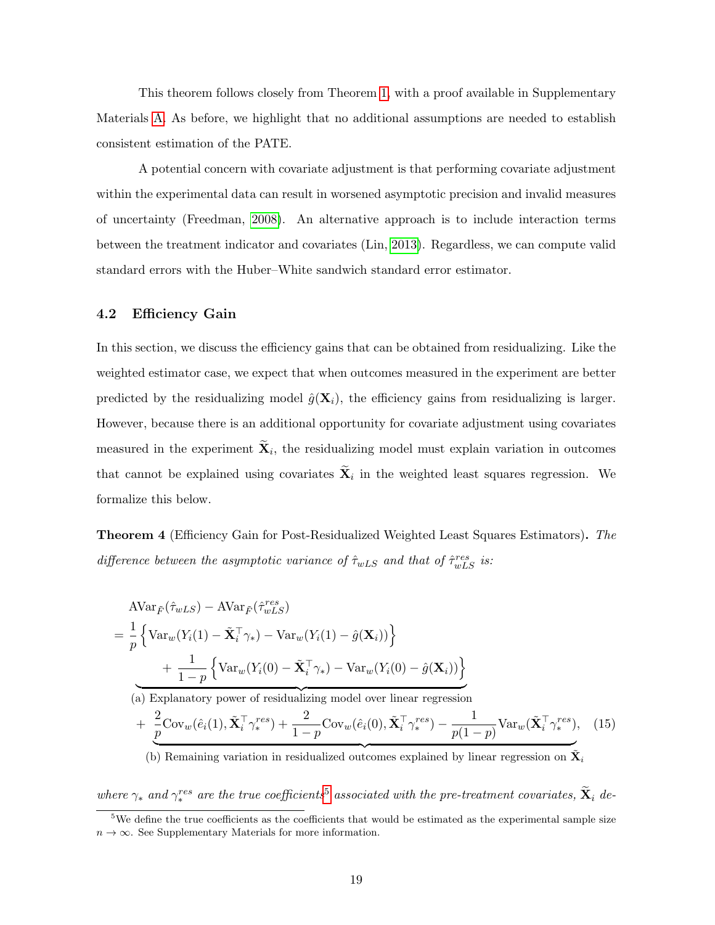This theorem follows closely from Theorem [1,](#page-13-1) with a proof available in Supplementary Materials [A.](#page-41-0) As before, we highlight that no additional assumptions are needed to establish consistent estimation of the PATE.

A potential concern with covariate adjustment is that performing covariate adjustment within the experimental data can result in worsened asymptotic precision and invalid measures of uncertainty (Freedman, [2008\)](#page-37-8). An alternative approach is to include interaction terms between the treatment indicator and covariates (Lin, [2013\)](#page-38-7). Regardless, we can compute valid standard errors with the Huber–White sandwich standard error estimator.

### 4.2 Efficiency Gain

In this section, we discuss the efficiency gains that can be obtained from residualizing. Like the weighted estimator case, we expect that when outcomes measured in the experiment are better predicted by the residualizing model  $\hat{g}(\mathbf{X}_i)$ , the efficiency gains from residualizing is larger. However, because there is an additional opportunity for covariate adjustment using covariates measured in the experiment  $\mathbf{X}_i$ , the residualizing model must explain variation in outcomes that cannot be explained using covariates  $\mathbf{X}_i$  in the weighted least squares regression. We formalize this below.

Theorem 4 (Efficiency Gain for Post-Residualized Weighted Least Squares Estimators). The difference between the asymptotic variance of  $\hat{\tau}_{wLS}$  and that of  $\hat{\tau}_{wLS}^{res}$  is:

$$
\begin{aligned}\n&\text{AVar}_{\tilde{F}}(\hat{\tau}_{wLS}) - \text{AVar}_{\tilde{F}}(\hat{\tau}_{wLS}^{res}) \\
&= \frac{1}{p} \left\{ \text{Var}_{w}(Y_i(1) - \tilde{\mathbf{X}}_i^{\top} \gamma_*) - \text{Var}_{w}(Y_i(1) - \hat{g}(\mathbf{X}_i)) \right\} \\
&\quad + \frac{1}{1-p} \left\{ \text{Var}_{w}(Y_i(0) - \tilde{\mathbf{X}}_i^{\top} \gamma_*) - \text{Var}_{w}(Y_i(0) - \hat{g}(\mathbf{X}_i)) \right\} \\
&\text{(a) Explanatory power of residualizing model over linear regression}\n\end{aligned}
$$

$$
+\underbrace{\frac{2}{p}\text{Cov}_{w}(\hat{e}_{i}(1),\tilde{\mathbf{X}}_{i}^{\top}\gamma_{*}^{res})}_{1-p}+\underbrace{\frac{2}{1-p}\text{Cov}_{w}(\hat{e}_{i}(0),\tilde{\mathbf{X}}_{i}^{\top}\gamma_{*}^{res})}_{2p(1-p)}-\underbrace{\frac{1}{p(1-p)}\text{Var}_{w}(\tilde{\mathbf{X}}_{i}^{\top}\gamma_{*}^{res})}_{2p(1-p)},\quad(15)
$$

(b) Remaining variation in residualized outcomes explained by linear regression on  $\tilde{\mathbf{X}}_i$ 

where  $\gamma_*$  and  $\gamma_*^{res}$  are the true coefficients<sup>[5](#page-0-0)</sup> associated with the pre-treatment covariates,  $\widetilde{\mathbf{X}}_i$  de-

 $5$ We define the true coefficients as the coefficients that would be estimated as the experimental sample size  $n \to \infty$ . See Supplementary Materials for more information.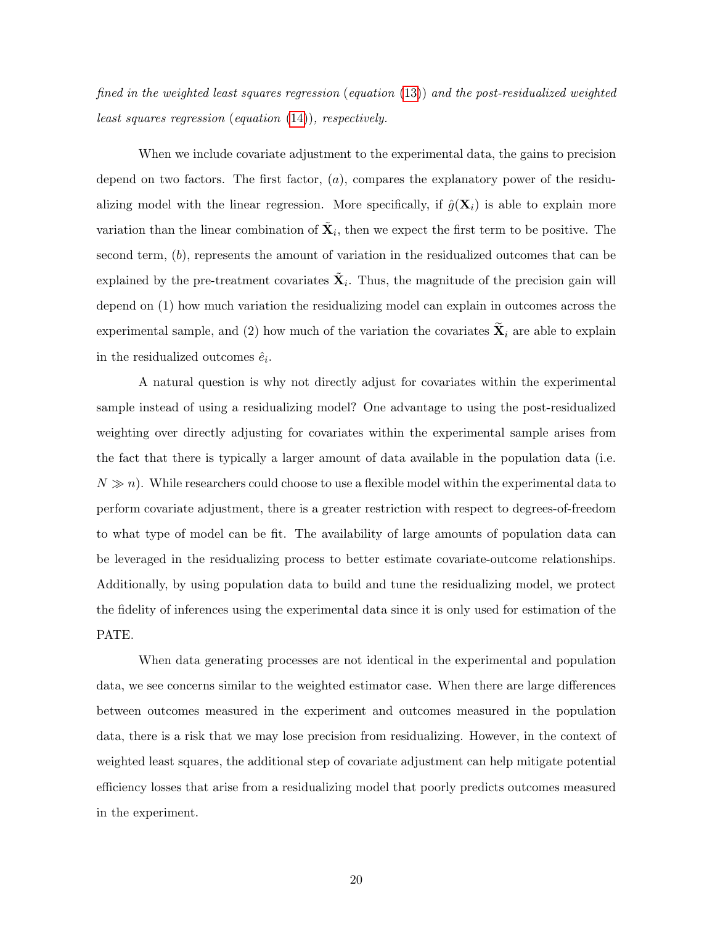fined in the weighted least squares regression (equation [\(13\)](#page-17-1)) and the post-residualized weighted least squares regression (equation [\(14\)](#page-17-2)), respectively.

When we include covariate adjustment to the experimental data, the gains to precision depend on two factors. The first factor,  $(a)$ , compares the explanatory power of the residualizing model with the linear regression. More specifically, if  $\hat{g}(\mathbf{X}_i)$  is able to explain more variation than the linear combination of  $\tilde{\mathbf{X}}_i$ , then we expect the first term to be positive. The second term, (b), represents the amount of variation in the residualized outcomes that can be explained by the pre-treatment covariates  $\tilde{\mathbf{X}}_i$ . Thus, the magnitude of the precision gain will depend on (1) how much variation the residualizing model can explain in outcomes across the experimental sample, and (2) how much of the variation the covariates  $\widetilde{\mathbf{X}}_i$  are able to explain in the residualized outcomes  $\hat{e}_i$ .

A natural question is why not directly adjust for covariates within the experimental sample instead of using a residualizing model? One advantage to using the post-residualized weighting over directly adjusting for covariates within the experimental sample arises from the fact that there is typically a larger amount of data available in the population data (i.e.  $N \gg n$ ). While researchers could choose to use a flexible model within the experimental data to perform covariate adjustment, there is a greater restriction with respect to degrees-of-freedom to what type of model can be fit. The availability of large amounts of population data can be leveraged in the residualizing process to better estimate covariate-outcome relationships. Additionally, by using population data to build and tune the residualizing model, we protect the fidelity of inferences using the experimental data since it is only used for estimation of the PATE.

When data generating processes are not identical in the experimental and population data, we see concerns similar to the weighted estimator case. When there are large differences between outcomes measured in the experiment and outcomes measured in the population data, there is a risk that we may lose precision from residualizing. However, in the context of weighted least squares, the additional step of covariate adjustment can help mitigate potential efficiency losses that arise from a residualizing model that poorly predicts outcomes measured in the experiment.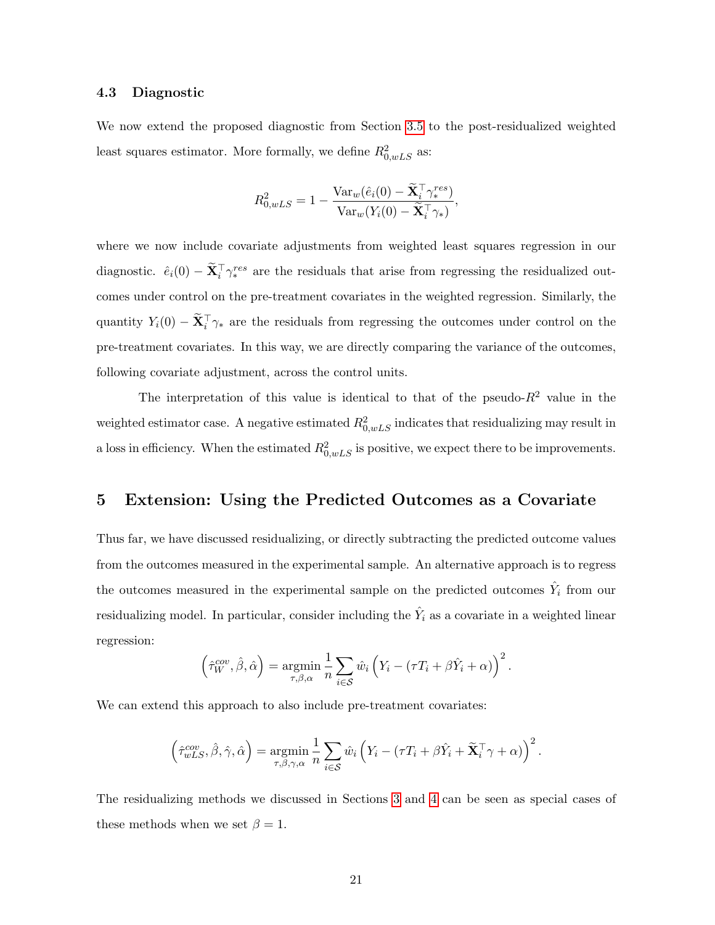### 4.3 Diagnostic

We now extend the proposed diagnostic from Section [3.5](#page-15-0) to the post-residualized weighted least squares estimator. More formally, we define  $R_{0,wLS}^2$  as:

$$
R_{0,wLS}^2 = 1 - \frac{\text{Var}_w(\hat{e}_i(0) - \widetilde{\mathbf{X}}_i^\top \gamma_*^{res})}{\text{Var}_w(Y_i(0) - \widetilde{\mathbf{X}}_i^\top \gamma_*)},
$$

where we now include covariate adjustments from weighted least squares regression in our diagnostic.  $\hat{e}_i(0) - \tilde{\mathbf{X}}_i^{\top} \gamma_i^{res}$  are the residuals that arise from regressing the residualized outcomes under control on the pre-treatment covariates in the weighted regression. Similarly, the quantity  $Y_i(0) - \tilde{X}_i^{\top} \gamma_*$  are the residuals from regressing the outcomes under control on the pre-treatment covariates. In this way, we are directly comparing the variance of the outcomes, following covariate adjustment, across the control units.

The interpretation of this value is identical to that of the pseudo- $R^2$  value in the weighted estimator case. A negative estimated  $R_{0,wLS}^2$  indicates that residualizing may result in a loss in efficiency. When the estimated  $R_{0,wLS}^2$  is positive, we expect there to be improvements.

### <span id="page-21-0"></span>5 Extension: Using the Predicted Outcomes as a Covariate

Thus far, we have discussed residualizing, or directly subtracting the predicted outcome values from the outcomes measured in the experimental sample. An alternative approach is to regress the outcomes measured in the experimental sample on the predicted outcomes  $\hat{Y}_i$  from our residualizing model. In particular, consider including the  $\hat{Y}_i$  as a covariate in a weighted linear regression:

$$
\left(\hat{\tau}_W^{cov}, \hat{\beta}, \hat{\alpha}\right) = \underset{\tau, \beta, \alpha}{\text{argmin}} \frac{1}{n} \sum_{i \in \mathcal{S}} \hat{w}_i \left(Y_i - (\tau T_i + \beta \hat{Y}_i + \alpha)\right)^2.
$$

We can extend this approach to also include pre-treatment covariates:

$$
\left(\hat{\tau}_{wLS}^{cov}, \hat{\beta}, \hat{\gamma}, \hat{\alpha}\right) = \underset{\tau, \beta, \gamma, \alpha}{\text{argmin}} \frac{1}{n} \sum_{i \in S} \hat{w}_i \left(Y_i - (\tau T_i + \beta \hat{Y}_i + \tilde{\mathbf{X}}_i^{\top} \gamma + \alpha)\right)^2.
$$

The residualizing methods we discussed in Sections [3](#page-8-0) and [4](#page-16-0) can be seen as special cases of these methods when we set  $\beta = 1$ .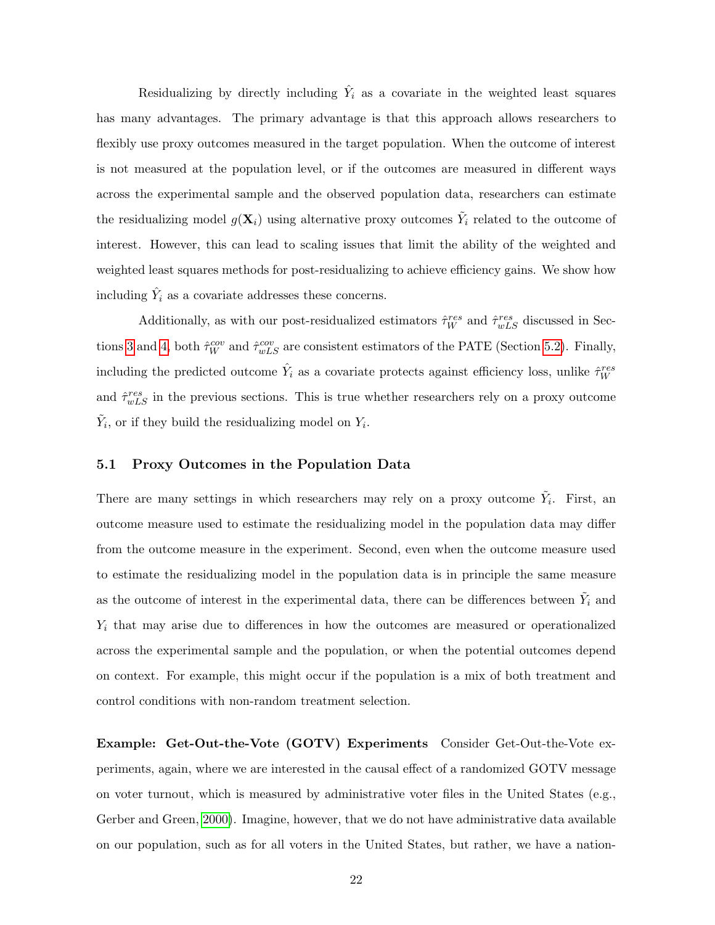Residualizing by directly including  $\hat{Y}_i$  as a covariate in the weighted least squares has many advantages. The primary advantage is that this approach allows researchers to flexibly use proxy outcomes measured in the target population. When the outcome of interest is not measured at the population level, or if the outcomes are measured in different ways across the experimental sample and the observed population data, researchers can estimate the residualizing model  $g(\mathbf{X}_i)$  using alternative proxy outcomes  $\tilde{Y}_i$  related to the outcome of interest. However, this can lead to scaling issues that limit the ability of the weighted and weighted least squares methods for post-residualizing to achieve efficiency gains. We show how including  $\hat{Y}_i$  as a covariate addresses these concerns.

Additionally, as with our post-residualized estimators  $\hat{\tau}_{W}^{res}$  and  $\hat{\tau}_{wLS}^{res}$  discussed in Sec-tions [3](#page-8-0) and [4,](#page-16-0) both  $\hat{\tau}_{W}^{cov}$  and  $\hat{\tau}_{wLS}^{cov}$  are consistent estimators of the PATE (Section [5.2\)](#page-24-0). Finally, including the predicted outcome  $\hat{Y}_i$  as a covariate protects against efficiency loss, unlike  $\hat{\tau}_W^{res}$ and  $\hat{\tau}_{wLS}^{res}$  in the previous sections. This is true whether researchers rely on a proxy outcome  $\tilde{Y}_i$ , or if they build the residualizing model on  $Y_i$ .

### 5.1 Proxy Outcomes in the Population Data

There are many settings in which researchers may rely on a proxy outcome  $\tilde{Y}_i$ . First, an outcome measure used to estimate the residualizing model in the population data may differ from the outcome measure in the experiment. Second, even when the outcome measure used to estimate the residualizing model in the population data is in principle the same measure as the outcome of interest in the experimental data, there can be differences between  $\tilde{Y}_i$  and  $Y_i$  that may arise due to differences in how the outcomes are measured or operationalized across the experimental sample and the population, or when the potential outcomes depend on context. For example, this might occur if the population is a mix of both treatment and control conditions with non-random treatment selection.

Example: Get-Out-the-Vote (GOTV) Experiments Consider Get-Out-the-Vote experiments, again, where we are interested in the causal effect of a randomized GOTV message on voter turnout, which is measured by administrative voter files in the United States (e.g., Gerber and Green, [2000\)](#page-38-6). Imagine, however, that we do not have administrative data available on our population, such as for all voters in the United States, but rather, we have a nation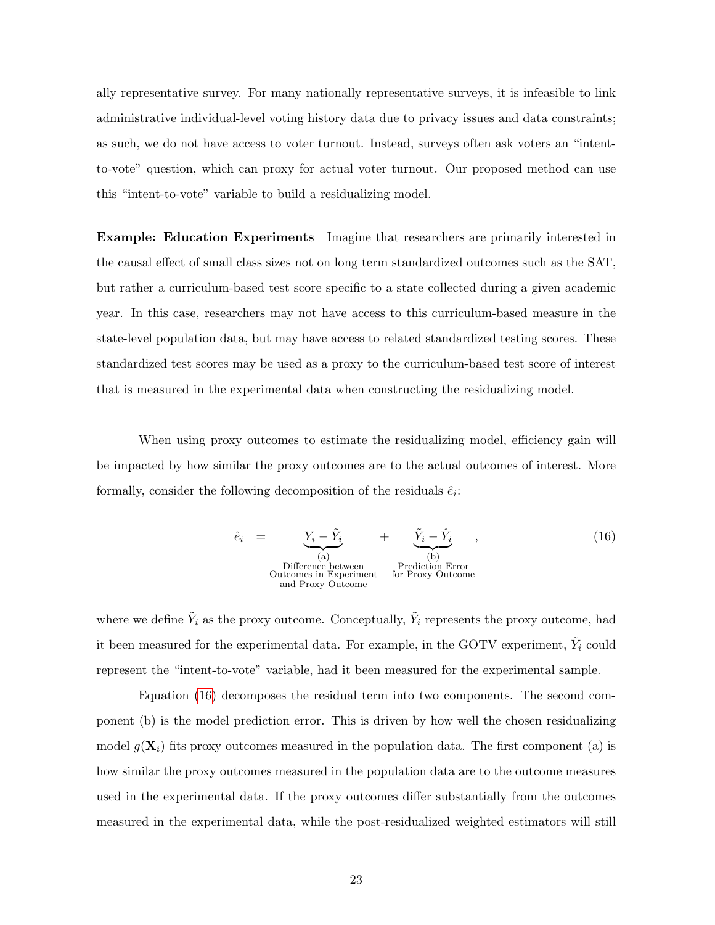ally representative survey. For many nationally representative surveys, it is infeasible to link administrative individual-level voting history data due to privacy issues and data constraints; as such, we do not have access to voter turnout. Instead, surveys often ask voters an "intentto-vote" question, which can proxy for actual voter turnout. Our proposed method can use this "intent-to-vote" variable to build a residualizing model.

Example: Education Experiments Imagine that researchers are primarily interested in the causal effect of small class sizes not on long term standardized outcomes such as the SAT, but rather a curriculum-based test score specific to a state collected during a given academic year. In this case, researchers may not have access to this curriculum-based measure in the state-level population data, but may have access to related standardized testing scores. These standardized test scores may be used as a proxy to the curriculum-based test score of interest that is measured in the experimental data when constructing the residualizing model.

When using proxy outcomes to estimate the residualizing model, efficiency gain will be impacted by how similar the proxy outcomes are to the actual outcomes of interest. More formally, consider the following decomposition of the residuals  $\hat{e}_i$ :

<span id="page-23-0"></span>
$$
\hat{e}_i = \underbrace{Y_i - \tilde{Y}_i}_{\text{(a)}} + \underbrace{\tilde{Y}_i - \hat{Y}_i}_{\text{(b)}} ,
$$
\n(16)\n  
\nDifference between  
\noutcomes in Experiment  
\nand Proxy Outcome\n  
\nfor Proxy Outcome

where we define  $\tilde{Y}_i$  as the proxy outcome. Conceptually,  $\tilde{Y}_i$  represents the proxy outcome, had it been measured for the experimental data. For example, in the GOTV experiment,  $\tilde{Y}_i$  could represent the "intent-to-vote" variable, had it been measured for the experimental sample.

Equation [\(16\)](#page-23-0) decomposes the residual term into two components. The second component (b) is the model prediction error. This is driven by how well the chosen residualizing model  $g(\mathbf{X}_i)$  fits proxy outcomes measured in the population data. The first component (a) is how similar the proxy outcomes measured in the population data are to the outcome measures used in the experimental data. If the proxy outcomes differ substantially from the outcomes measured in the experimental data, while the post-residualized weighted estimators will still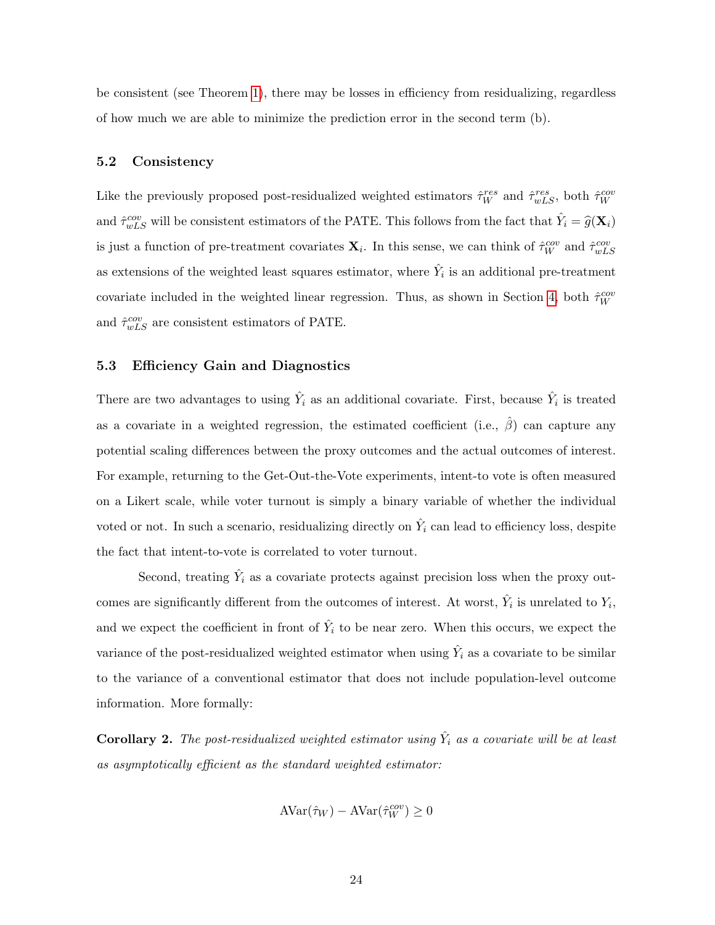be consistent (see Theorem [1\)](#page-13-1), there may be losses in efficiency from residualizing, regardless of how much we are able to minimize the prediction error in the second term (b).

### <span id="page-24-0"></span>5.2 Consistency

Like the previously proposed post-residualized weighted estimators  $\hat{\tau}_{W}^{res}$  and  $\hat{\tau}_{wLS}^{res}$ , both  $\hat{\tau}_{W}^{cov}$ and  $\hat{\tau}_{wLS}^{cov}$  will be consistent estimators of the PATE. This follows from the fact that  $\hat{Y}_i = \hat{g}(\mathbf{X}_i)$ is just a function of pre-treatment covariates  $\mathbf{X}_i$ . In this sense, we can think of  $\hat{\tau}_{W}^{cov}$  and  $\hat{\tau}_{wLS}^{cov}$ as extensions of the weighted least squares estimator, where  $\hat{Y}_i$  is an additional pre-treatment covariate included in the weighted linear regression. Thus, as shown in Section [4,](#page-16-0) both  $\hat{\tau}_W^{cov}$ and  $\hat{\tau}_{wLS}^{cov}$  are consistent estimators of PATE.

### 5.3 Efficiency Gain and Diagnostics

There are two advantages to using  $\hat{Y}_i$  as an additional covariate. First, because  $\hat{Y}_i$  is treated as a covariate in a weighted regression, the estimated coefficient (i.e.,  $\hat{\beta}$ ) can capture any potential scaling differences between the proxy outcomes and the actual outcomes of interest. For example, returning to the Get-Out-the-Vote experiments, intent-to vote is often measured on a Likert scale, while voter turnout is simply a binary variable of whether the individual voted or not. In such a scenario, residualizing directly on  $\hat{Y}_i$  can lead to efficiency loss, despite the fact that intent-to-vote is correlated to voter turnout.

Second, treating  $\hat{Y}_i$  as a covariate protects against precision loss when the proxy outcomes are significantly different from the outcomes of interest. At worst,  $\hat{Y}_i$  is unrelated to  $Y_i$ , and we expect the coefficient in front of  $\hat{Y}_i$  to be near zero. When this occurs, we expect the variance of the post-residualized weighted estimator when using  $\hat{Y}_i$  as a covariate to be similar to the variance of a conventional estimator that does not include population-level outcome information. More formally:

**Corollary 2.** The post-residualized weighted estimator using  $\hat{Y}_i$  as a covariate will be at least as asymptotically efficient as the standard weighted estimator:

$$
AVar(\hat{\tau}_W) - AVar(\hat{\tau}_W^{cov}) \ge 0
$$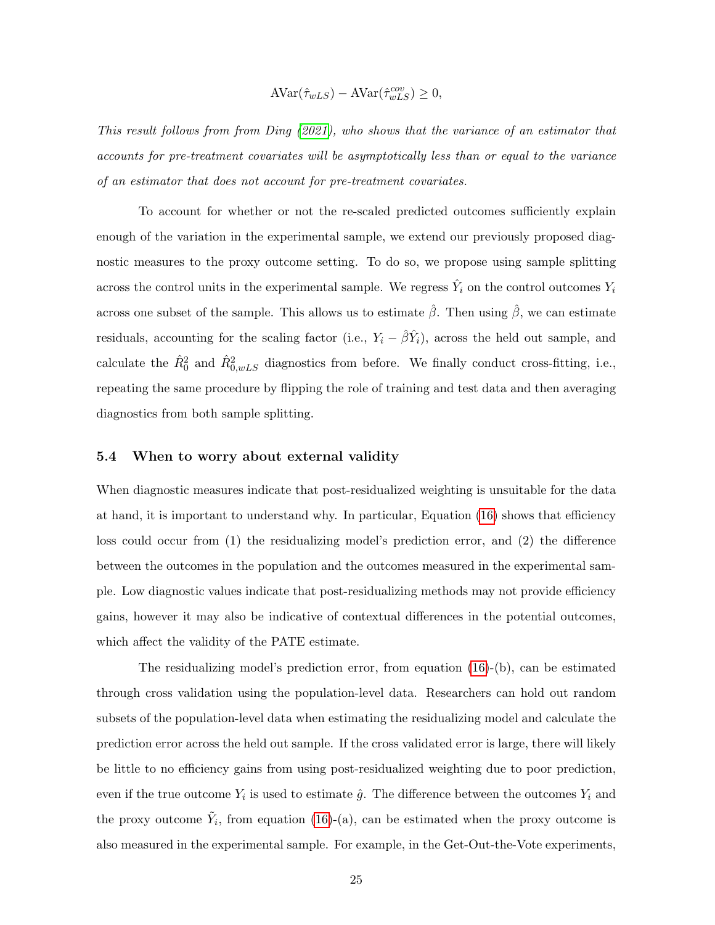$$
AVar(\hat{\tau}_{wLS}) - AVar(\hat{\tau}_{wLS}^{cov}) \ge 0,
$$

This result follows from from Ding [\(2021\)](#page-37-9), who shows that the variance of an estimator that accounts for pre-treatment covariates will be asymptotically less than or equal to the variance of an estimator that does not account for pre-treatment covariates.

To account for whether or not the re-scaled predicted outcomes sufficiently explain enough of the variation in the experimental sample, we extend our previously proposed diagnostic measures to the proxy outcome setting. To do so, we propose using sample splitting across the control units in the experimental sample. We regress  $\hat{Y}_i$  on the control outcomes  $Y_i$ across one subset of the sample. This allows us to estimate  $\hat{\beta}$ . Then using  $\hat{\beta}$ , we can estimate residuals, accounting for the scaling factor (i.e.,  $Y_i - \hat{\beta}\hat{Y}_i$ ), across the held out sample, and calculate the  $\hat{R}_{0}^{2}$  and  $\hat{R}_{0,wLS}^{2}$  diagnostics from before. We finally conduct cross-fitting, i.e., repeating the same procedure by flipping the role of training and test data and then averaging diagnostics from both sample splitting.

### 5.4 When to worry about external validity

When diagnostic measures indicate that post-residualized weighting is unsuitable for the data at hand, it is important to understand why. In particular, Equation [\(16\)](#page-23-0) shows that efficiency loss could occur from (1) the residualizing model's prediction error, and (2) the difference between the outcomes in the population and the outcomes measured in the experimental sample. Low diagnostic values indicate that post-residualizing methods may not provide efficiency gains, however it may also be indicative of contextual differences in the potential outcomes, which affect the validity of the PATE estimate.

The residualizing model's prediction error, from equation [\(16\)](#page-23-0)-(b), can be estimated through cross validation using the population-level data. Researchers can hold out random subsets of the population-level data when estimating the residualizing model and calculate the prediction error across the held out sample. If the cross validated error is large, there will likely be little to no efficiency gains from using post-residualized weighting due to poor prediction, even if the true outcome  $Y_i$  is used to estimate  $\hat{g}$ . The difference between the outcomes  $Y_i$  and the proxy outcome  $\tilde{Y}_i$ , from equation [\(16\)](#page-23-0)-(a), can be estimated when the proxy outcome is also measured in the experimental sample. For example, in the Get-Out-the-Vote experiments,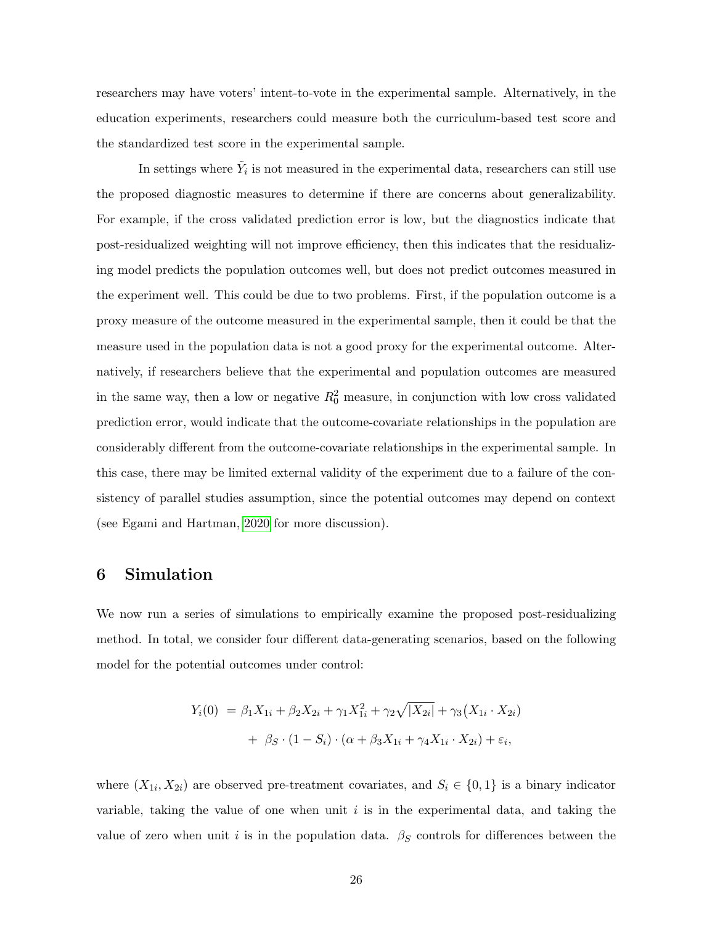researchers may have voters' intent-to-vote in the experimental sample. Alternatively, in the education experiments, researchers could measure both the curriculum-based test score and the standardized test score in the experimental sample.

In settings where  $\tilde{Y}_i$  is not measured in the experimental data, researchers can still use the proposed diagnostic measures to determine if there are concerns about generalizability. For example, if the cross validated prediction error is low, but the diagnostics indicate that post-residualized weighting will not improve efficiency, then this indicates that the residualizing model predicts the population outcomes well, but does not predict outcomes measured in the experiment well. This could be due to two problems. First, if the population outcome is a proxy measure of the outcome measured in the experimental sample, then it could be that the measure used in the population data is not a good proxy for the experimental outcome. Alternatively, if researchers believe that the experimental and population outcomes are measured in the same way, then a low or negative  $R_0^2$  measure, in conjunction with low cross validated prediction error, would indicate that the outcome-covariate relationships in the population are considerably different from the outcome-covariate relationships in the experimental sample. In this case, there may be limited external validity of the experiment due to a failure of the consistency of parallel studies assumption, since the potential outcomes may depend on context (see Egami and Hartman, [2020](#page-37-4) for more discussion).

### <span id="page-26-0"></span>6 Simulation

We now run a series of simulations to empirically examine the proposed post-residualizing method. In total, we consider four different data-generating scenarios, based on the following model for the potential outcomes under control:

$$
Y_i(0) = \beta_1 X_{1i} + \beta_2 X_{2i} + \gamma_1 X_{1i}^2 + \gamma_2 \sqrt{|X_{2i}|} + \gamma_3 (X_{1i} \cdot X_{2i})
$$

$$
+ \beta_S \cdot (1 - S_i) \cdot (\alpha + \beta_3 X_{1i} + \gamma_4 X_{1i} \cdot X_{2i}) + \varepsilon_i,
$$

where  $(X_{1i}, X_{2i})$  are observed pre-treatment covariates, and  $S_i \in \{0,1\}$  is a binary indicator variable, taking the value of one when unit  $i$  is in the experimental data, and taking the value of zero when unit i is in the population data.  $\beta_S$  controls for differences between the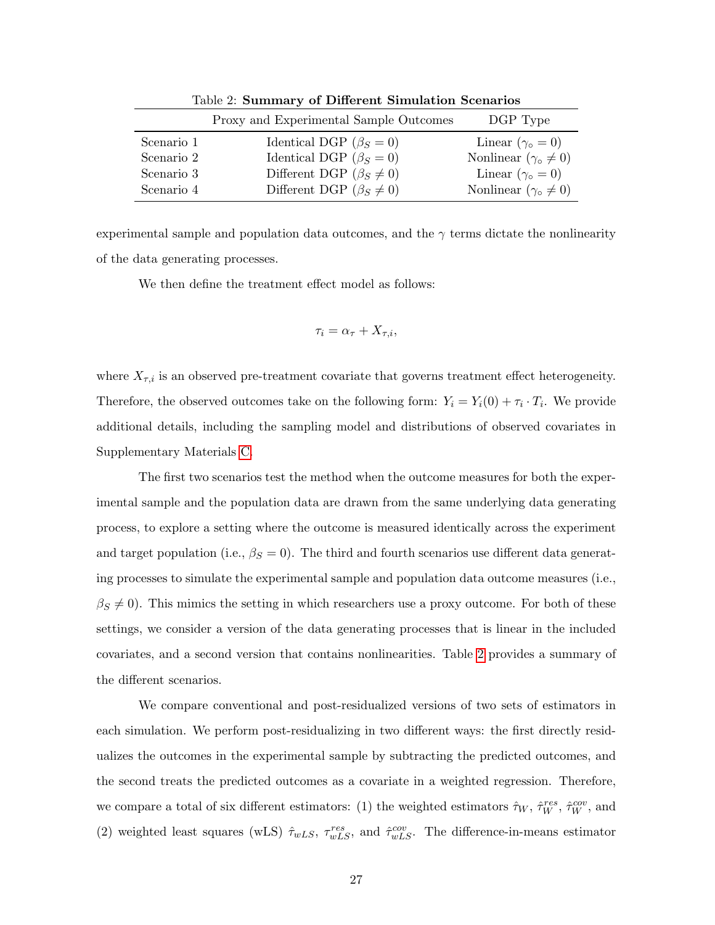|            | Proxy and Experimental Sample Outcomes | DGP Type                            |
|------------|----------------------------------------|-------------------------------------|
| Scenario 1 | Identical DGP ( $\beta_S = 0$ )        | Linear $(\gamma_{\circ} = 0)$       |
| Scenario 2 | Identical DGP ( $\beta_S = 0$ )        | Nonlinear $(\gamma_{\circ} \neq 0)$ |
| Scenario 3 | Different DGP ( $\beta_S \neq 0$ )     | Linear $(\gamma_{\circ} = 0)$       |
| Scenario 4 | Different DGP ( $\beta_S \neq 0$ )     | Nonlinear $(\gamma_0 \neq 0)$       |

<span id="page-27-0"></span>Table 2: Summary of Different Simulation Scenarios

experimental sample and population data outcomes, and the  $\gamma$  terms dictate the nonlinearity of the data generating processes.

We then define the treatment effect model as follows:

$$
\tau_i = \alpha_\tau + X_{\tau,i},
$$

where  $X_{\tau,i}$  is an observed pre-treatment covariate that governs treatment effect heterogeneity. Therefore, the observed outcomes take on the following form:  $Y_i = Y_i(0) + \tau_i \cdot T_i$ . We provide additional details, including the sampling model and distributions of observed covariates in Supplementary Materials [C.](#page-57-0)

The first two scenarios test the method when the outcome measures for both the experimental sample and the population data are drawn from the same underlying data generating process, to explore a setting where the outcome is measured identically across the experiment and target population (i.e.,  $\beta_S = 0$ ). The third and fourth scenarios use different data generating processes to simulate the experimental sample and population data outcome measures (i.e.,  $\beta_S \neq 0$ . This mimics the setting in which researchers use a proxy outcome. For both of these settings, we consider a version of the data generating processes that is linear in the included covariates, and a second version that contains nonlinearities. Table [2](#page-27-0) provides a summary of the different scenarios.

We compare conventional and post-residualized versions of two sets of estimators in each simulation. We perform post-residualizing in two different ways: the first directly residualizes the outcomes in the experimental sample by subtracting the predicted outcomes, and the second treats the predicted outcomes as a covariate in a weighted regression. Therefore, we compare a total of six different estimators: (1) the weighted estimators  $\hat{\tau}_W$ ,  $\hat{\tau}_W^{res}$ ,  $\hat{\tau}_W^{cov}$ , and (2) weighted least squares (wLS)  $\hat{\tau}_{wLS}$ ,  $\tau_{wLS}^{res}$ , and  $\hat{\tau}_{wLS}^{cov}$ . The difference-in-means estimator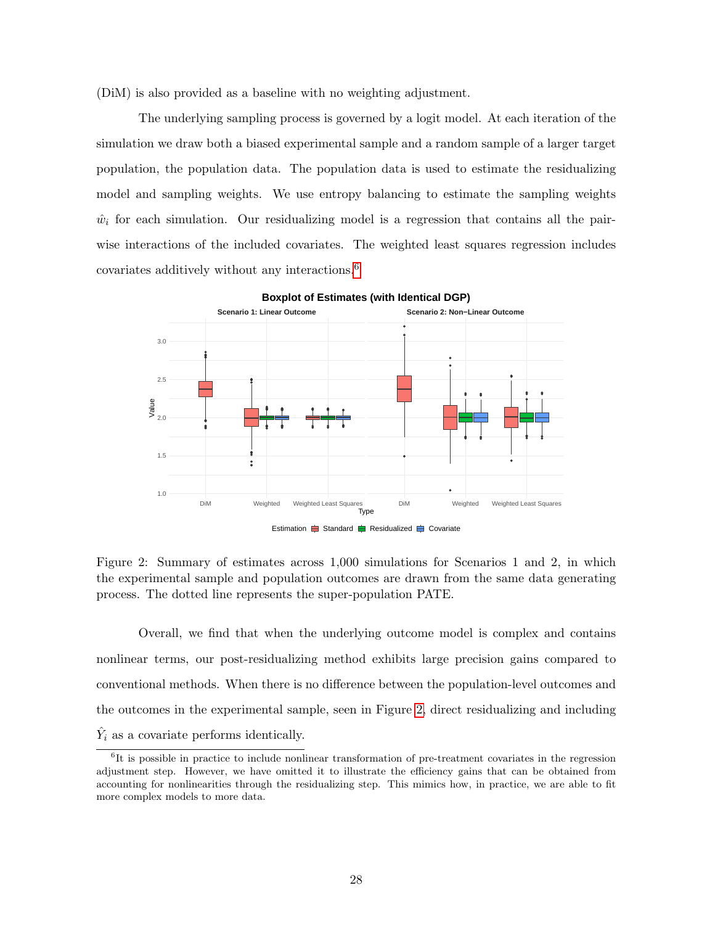(DiM) is also provided as a baseline with no weighting adjustment.

The underlying sampling process is governed by a logit model. At each iteration of the simulation we draw both a biased experimental sample and a random sample of a larger target population, the population data. The population data is used to estimate the residualizing model and sampling weights. We use entropy balancing to estimate the sampling weights  $\hat{w}_i$  for each simulation. Our residualizing model is a regression that contains all the pairwise interactions of the included covariates. The weighted least squares regression includes covariates additively without any interactions.[6](#page-0-0)



**Boxplot of Estimates (with Identical DGP)**

<span id="page-28-0"></span>Figure 2: Summary of estimates across 1,000 simulations for Scenarios 1 and 2, in which the experimental sample and population outcomes are drawn from the same data generating process. The dotted line represents the super-population PATE.

Overall, we find that when the underlying outcome model is complex and contains nonlinear terms, our post-residualizing method exhibits large precision gains compared to conventional methods. When there is no difference between the population-level outcomes and the outcomes in the experimental sample, seen in Figure [2,](#page-28-0) direct residualizing and including  $\hat{Y}_i$  as a covariate performs identically.

<sup>6</sup> It is possible in practice to include nonlinear transformation of pre-treatment covariates in the regression adjustment step. However, we have omitted it to illustrate the efficiency gains that can be obtained from accounting for nonlinearities through the residualizing step. This mimics how, in practice, we are able to fit more complex models to more data.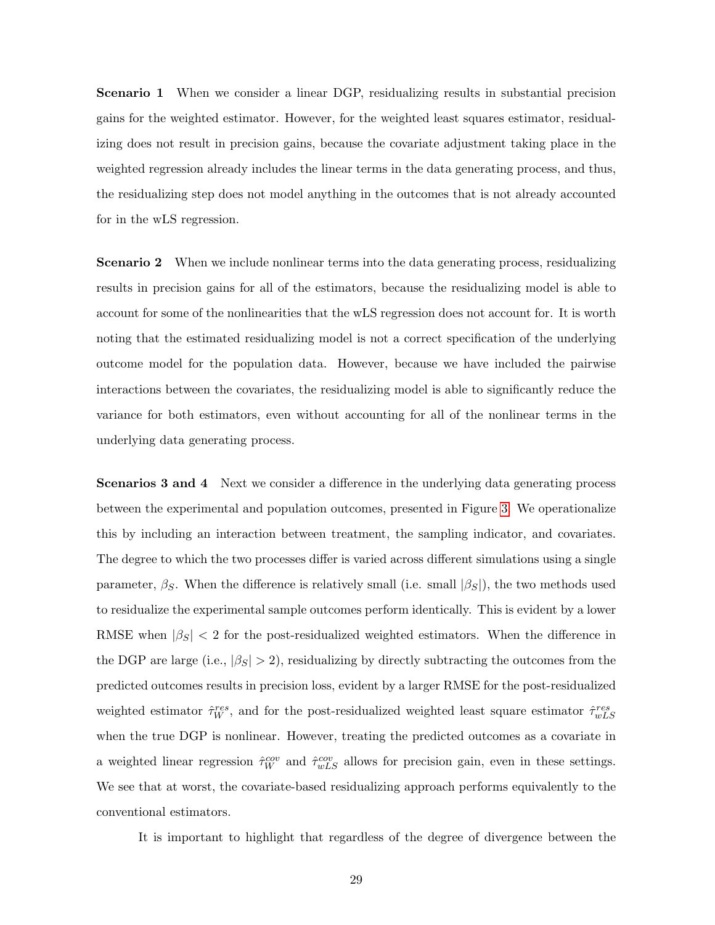Scenario 1 When we consider a linear DGP, residualizing results in substantial precision gains for the weighted estimator. However, for the weighted least squares estimator, residualizing does not result in precision gains, because the covariate adjustment taking place in the weighted regression already includes the linear terms in the data generating process, and thus, the residualizing step does not model anything in the outcomes that is not already accounted for in the wLS regression.

**Scenario 2** When we include nonlinear terms into the data generating process, residualizing results in precision gains for all of the estimators, because the residualizing model is able to account for some of the nonlinearities that the wLS regression does not account for. It is worth noting that the estimated residualizing model is not a correct specification of the underlying outcome model for the population data. However, because we have included the pairwise interactions between the covariates, the residualizing model is able to significantly reduce the variance for both estimators, even without accounting for all of the nonlinear terms in the underlying data generating process.

Scenarios 3 and 4 Next we consider a difference in the underlying data generating process between the experimental and population outcomes, presented in Figure [3.](#page-30-1) We operationalize this by including an interaction between treatment, the sampling indicator, and covariates. The degree to which the two processes differ is varied across different simulations using a single parameter,  $\beta_S$ . When the difference is relatively small (i.e. small  $|\beta_S|$ ), the two methods used to residualize the experimental sample outcomes perform identically. This is evident by a lower RMSE when  $|\beta_S|$  < 2 for the post-residualized weighted estimators. When the difference in the DGP are large (i.e.,  $|\beta_{S}| > 2$ ), residualizing by directly subtracting the outcomes from the predicted outcomes results in precision loss, evident by a larger RMSE for the post-residualized weighted estimator  $\hat{\tau}_{W}^{res}$ , and for the post-residualized weighted least square estimator  $\hat{\tau}_{wLS}^{res}$ when the true DGP is nonlinear. However, treating the predicted outcomes as a covariate in a weighted linear regression  $\hat{\tau}_{W}^{cov}$  and  $\hat{\tau}_{wLS}^{cov}$  allows for precision gain, even in these settings. We see that at worst, the covariate-based residualizing approach performs equivalently to the conventional estimators.

It is important to highlight that regardless of the degree of divergence between the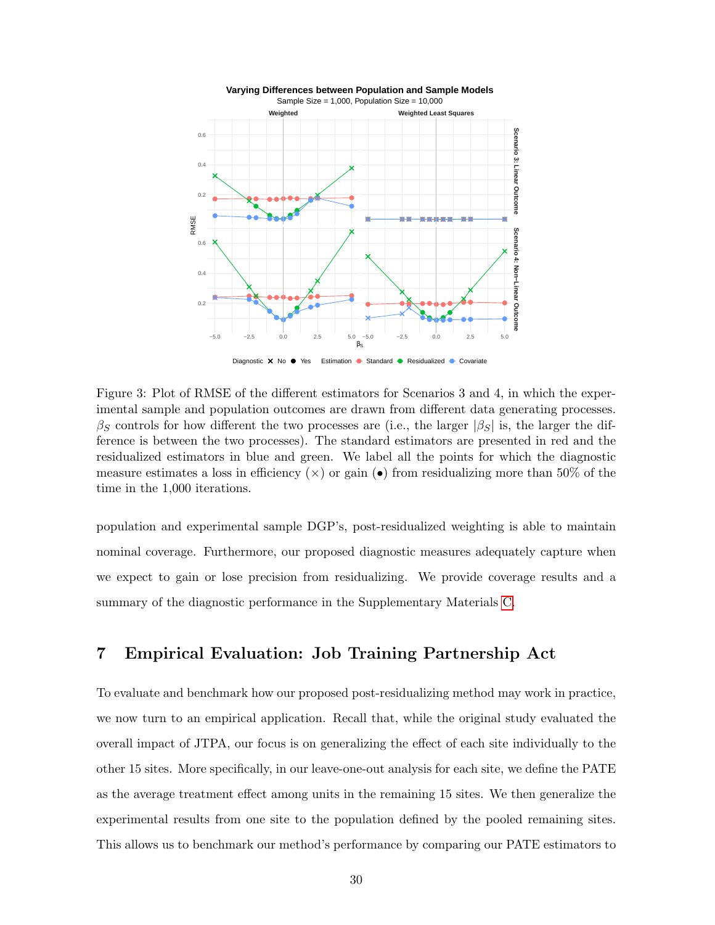

<span id="page-30-1"></span>Figure 3: Plot of RMSE of the different estimators for Scenarios 3 and 4, in which the experimental sample and population outcomes are drawn from different data generating processes.  $\beta_S$  controls for how different the two processes are (i.e., the larger  $|\beta_S|$  is, the larger the difference is between the two processes). The standard estimators are presented in red and the residualized estimators in blue and green. We label all the points for which the diagnostic measure estimates a loss in efficiency  $(\times)$  or gain ( $\bullet$ ) from residualizing more than 50% of the time in the 1,000 iterations.

population and experimental sample DGP's, post-residualized weighting is able to maintain nominal coverage. Furthermore, our proposed diagnostic measures adequately capture when we expect to gain or lose precision from residualizing. We provide coverage results and a summary of the diagnostic performance in the Supplementary Materials [C.](#page-57-0)

# <span id="page-30-0"></span>7 Empirical Evaluation: Job Training Partnership Act

To evaluate and benchmark how our proposed post-residualizing method may work in practice, we now turn to an empirical application. Recall that, while the original study evaluated the overall impact of JTPA, our focus is on generalizing the effect of each site individually to the other 15 sites. More specifically, in our leave-one-out analysis for each site, we define the PATE as the average treatment effect among units in the remaining 15 sites. We then generalize the experimental results from one site to the population defined by the pooled remaining sites. This allows us to benchmark our method's performance by comparing our PATE estimators to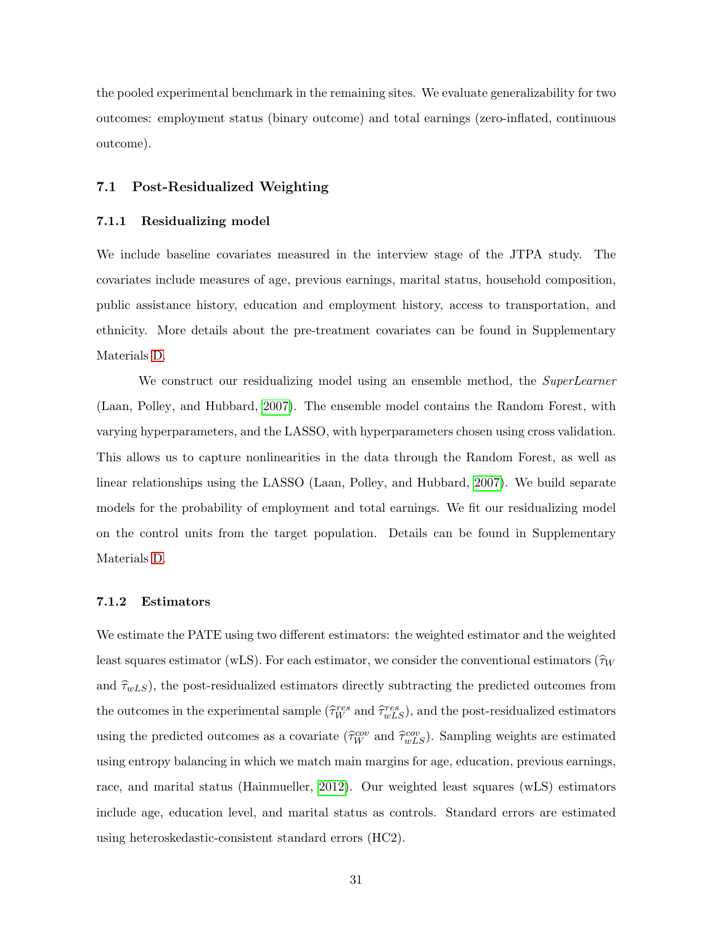the pooled experimental benchmark in the remaining sites. We evaluate generalizability for two outcomes: employment status (binary outcome) and total earnings (zero-inflated, continuous outcome).

### 7.1 Post-Residualized Weighting

#### 7.1.1 Residualizing model

We include baseline covariates measured in the interview stage of the JTPA study. The covariates include measures of age, previous earnings, marital status, household composition, public assistance history, education and employment history, access to transportation, and ethnicity. More details about the pre-treatment covariates can be found in Supplementary Materials [D.](#page-61-0)

We construct our residualizing model using an ensemble method, the *SuperLearner* (Laan, Polley, and Hubbard, [2007\)](#page-38-8). The ensemble model contains the Random Forest, with varying hyperparameters, and the LASSO, with hyperparameters chosen using cross validation. This allows us to capture nonlinearities in the data through the Random Forest, as well as linear relationships using the LASSO (Laan, Polley, and Hubbard, [2007\)](#page-38-8). We build separate models for the probability of employment and total earnings. We fit our residualizing model on the control units from the target population. Details can be found in Supplementary Materials [D.](#page-61-0)

### 7.1.2 Estimators

We estimate the PATE using two different estimators: the weighted estimator and the weighted least squares estimator (wLS). For each estimator, we consider the conventional estimators ( $\hat{\tau}_W$ and  $\hat{\tau}_{wLS}$ ), the post-residualized estimators directly subtracting the predicted outcomes from the outcomes in the experimental sample  $(\hat{\tau}_{W}^{res} \text{ and } \hat{\tau}_{wLS}^{res}),$  and the post-residualized estimators using the predicted outcomes as a covariate  $(\hat{\tau}_W^{cov}$  and  $\hat{\tau}_{wLS}^{cov})$ . Sampling weights are estimated using entropy balancing in which we match main margins for age, education, previous earnings, race, and marital status (Hainmueller, [2012\)](#page-38-4). Our weighted least squares (wLS) estimators include age, education level, and marital status as controls. Standard errors are estimated using heteroskedastic-consistent standard errors (HC2).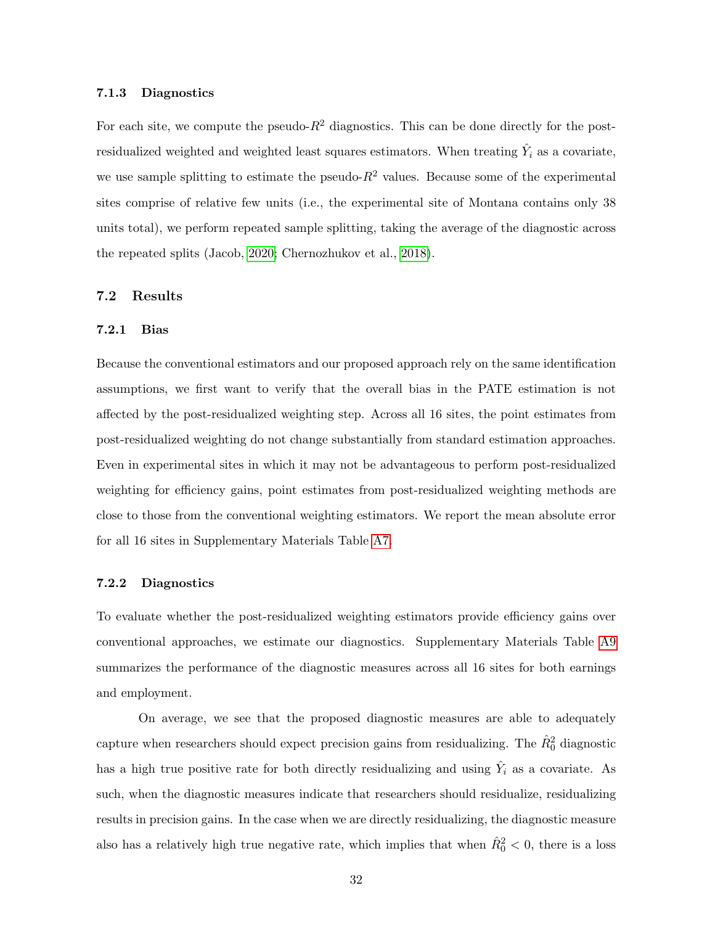#### 7.1.3 Diagnostics

For each site, we compute the pseudo- $R^2$  diagnostics. This can be done directly for the postresidualized weighted and weighted least squares estimators. When treating  $\hat{Y}_i$  as a covariate, we use sample splitting to estimate the pseudo- $R^2$  values. Because some of the experimental sites comprise of relative few units (i.e., the experimental site of Montana contains only 38 units total), we perform repeated sample splitting, taking the average of the diagnostic across the repeated splits (Jacob, [2020;](#page-38-9) Chernozhukov et al., [2018\)](#page-37-10).

### 7.2 Results

#### 7.2.1 Bias

Because the conventional estimators and our proposed approach rely on the same identification assumptions, we first want to verify that the overall bias in the PATE estimation is not affected by the post-residualized weighting step. Across all 16 sites, the point estimates from post-residualized weighting do not change substantially from standard estimation approaches. Even in experimental sites in which it may not be advantageous to perform post-residualized weighting for efficiency gains, point estimates from post-residualized weighting methods are close to those from the conventional weighting estimators. We report the mean absolute error for all 16 sites in Supplementary Materials Table [A7.](#page-66-0)

### 7.2.2 Diagnostics

To evaluate whether the post-residualized weighting estimators provide efficiency gains over conventional approaches, we estimate our diagnostics. Supplementary Materials Table [A9](#page-68-0) summarizes the performance of the diagnostic measures across all 16 sites for both earnings and employment.

On average, we see that the proposed diagnostic measures are able to adequately capture when researchers should expect precision gains from residualizing. The  $\hat{R}_0^2$  diagnostic has a high true positive rate for both directly residualizing and using  $\hat{Y}_i$  as a covariate. As such, when the diagnostic measures indicate that researchers should residualize, residualizing results in precision gains. In the case when we are directly residualizing, the diagnostic measure also has a relatively high true negative rate, which implies that when  $\hat{R}_{0}^{2} < 0$ , there is a loss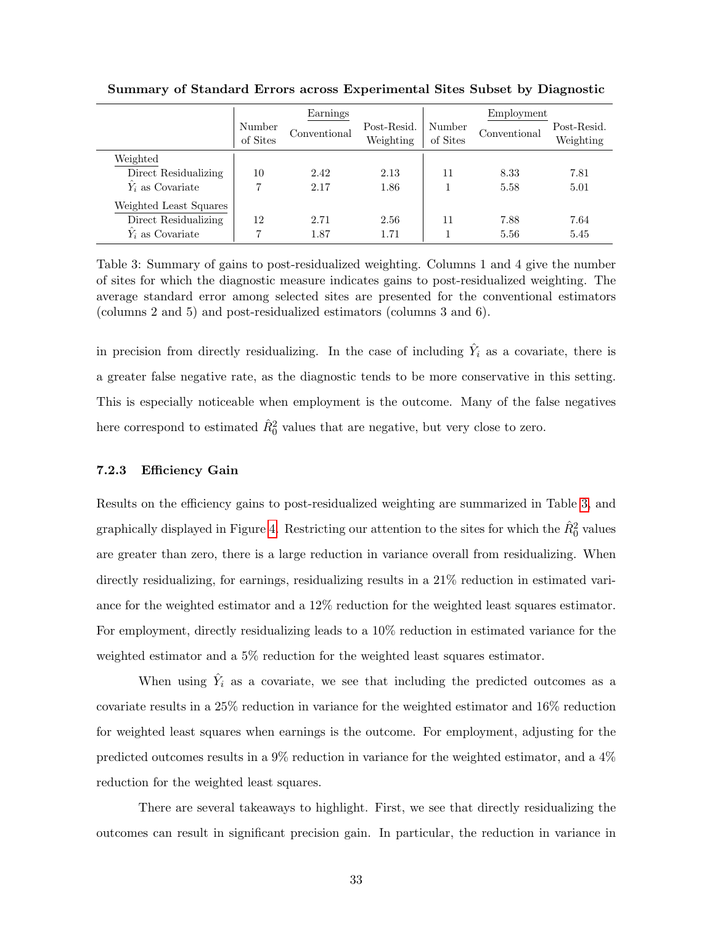|                          | Earnings           |              |                          | Employment         |              |                          |
|--------------------------|--------------------|--------------|--------------------------|--------------------|--------------|--------------------------|
|                          | Number<br>of Sites | Conventional | Post-Resid.<br>Weighting | Number<br>of Sites | Conventional | Post-Resid.<br>Weighting |
| Weighted                 |                    |              |                          |                    |              |                          |
| Direct Residualizing     | 10                 | 2.42         | 2.13                     | 11                 | 8.33         | 7.81                     |
| $\hat{Y}_i$ as Covariate | 7                  | 2.17         | 1.86                     |                    | 5.58         | 5.01                     |
| Weighted Least Squares   |                    |              |                          |                    |              |                          |
| Direct Residualizing     | 12                 | 2.71         | 2.56                     | 11                 | 7.88         | 7.64                     |
| $\hat{Y}_i$ as Covariate |                    | 1.87         | 1.71                     |                    | 5.56         | 5.45                     |

Summary of Standard Errors across Experimental Sites Subset by Diagnostic

<span id="page-33-0"></span>Table 3: Summary of gains to post-residualized weighting. Columns 1 and 4 give the number of sites for which the diagnostic measure indicates gains to post-residualized weighting. The average standard error among selected sites are presented for the conventional estimators (columns 2 and 5) and post-residualized estimators (columns 3 and 6).

in precision from directly residualizing. In the case of including  $\hat{Y}_i$  as a covariate, there is a greater false negative rate, as the diagnostic tends to be more conservative in this setting. This is especially noticeable when employment is the outcome. Many of the false negatives here correspond to estimated  $\hat{R}_0^2$  values that are negative, but very close to zero.

### 7.2.3 Efficiency Gain

Results on the efficiency gains to post-residualized weighting are summarized in Table [3,](#page-33-0) and graphically displayed in Figure [4.](#page-34-0) Restricting our attention to the sites for which the  $\hat{R}_0^2$  values are greater than zero, there is a large reduction in variance overall from residualizing. When directly residualizing, for earnings, residualizing results in a 21% reduction in estimated variance for the weighted estimator and a 12% reduction for the weighted least squares estimator. For employment, directly residualizing leads to a 10% reduction in estimated variance for the weighted estimator and a 5% reduction for the weighted least squares estimator.

When using  $\hat{Y}_i$  as a covariate, we see that including the predicted outcomes as a covariate results in a 25% reduction in variance for the weighted estimator and 16% reduction for weighted least squares when earnings is the outcome. For employment, adjusting for the predicted outcomes results in a 9% reduction in variance for the weighted estimator, and a 4% reduction for the weighted least squares.

There are several takeaways to highlight. First, we see that directly residualizing the outcomes can result in significant precision gain. In particular, the reduction in variance in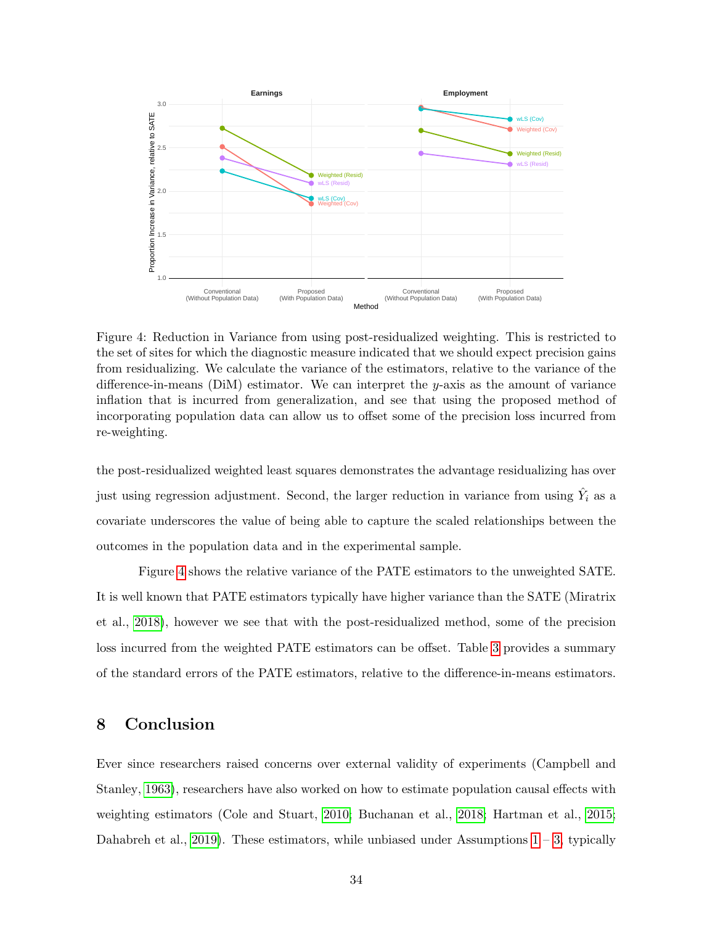

<span id="page-34-0"></span>Figure 4: Reduction in Variance from using post-residualized weighting. This is restricted to the set of sites for which the diagnostic measure indicated that we should expect precision gains from residualizing. We calculate the variance of the estimators, relative to the variance of the difference-in-means (DiM) estimator. We can interpret the y-axis as the amount of variance inflation that is incurred from generalization, and see that using the proposed method of incorporating population data can allow us to offset some of the precision loss incurred from re-weighting.

the post-residualized weighted least squares demonstrates the advantage residualizing has over just using regression adjustment. Second, the larger reduction in variance from using  $\hat{Y}_i$  as a covariate underscores the value of being able to capture the scaled relationships between the outcomes in the population data and in the experimental sample.

Figure [4](#page-34-0) shows the relative variance of the PATE estimators to the unweighted SATE. It is well known that PATE estimators typically have higher variance than the SATE (Miratrix et al., [2018\)](#page-39-1), however we see that with the post-residualized method, some of the precision loss incurred from the weighted PATE estimators can be offset. Table [3](#page-33-0) provides a summary of the standard errors of the PATE estimators, relative to the difference-in-means estimators.

# 8 Conclusion

Ever since researchers raised concerns over external validity of experiments (Campbell and Stanley, [1963\)](#page-37-11), researchers have also worked on how to estimate population causal effects with weighting estimators (Cole and Stuart, [2010;](#page-37-2) Buchanan et al., [2018;](#page-36-3) Hartman et al., [2015;](#page-38-1) Dahabreh et al., [2019\)](#page-37-3). These estimators, while unbiased under Assumptions  $1 - 3$ , typically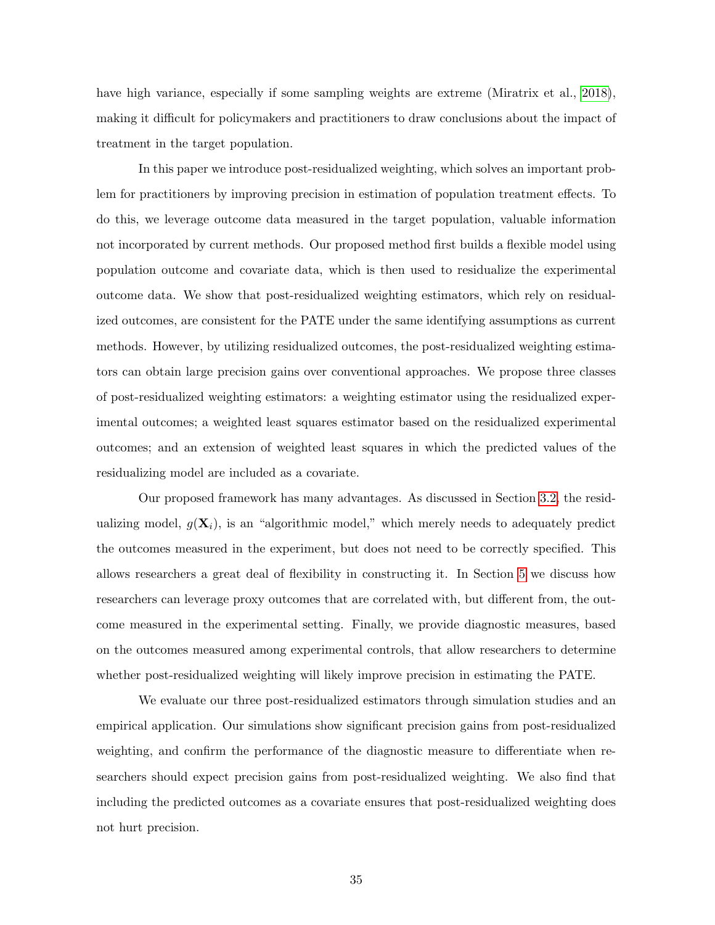have high variance, especially if some sampling weights are extreme (Miratrix et al., [2018\)](#page-39-1), making it difficult for policymakers and practitioners to draw conclusions about the impact of treatment in the target population.

In this paper we introduce post-residualized weighting, which solves an important problem for practitioners by improving precision in estimation of population treatment effects. To do this, we leverage outcome data measured in the target population, valuable information not incorporated by current methods. Our proposed method first builds a flexible model using population outcome and covariate data, which is then used to residualize the experimental outcome data. We show that post-residualized weighting estimators, which rely on residualized outcomes, are consistent for the PATE under the same identifying assumptions as current methods. However, by utilizing residualized outcomes, the post-residualized weighting estimators can obtain large precision gains over conventional approaches. We propose three classes of post-residualized weighting estimators: a weighting estimator using the residualized experimental outcomes; a weighted least squares estimator based on the residualized experimental outcomes; and an extension of weighted least squares in which the predicted values of the residualizing model are included as a covariate.

Our proposed framework has many advantages. As discussed in Section [3.2,](#page-10-1) the residualizing model,  $g(\mathbf{X}_i)$ , is an "algorithmic model," which merely needs to adequately predict the outcomes measured in the experiment, but does not need to be correctly specified. This allows researchers a great deal of flexibility in constructing it. In Section [5](#page-21-0) we discuss how researchers can leverage proxy outcomes that are correlated with, but different from, the outcome measured in the experimental setting. Finally, we provide diagnostic measures, based on the outcomes measured among experimental controls, that allow researchers to determine whether post-residualized weighting will likely improve precision in estimating the PATE.

We evaluate our three post-residualized estimators through simulation studies and an empirical application. Our simulations show significant precision gains from post-residualized weighting, and confirm the performance of the diagnostic measure to differentiate when researchers should expect precision gains from post-residualized weighting. We also find that including the predicted outcomes as a covariate ensures that post-residualized weighting does not hurt precision.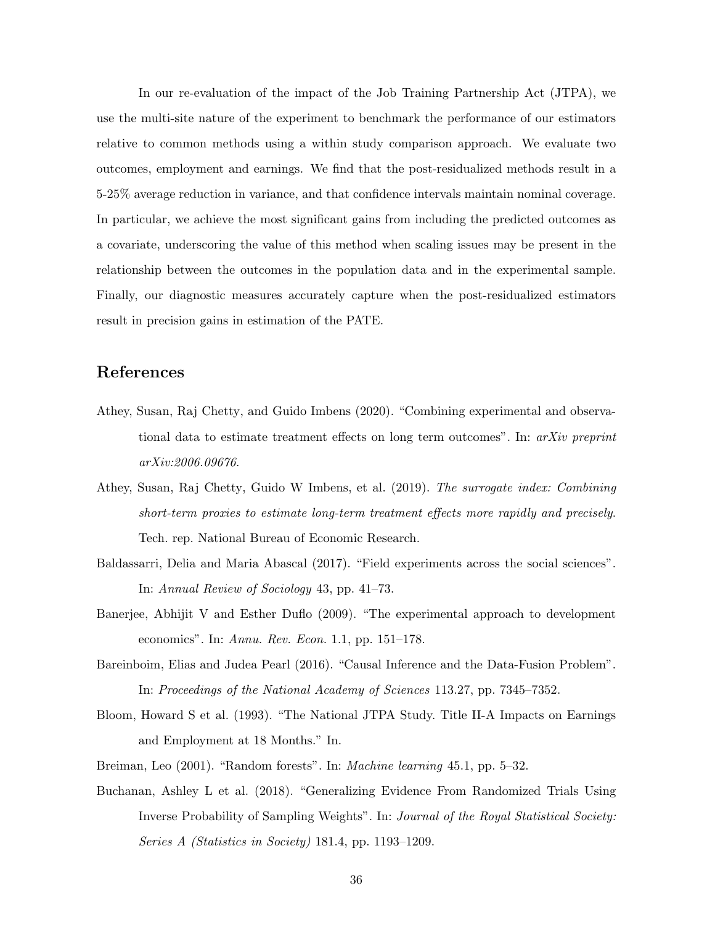In our re-evaluation of the impact of the Job Training Partnership Act (JTPA), we use the multi-site nature of the experiment to benchmark the performance of our estimators relative to common methods using a within study comparison approach. We evaluate two outcomes, employment and earnings. We find that the post-residualized methods result in a 5-25% average reduction in variance, and that confidence intervals maintain nominal coverage. In particular, we achieve the most significant gains from including the predicted outcomes as a covariate, underscoring the value of this method when scaling issues may be present in the relationship between the outcomes in the population data and in the experimental sample. Finally, our diagnostic measures accurately capture when the post-residualized estimators result in precision gains in estimation of the PATE.

# References

- Athey, Susan, Raj Chetty, and Guido Imbens (2020). "Combining experimental and observational data to estimate treatment effects on long term outcomes". In:  $arXiv$  preprint arXiv:2006.09676.
- Athey, Susan, Raj Chetty, Guido W Imbens, et al. (2019). The surrogate index: Combining short-term proxies to estimate long-term treatment effects more rapidly and precisely. Tech. rep. National Bureau of Economic Research.
- Baldassarri, Delia and Maria Abascal (2017). "Field experiments across the social sciences". In: Annual Review of Sociology 43, pp. 41–73.
- Banerjee, Abhijit V and Esther Duflo (2009). "The experimental approach to development economics". In: Annu. Rev. Econ. 1.1, pp. 151–178.
- Bareinboim, Elias and Judea Pearl (2016). "Causal Inference and the Data-Fusion Problem". In: Proceedings of the National Academy of Sciences 113.27, pp. 7345–7352.
- Bloom, Howard S et al. (1993). "The National JTPA Study. Title II-A Impacts on Earnings and Employment at 18 Months." In.
- Breiman, Leo (2001). "Random forests". In: Machine learning 45.1, pp. 5–32.
- Buchanan, Ashley L et al. (2018). "Generalizing Evidence From Randomized Trials Using Inverse Probability of Sampling Weights". In: Journal of the Royal Statistical Society: Series A (Statistics in Society) 181.4, pp. 1193–1209.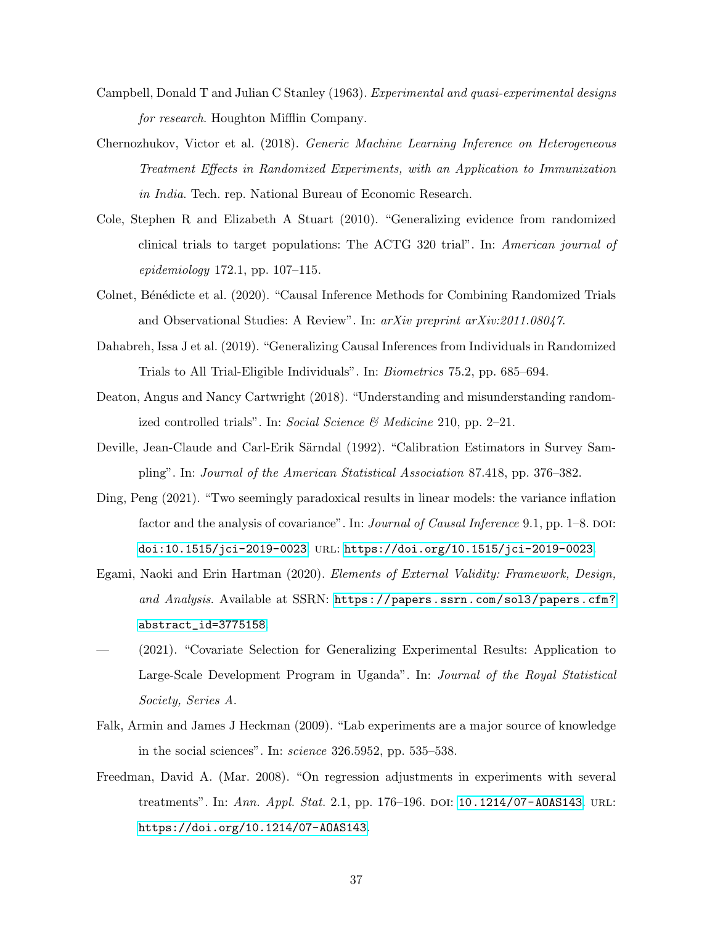- Campbell, Donald T and Julian C Stanley (1963). Experimental and quasi-experimental designs for research. Houghton Mifflin Company.
- Chernozhukov, Victor et al. (2018). Generic Machine Learning Inference on Heterogeneous Treatment Effects in Randomized Experiments, with an Application to Immunization in India. Tech. rep. National Bureau of Economic Research.
- Cole, Stephen R and Elizabeth A Stuart (2010). "Generalizing evidence from randomized clinical trials to target populations: The ACTG 320 trial". In: American journal of epidemiology 172.1, pp. 107–115.
- Colnet, Bénédicte et al. (2020). "Causal Inference Methods for Combining Randomized Trials and Observational Studies: A Review". In: arXiv preprint arXiv:2011.08047.
- Dahabreh, Issa J et al. (2019). "Generalizing Causal Inferences from Individuals in Randomized Trials to All Trial-Eligible Individuals". In: Biometrics 75.2, pp. 685–694.
- Deaton, Angus and Nancy Cartwright (2018). "Understanding and misunderstanding randomized controlled trials". In: Social Science  $\mathcal{B}$  Medicine 210, pp. 2–21.
- Deville, Jean-Claude and Carl-Erik Särndal (1992). "Calibration Estimators in Survey Sampling". In: Journal of the American Statistical Association 87.418, pp. 376–382.
- Ding, Peng (2021). "Two seemingly paradoxical results in linear models: the variance inflation factor and the analysis of covariance". In: *Journal of Causal Inference* 9.1, pp.  $1-8$ . DOI: [doi:10.1515/jci-2019-0023](https://doi.org/doi:10.1515/jci-2019-0023). url: <https://doi.org/10.1515/jci-2019-0023>.
- Egami, Naoki and Erin Hartman (2020). Elements of External Validity: Framework, Design, and Analysis. Available at SSRN: [https://papers.ssrn.com/sol3/papers.cfm?](https://papers.ssrn.com/sol3/papers.cfm?abstract_id=3775158) [abstract\\_id=3775158](https://papers.ssrn.com/sol3/papers.cfm?abstract_id=3775158).
- (2021). "Covariate Selection for Generalizing Experimental Results: Application to Large-Scale Development Program in Uganda". In: Journal of the Royal Statistical Society, Series A.
- Falk, Armin and James J Heckman (2009). "Lab experiments are a major source of knowledge in the social sciences". In: science 326.5952, pp. 535–538.
- Freedman, David A. (Mar. 2008). "On regression adjustments in experiments with several treatments". In: Ann. Appl. Stat. 2.1, pp. 176–196. DOI: 10.1214/07-A0AS143. URL: <https://doi.org/10.1214/07-AOAS143>.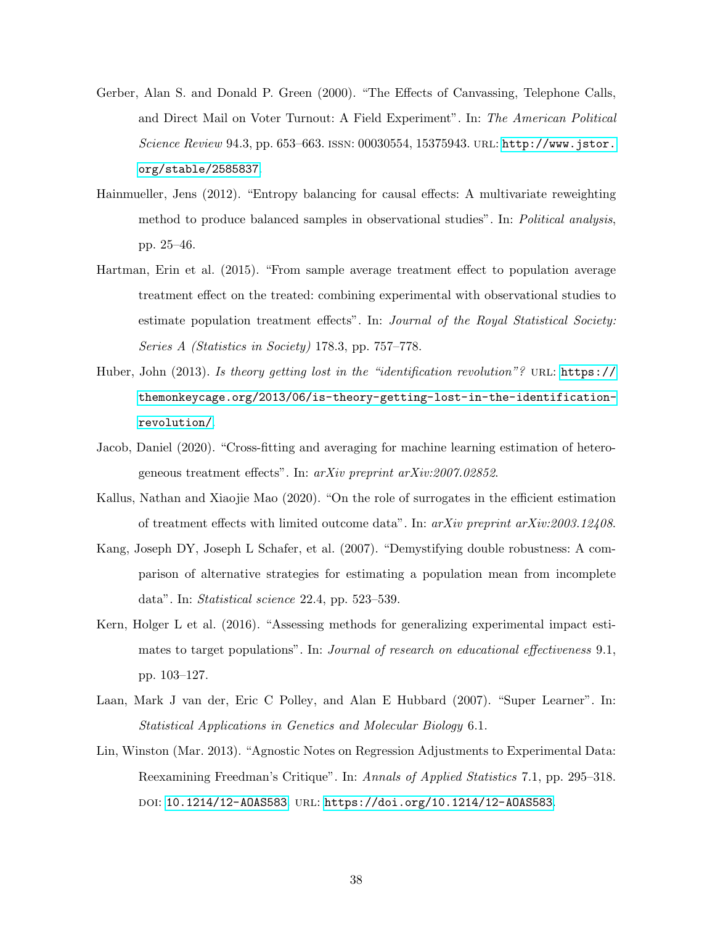- Gerber, Alan S. and Donald P. Green (2000). "The Effects of Canvassing, Telephone Calls, and Direct Mail on Voter Turnout: A Field Experiment". In: The American Political Science Review 94.3, pp. 653–663. issn: 00030554, 15375943. url: [http://www.jstor.](http://www.jstor.org/stable/2585837) [org/stable/2585837](http://www.jstor.org/stable/2585837).
- Hainmueller, Jens (2012). "Entropy balancing for causal effects: A multivariate reweighting method to produce balanced samples in observational studies". In: Political analysis, pp. 25–46.
- Hartman, Erin et al. (2015). "From sample average treatment effect to population average treatment effect on the treated: combining experimental with observational studies to estimate population treatment effects". In: Journal of the Royal Statistical Society: Series A (Statistics in Society) 178.3, pp. 757–778.
- Huber, John (2013). Is theory getting lost in the "identification revolution"? URL: [https://](https://themonkeycage.org/2013/06/is-theory-getting-lost-in-the-identification-revolution/) [themonkeycage.org/2013/06/is-theory-getting-lost-in-the-identification](https://themonkeycage.org/2013/06/is-theory-getting-lost-in-the-identification-revolution/)[revolution/](https://themonkeycage.org/2013/06/is-theory-getting-lost-in-the-identification-revolution/).
- Jacob, Daniel (2020). "Cross-fitting and averaging for machine learning estimation of heterogeneous treatment effects". In: arXiv preprint arXiv:2007.02852.
- Kallus, Nathan and Xiaojie Mao (2020). "On the role of surrogates in the efficient estimation of treatment effects with limited outcome data". In:  $arXiv$  preprint  $arXiv:2003.12408$ .
- Kang, Joseph DY, Joseph L Schafer, et al. (2007). "Demystifying double robustness: A comparison of alternative strategies for estimating a population mean from incomplete data". In: Statistical science 22.4, pp. 523–539.
- Kern, Holger L et al. (2016). "Assessing methods for generalizing experimental impact estimates to target populations". In: *Journal of research on educational effectiveness* 9.1, pp. 103–127.
- Laan, Mark J van der, Eric C Polley, and Alan E Hubbard (2007). "Super Learner". In: Statistical Applications in Genetics and Molecular Biology 6.1.
- Lin, Winston (Mar. 2013). "Agnostic Notes on Regression Adjustments to Experimental Data: Reexamining Freedman's Critique". In: Annals of Applied Statistics 7.1, pp. 295–318. DOI: [10.1214/12-AOAS583](https://doi.org/10.1214/12-AOAS583). URL: <https://doi.org/10.1214/12-AOAS583>.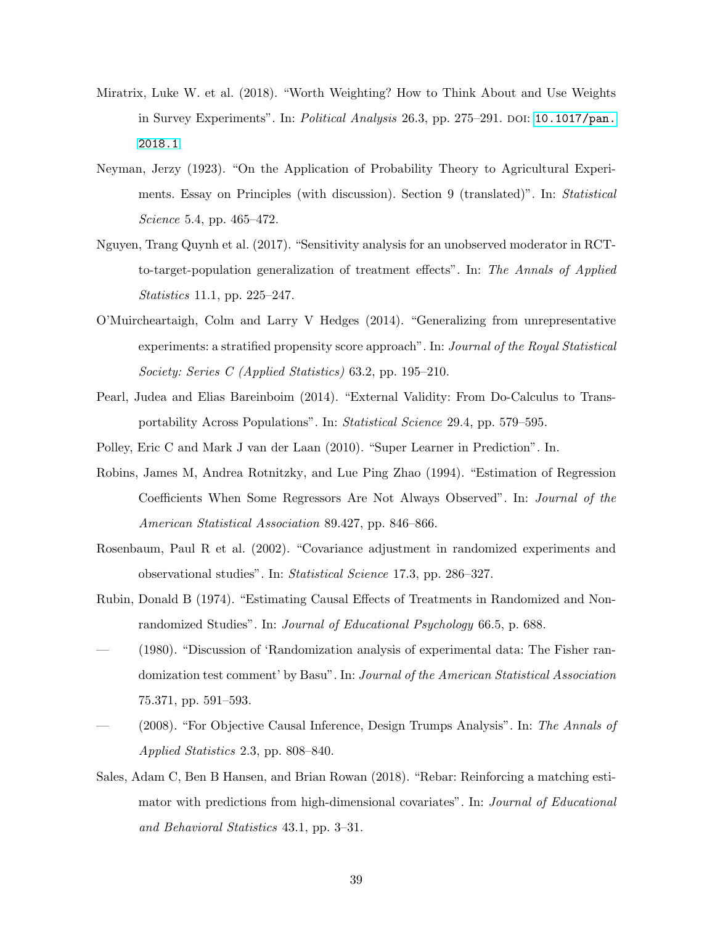- Miratrix, Luke W. et al. (2018). "Worth Weighting? How to Think About and Use Weights in Survey Experiments". In: Political Analysis 26.3, pp. 275–291. DOI: [10.1017/pan.](https://doi.org/10.1017/pan.2018.1) [2018.1](https://doi.org/10.1017/pan.2018.1).
- Neyman, Jerzy (1923). "On the Application of Probability Theory to Agricultural Experiments. Essay on Principles (with discussion). Section 9 (translated)". In: Statistical Science 5.4, pp. 465–472.
- Nguyen, Trang Quynh et al. (2017). "Sensitivity analysis for an unobserved moderator in RCTto-target-population generalization of treatment effects". In: The Annals of Applied Statistics 11.1, pp. 225–247.
- O'Muircheartaigh, Colm and Larry V Hedges (2014). "Generalizing from unrepresentative experiments: a stratified propensity score approach". In: Journal of the Royal Statistical Society: Series C (Applied Statistics) 63.2, pp. 195–210.
- Pearl, Judea and Elias Bareinboim (2014). "External Validity: From Do-Calculus to Transportability Across Populations". In: Statistical Science 29.4, pp. 579–595.
- Polley, Eric C and Mark J van der Laan (2010). "Super Learner in Prediction". In.
- Robins, James M, Andrea Rotnitzky, and Lue Ping Zhao (1994). "Estimation of Regression Coefficients When Some Regressors Are Not Always Observed". In: Journal of the American Statistical Association 89.427, pp. 846–866.
- Rosenbaum, Paul R et al. (2002). "Covariance adjustment in randomized experiments and observational studies". In: Statistical Science 17.3, pp. 286–327.
- Rubin, Donald B (1974). "Estimating Causal Effects of Treatments in Randomized and Nonrandomized Studies". In: Journal of Educational Psychology 66.5, p. 688.
- (1980). "Discussion of 'Randomization analysis of experimental data: The Fisher randomization test comment' by Basu". In: Journal of the American Statistical Association 75.371, pp. 591–593.
- (2008). "For Objective Causal Inference, Design Trumps Analysis". In: The Annals of Applied Statistics 2.3, pp. 808–840.
- Sales, Adam C, Ben B Hansen, and Brian Rowan (2018). "Rebar: Reinforcing a matching estimator with predictions from high-dimensional covariates". In: Journal of Educational and Behavioral Statistics 43.1, pp. 3–31.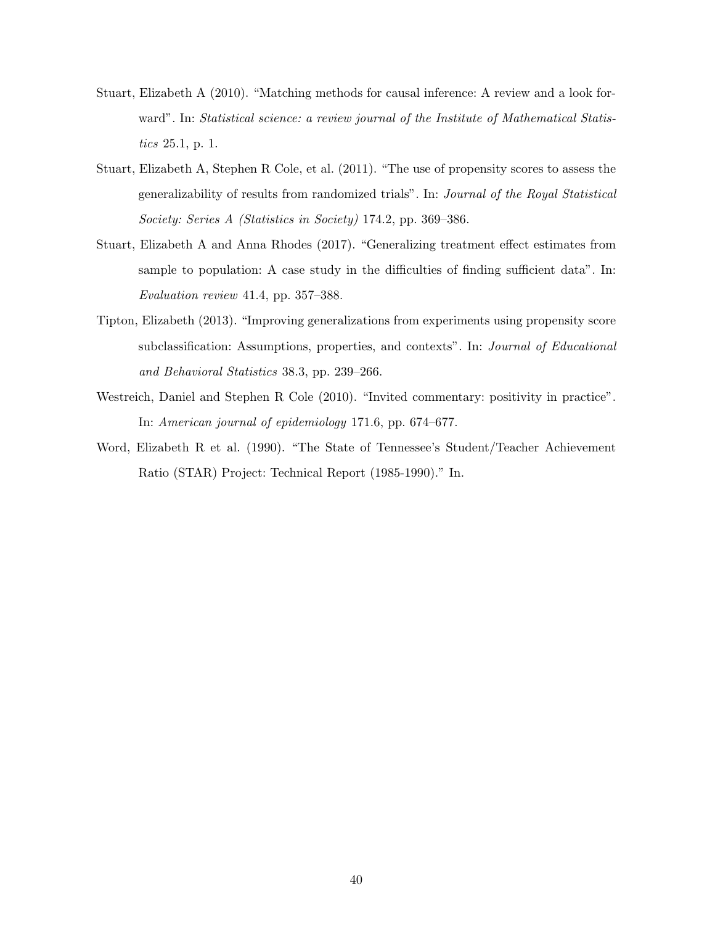- Stuart, Elizabeth A (2010). "Matching methods for causal inference: A review and a look forward". In: Statistical science: a review journal of the Institute of Mathematical Statistics 25.1, p. 1.
- Stuart, Elizabeth A, Stephen R Cole, et al. (2011). "The use of propensity scores to assess the generalizability of results from randomized trials". In: Journal of the Royal Statistical Society: Series A (Statistics in Society) 174.2, pp. 369–386.
- Stuart, Elizabeth A and Anna Rhodes (2017). "Generalizing treatment effect estimates from sample to population: A case study in the difficulties of finding sufficient data". In: Evaluation review 41.4, pp. 357–388.
- Tipton, Elizabeth (2013). "Improving generalizations from experiments using propensity score subclassification: Assumptions, properties, and contexts". In: *Journal of Educational* and Behavioral Statistics 38.3, pp. 239–266.
- Westreich, Daniel and Stephen R Cole (2010). "Invited commentary: positivity in practice". In: American journal of epidemiology 171.6, pp. 674–677.
- Word, Elizabeth R et al. (1990). "The State of Tennessee's Student/Teacher Achievement Ratio (STAR) Project: Technical Report (1985-1990)." In.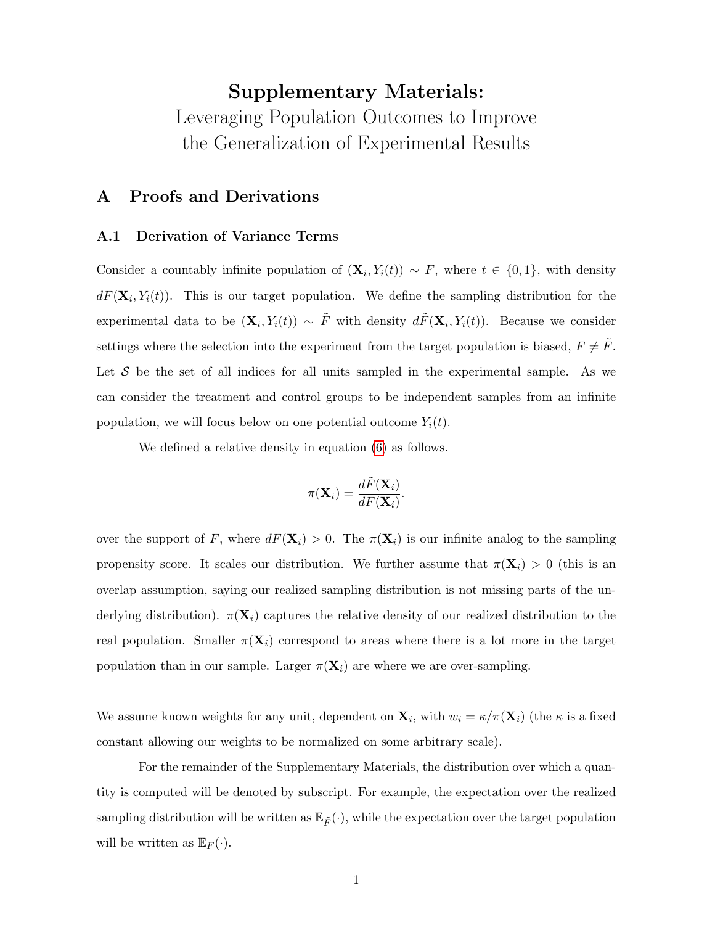# Supplementary Materials: Leveraging Population Outcomes to Improve the Generalization of Experimental Results

# A Proofs and Derivations

#### A.1 Derivation of Variance Terms

Consider a countably infinite population of  $(\mathbf{X}_i, Y_i(t)) \sim F$ , where  $t \in \{0,1\}$ , with density  $dF(\mathbf{X}_i, Y_i(t))$ . This is our target population. We define the sampling distribution for the experimental data to be  $(\mathbf{X}_i, Y_i(t)) \sim \tilde{F}$  with density  $d\tilde{F}(\mathbf{X}_i, Y_i(t))$ . Because we consider settings where the selection into the experiment from the target population is biased,  $F \neq \tilde{F}$ . Let  $S$  be the set of all indices for all units sampled in the experimental sample. As we can consider the treatment and control groups to be independent samples from an infinite population, we will focus below on one potential outcome  $Y_i(t)$ .

We defined a relative density in equation [\(6\)](#page-7-0) as follows.

$$
\pi(\mathbf{X}_i) = \frac{d\tilde{F}(\mathbf{X}_i)}{dF(\mathbf{X}_i)}.
$$

over the support of F, where  $dF(\mathbf{X}_i) > 0$ . The  $\pi(\mathbf{X}_i)$  is our infinite analog to the sampling propensity score. It scales our distribution. We further assume that  $\pi(\mathbf{X}_i) > 0$  (this is an overlap assumption, saying our realized sampling distribution is not missing parts of the underlying distribution).  $\pi(\mathbf{X}_i)$  captures the relative density of our realized distribution to the real population. Smaller  $\pi(\mathbf{X}_i)$  correspond to areas where there is a lot more in the target population than in our sample. Larger  $\pi(\mathbf{X}_i)$  are where we are over-sampling.

We assume known weights for any unit, dependent on  $\mathbf{X}_i$ , with  $w_i = \kappa / \pi(\mathbf{X}_i)$  (the  $\kappa$  is a fixed constant allowing our weights to be normalized on some arbitrary scale).

For the remainder of the Supplementary Materials, the distribution over which a quantity is computed will be denoted by subscript. For example, the expectation over the realized sampling distribution will be written as  $\mathbb{E}_{\tilde{F}}(\cdot)$ , while the expectation over the target population will be written as  $\mathbb{E}_F(\cdot)$ .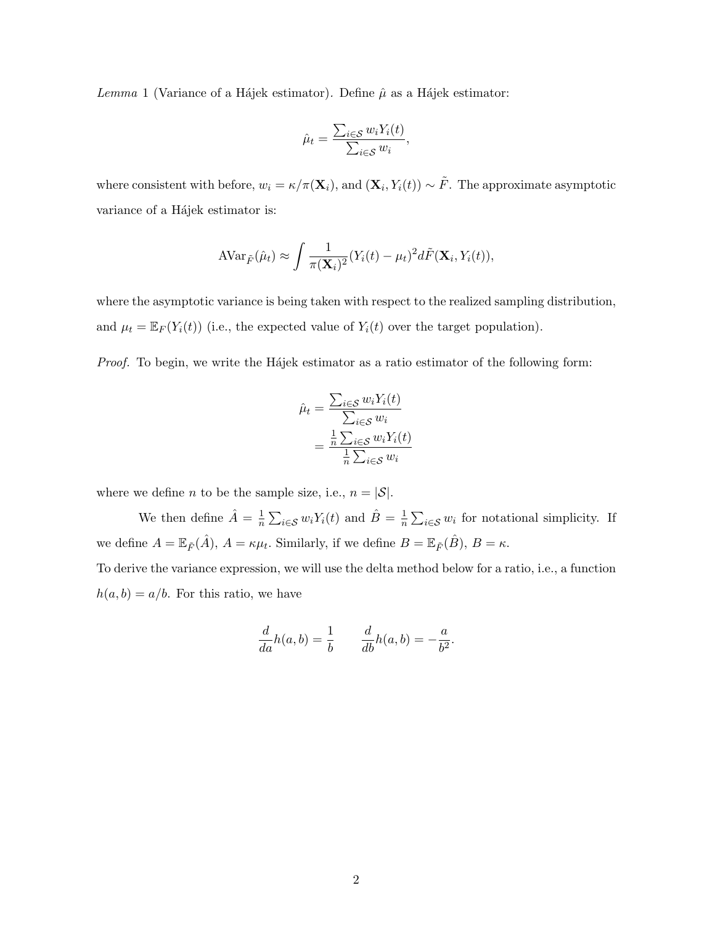<span id="page-42-0"></span>Lemma 1 (Variance of a Hájek estimator). Define  $\hat{\mu}$  as a Hájek estimator:

$$
\hat{\mu}_t = \frac{\sum_{i \in \mathcal{S}} w_i Y_i(t)}{\sum_{i \in \mathcal{S}} w_i},
$$

where consistent with before,  $w_i = \kappa / \pi(\mathbf{X}_i)$ , and  $(\mathbf{X}_i, Y_i(t)) \sim \tilde{F}$ . The approximate asymptotic variance of a Hájek estimator is:

$$
AVar_{\tilde{F}}(\hat{\mu}_t) \approx \int \frac{1}{\pi(\mathbf{X}_i)^2} (Y_i(t) - \mu_t)^2 d\tilde{F}(\mathbf{X}_i, Y_i(t)),
$$

where the asymptotic variance is being taken with respect to the realized sampling distribution, and  $\mu_t = \mathbb{E}_F(Y_i(t))$  (i.e., the expected value of  $Y_i(t)$  over the target population).

Proof. To begin, we write the Hajek estimator as a ratio estimator of the following form:

$$
\hat{\mu}_t = \frac{\sum_{i \in \mathcal{S}} w_i Y_i(t)}{\sum_{i \in \mathcal{S}} w_i}
$$

$$
= \frac{\frac{1}{n} \sum_{i \in \mathcal{S}} w_i Y_i(t)}{\frac{1}{n} \sum_{i \in \mathcal{S}} w_i}
$$

where we define *n* to be the sample size, i.e.,  $n = |\mathcal{S}|$ .

We then define  $\hat{A} = \frac{1}{n}$  $\frac{1}{n} \sum_{i \in \mathcal{S}} w_i Y_i(t)$  and  $\hat{B} = \frac{1}{n}$  $\frac{1}{n} \sum_{i \in S} w_i$  for notational simplicity. If we define  $A = \mathbb{E}_{\tilde{F}}(\hat{A})$ ,  $A = \kappa \mu_t$ . Similarly, if we define  $B = \mathbb{E}_{\tilde{F}}(\hat{B})$ ,  $B = \kappa$ . To derive the variance expression, we will use the delta method below for a ratio, i.e., a function

 $h(a, b) = a/b$ . For this ratio, we have

$$
\frac{d}{da}h(a,b) = \frac{1}{b} \qquad \frac{d}{db}h(a,b) = -\frac{a}{b^2}
$$

.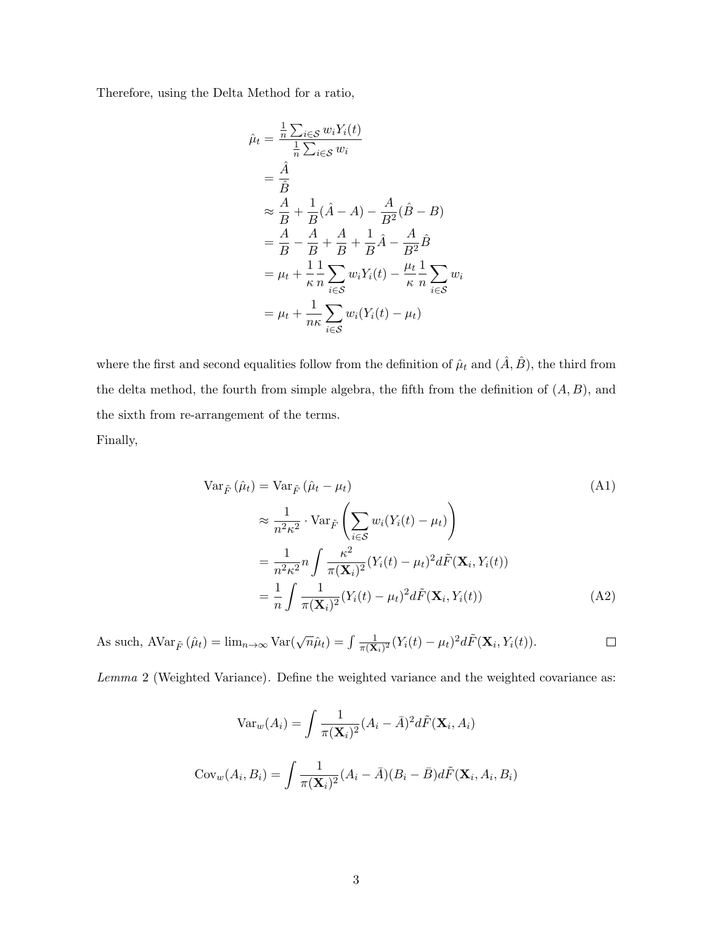Therefore, using the Delta Method for a ratio,

$$
\hat{\mu}_t = \frac{\frac{1}{n} \sum_{i \in S} w_i Y_i(t)}{\frac{1}{n} \sum_{i \in S} w_i}
$$
\n
$$
= \frac{\hat{A}}{\hat{B}}
$$
\n
$$
\approx \frac{A}{B} + \frac{1}{B} (\hat{A} - A) - \frac{A}{B^2} (\hat{B} - B)
$$
\n
$$
= \frac{A}{B} - \frac{A}{B} + \frac{A}{B} + \frac{1}{B} \hat{A} - \frac{A}{B^2} \hat{B}
$$
\n
$$
= \mu_t + \frac{1}{\kappa} \frac{1}{n} \sum_{i \in S} w_i Y_i(t) - \frac{\mu_t}{\kappa} \frac{1}{n} \sum_{i \in S} w_i
$$
\n
$$
= \mu_t + \frac{1}{n\kappa} \sum_{i \in S} w_i (Y_i(t) - \mu_t)
$$

where the first and second equalities follow from the definition of  $\hat{\mu}_t$  and  $(\hat{A}, \hat{B})$ , the third from the delta method, the fourth from simple algebra, the fifth from the definition of  $(A, B)$ , and the sixth from re-arrangement of the terms. Finally,

$$
\operatorname{Var}_{\tilde{F}}\left(\hat{\mu}_{t}\right) = \operatorname{Var}_{\tilde{F}}\left(\hat{\mu}_{t} - \mu_{t}\right) \tag{A1}
$$
\n
$$
\approx \frac{1}{n^{2}\kappa^{2}} \cdot \operatorname{Var}_{\tilde{F}}\left(\sum_{i \in S} w_{i}(Y_{i}(t) - \mu_{t})\right)
$$
\n
$$
= \frac{1}{n^{2}\kappa^{2}} n \int \frac{\kappa^{2}}{\pi(\mathbf{X}_{i})^{2}} (Y_{i}(t) - \mu_{t})^{2} d\tilde{F}(\mathbf{X}_{i}, Y_{i}(t))
$$
\n
$$
= \frac{1}{n} \int \frac{1}{\pi(\mathbf{X}_{i})^{2}} (Y_{i}(t) - \mu_{t})^{2} d\tilde{F}(\mathbf{X}_{i}, Y_{i}(t)) \tag{A2}
$$

As such,  $A \text{Var}_{\tilde{F}}(\hat{\mu}_t) = \lim_{n \to \infty} \text{Var}(\sqrt{n}\hat{\mu}_t) = \int \frac{1}{\pi(\mathbf{X})}$  $\frac{1}{\pi(\mathbf{X}_i)^2} (Y_i(t) - \mu_t)^2 d\tilde{F}(\mathbf{X}_i, Y_i(t)).$  $\Box$ 

Lemma 2 (Weighted Variance). Define the weighted variance and the weighted covariance as:

$$
\text{Var}_w(A_i) = \int \frac{1}{\pi(\mathbf{X}_i)^2} (A_i - \bar{A})^2 d\tilde{F}(\mathbf{X}_i, A_i)
$$

$$
\text{Cov}_w(A_i, B_i) = \int \frac{1}{\pi(\mathbf{X}_i)^2} (A_i - \bar{A})(B_i - \bar{B}) d\tilde{F}(\mathbf{X}_i, A_i, B_i)
$$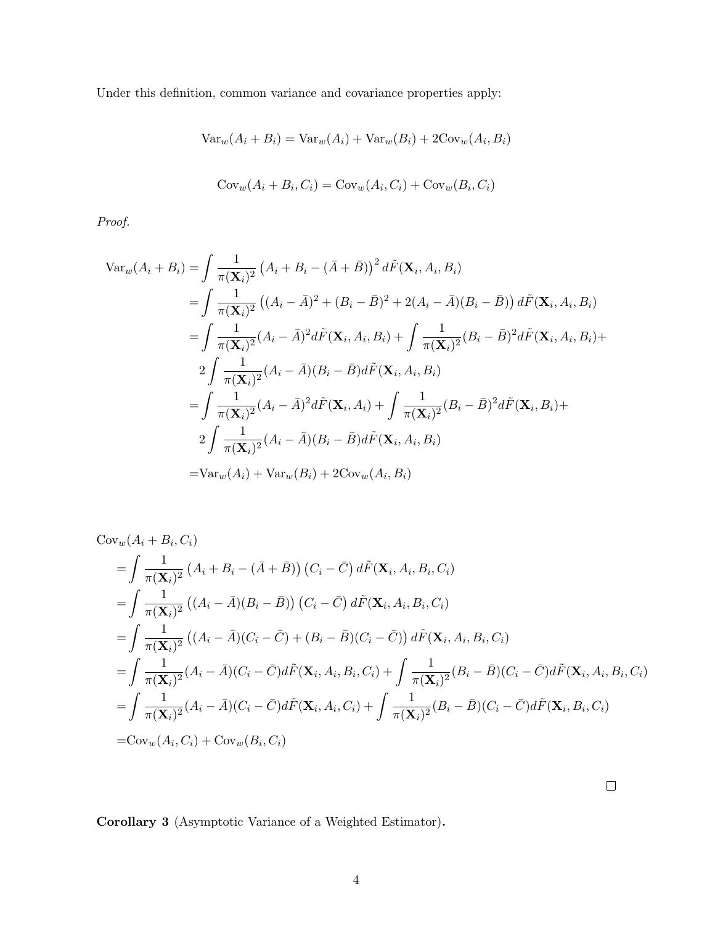Under this definition, common variance and covariance properties apply:

$$
Var_w(A_i + B_i) = Var_w(A_i) + Var_w(B_i) + 2Cov_w(A_i, B_i)
$$

$$
Cov_w(A_i + B_i, C_i) = Cov_w(A_i, C_i) + Cov_w(B_i, C_i)
$$

Proof.

$$
\begin{split}\n\text{Var}_{w}(A_{i}+B_{i}) &= \int \frac{1}{\pi(\mathbf{X}_{i})^{2}} \left( A_{i} + B_{i} - (\bar{A} + \bar{B}) \right)^{2} d\tilde{F}(\mathbf{X}_{i}, A_{i}, B_{i}) \\
&= \int \frac{1}{\pi(\mathbf{X}_{i})^{2}} \left( (A_{i} - \bar{A})^{2} + (B_{i} - \bar{B})^{2} + 2(A_{i} - \bar{A})(B_{i} - \bar{B}) \right) d\tilde{F}(\mathbf{X}_{i}, A_{i}, B_{i}) \\
&= \int \frac{1}{\pi(\mathbf{X}_{i})^{2}} (A_{i} - \bar{A})^{2} d\tilde{F}(\mathbf{X}_{i}, A_{i}, B_{i}) + \int \frac{1}{\pi(\mathbf{X}_{i})^{2}} (B_{i} - \bar{B})^{2} d\tilde{F}(\mathbf{X}_{i}, A_{i}, B_{i}) + \\
&2 \int \frac{1}{\pi(\mathbf{X}_{i})^{2}} (A_{i} - \bar{A})(B_{i} - \bar{B}) d\tilde{F}(\mathbf{X}_{i}, A_{i}, B_{i}) \\
&= \int \frac{1}{\pi(\mathbf{X}_{i})^{2}} (A_{i} - \bar{A})^{2} d\tilde{F}(\mathbf{X}_{i}, A_{i}) + \int \frac{1}{\pi(\mathbf{X}_{i})^{2}} (B_{i} - \bar{B})^{2} d\tilde{F}(\mathbf{X}_{i}, B_{i}) + \\
&2 \int \frac{1}{\pi(\mathbf{X}_{i})^{2}} (A_{i} - \bar{A})(B_{i} - \bar{B}) d\tilde{F}(\mathbf{X}_{i}, A_{i}, B_{i}) \\
&= \text{Var}_{w}(A_{i}) + \text{Var}_{w}(B_{i}) + 2\text{Cov}_{w}(A_{i}, B_{i})\n\end{split}
$$

$$
\begin{split}\n\text{Cov}_{w}(A_{i}+B_{i},C_{i}) \\
&= \int \frac{1}{\pi(\mathbf{X}_{i})^{2}} \left( A_{i}+B_{i}-(\bar{A}+\bar{B}) \right) \left( C_{i}-\bar{C} \right) d\tilde{F}(\mathbf{X}_{i},A_{i},B_{i},C_{i}) \\
&= \int \frac{1}{\pi(\mathbf{X}_{i})^{2}} \left( (A_{i}-\bar{A})(B_{i}-\bar{B}) \right) \left( C_{i}-\bar{C} \right) d\tilde{F}(\mathbf{X}_{i},A_{i},B_{i},C_{i}) \\
&= \int \frac{1}{\pi(\mathbf{X}_{i})^{2}} \left( (A_{i}-\bar{A})(C_{i}-\bar{C}) + (B_{i}-\bar{B})(C_{i}-\bar{C}) \right) d\tilde{F}(\mathbf{X}_{i},A_{i},B_{i},C_{i}) \\
&= \int \frac{1}{\pi(\mathbf{X}_{i})^{2}} (A_{i}-\bar{A})(C_{i}-\bar{C}) d\tilde{F}(\mathbf{X}_{i},A_{i},B_{i},C_{i}) + \int \frac{1}{\pi(\mathbf{X}_{i})^{2}} (B_{i}-\bar{B})(C_{i}-\bar{C}) d\tilde{F}(\mathbf{X}_{i},A_{i},B_{i},C_{i}) \\
&= \int \frac{1}{\pi(\mathbf{X}_{i})^{2}} (A_{i}-\bar{A})(C_{i}-\bar{C}) d\tilde{F}(\mathbf{X}_{i},A_{i},C_{i}) + \int \frac{1}{\pi(\mathbf{X}_{i})^{2}} (B_{i}-\bar{B})(C_{i}-\bar{C}) d\tilde{F}(\mathbf{X}_{i},B_{i},C_{i}) \\
&= \text{Cov}_{w}(A_{i},C_{i}) + \text{Cov}_{w}(B_{i},C_{i})\n\end{split}
$$

 $\Box$ 

<span id="page-44-0"></span>Corollary 3 (Asymptotic Variance of a Weighted Estimator).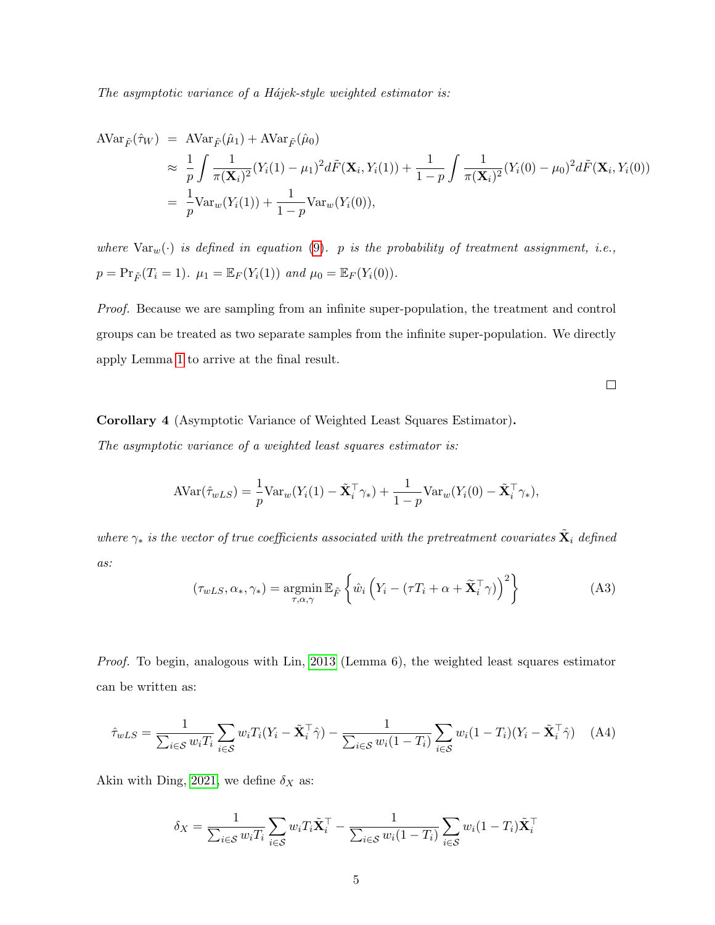The asymptotic variance of a H $\acute{a}$ jek-style weighted estimator is:

$$
\begin{split} \text{AVar}_{\tilde{F}}(\hat{\tau}_{W}) &= \text{AVar}_{\tilde{F}}(\hat{\mu}_{1}) + \text{AVar}_{\tilde{F}}(\hat{\mu}_{0}) \\ &\approx \frac{1}{p} \int \frac{1}{\pi(\mathbf{X}_{i})^{2}} (Y_{i}(1) - \mu_{1})^{2} d\tilde{F}(\mathbf{X}_{i}, Y_{i}(1)) + \frac{1}{1-p} \int \frac{1}{\pi(\mathbf{X}_{i})^{2}} (Y_{i}(0) - \mu_{0})^{2} d\tilde{F}(\mathbf{X}_{i}, Y_{i}(0)) \\ &= \frac{1}{p} \text{Var}_{w}(Y_{i}(1)) + \frac{1}{1-p} \text{Var}_{w}(Y_{i}(0)), \end{split}
$$

where  $\text{Var}_w(\cdot)$  is defined in equation [\(9\)](#page-14-0). p is the probability of treatment assignment, i.e.,  $p = Pr_{\tilde{F}}(T_i = 1)$ .  $\mu_1 = \mathbb{E}_F(Y_i(1))$  and  $\mu_0 = \mathbb{E}_F(Y_i(0))$ .

Proof. Because we are sampling from an infinite super-population, the treatment and control groups can be treated as two separate samples from the infinite super-population. We directly apply Lemma [1](#page-42-0) to arrive at the final result.

 $\Box$ 

Corollary 4 (Asymptotic Variance of Weighted Least Squares Estimator). The asymptotic variance of a weighted least squares estimator is:

$$
AVar(\hat{\tau}_{wLS}) = \frac{1}{p} Var_w(Y_i(1) - \tilde{\mathbf{X}}_i^{\top} \gamma_*) + \frac{1}{1-p} Var_w(Y_i(0) - \tilde{\mathbf{X}}_i^{\top} \gamma_*),
$$

where  $\gamma_*$  is the vector of true coefficients associated with the pretreatment covariates  $\tilde{\textbf{X}}_i$  defined as:

$$
(\tau_{wLS}, \alpha_*, \gamma_*) = \underset{\tau, \alpha, \gamma}{\text{argmin}} \mathbb{E}_{\tilde{F}} \left\{ \hat{w}_i \left( Y_i - (\tau T_i + \alpha + \tilde{\mathbf{X}}_i^{\top} \gamma) \right)^2 \right\}
$$
(A3)

Proof. To begin, analogous with Lin, [2013](#page-72-0) (Lemma 6), the weighted least squares estimator can be written as:

<span id="page-45-0"></span>
$$
\hat{\tau}_{wLS} = \frac{1}{\sum_{i \in \mathcal{S}} w_i T_i} \sum_{i \in \mathcal{S}} w_i T_i (Y_i - \tilde{\mathbf{X}}_i^{\top} \hat{\boldsymbol{\gamma}}) - \frac{1}{\sum_{i \in \mathcal{S}} w_i (1 - T_i)} \sum_{i \in \mathcal{S}} w_i (1 - T_i) (Y_i - \tilde{\mathbf{X}}_i^{\top} \hat{\boldsymbol{\gamma}})
$$
(A4)

Akin with Ding, [2021,](#page-72-1) we define  $\delta_X$  as:

$$
\delta_X = \frac{1}{\sum_{i \in \mathcal{S}} w_i T_i} \sum_{i \in \mathcal{S}} w_i T_i \tilde{\mathbf{X}}_i^\top - \frac{1}{\sum_{i \in \mathcal{S}} w_i (1 - T_i)} \sum_{i \in \mathcal{S}} w_i (1 - T_i) \tilde{\mathbf{X}}_i^\top
$$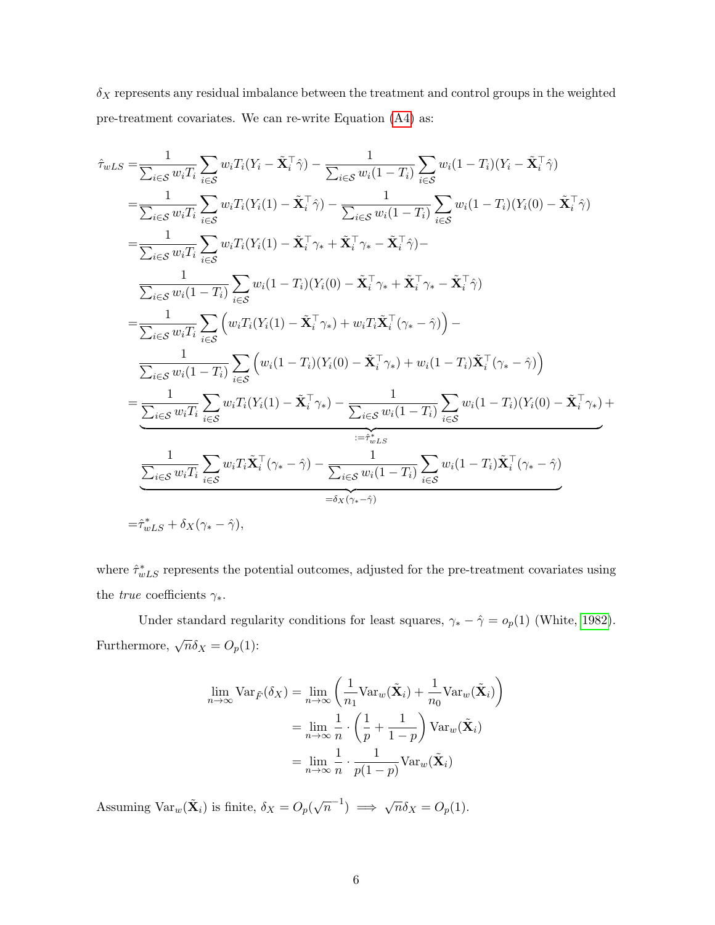$\delta_X$  represents any residual imbalance between the treatment and control groups in the weighted pre-treatment covariates. We can re-write Equation [\(A4\)](#page-45-0) as:

$$
\hat{\tau}_{wLS} = \frac{1}{\sum_{i \in \mathcal{S}} w_i T_i} \sum_{i \in \mathcal{S}} w_i T_i (Y_i - \tilde{\mathbf{X}}_i^{\top} \hat{\gamma}) - \frac{1}{\sum_{i \in \mathcal{S}} w_i (1 - T_i)} \sum_{i \in \mathcal{S}} w_i (1 - T_i) (Y_i - \tilde{\mathbf{X}}_i^{\top} \hat{\gamma})
$$
\n
$$
= \frac{1}{\sum_{i \in \mathcal{S}} w_i T_i} \sum_{i \in \mathcal{S}} w_i T_i (Y_i (1) - \tilde{\mathbf{X}}_i^{\top} \hat{\gamma}) - \frac{1}{\sum_{i \in \mathcal{S}} w_i (1 - T_i)} \sum_{i \in \mathcal{S}} w_i (1 - T_i) (Y_i (0) - \tilde{\mathbf{X}}_i^{\top} \hat{\gamma})
$$
\n
$$
= \frac{1}{\sum_{i \in \mathcal{S}} w_i T_i} \sum_{i \in \mathcal{S}} w_i T_i (Y_i (1) - \tilde{\mathbf{X}}_i^{\top} \gamma_* + \tilde{\mathbf{X}}_i^{\top} \gamma_* - \tilde{\mathbf{X}}_i^{\top} \hat{\gamma}) - \frac{1}{\sum_{i \in \mathcal{S}} w_i (1 - T_i)} \sum_{i \in \mathcal{S}} w_i (1 - T_i) (Y_i (0) - \tilde{\mathbf{X}}_i^{\top} \gamma_* + \tilde{\mathbf{X}}_i^{\top} \gamma_* - \tilde{\mathbf{X}}_i^{\top} \hat{\gamma})
$$
\n
$$
= \frac{1}{\sum_{i \in \mathcal{S}} w_i T_i} \sum_{i \in \mathcal{S}} \left( w_i T_i (Y_i (1) - \tilde{\mathbf{X}}_i^{\top} \gamma_*) + w_i T_i \tilde{\mathbf{X}}_i^{\top} (\gamma_* - \hat{\gamma}) \right) - \frac{1}{\sum_{i \in \mathcal{S}} w_i (1 - T_i)} \sum_{i \in \mathcal{S}} (w_i (1 - T_i) (Y_i (0) - \tilde{\mathbf{X}}_i^{\top} \gamma_*) + w_i (1 - T_i) \tilde{\mathbf{X}}_i^{\top} (\gamma_* - \hat{\gamma}) \right)
$$
\n
$$
= \frac{1}{\sum_{i \in \mathcal{S
$$

where  $\hat{\tau}_{wLS}^*$  represents the potential outcomes, adjusted for the pre-treatment covariates using the *true* coefficients  $\gamma_*$ .

Under standard regularity conditions for least squares,  $\gamma_* - \hat{\gamma} = o_p(1)$  (White, [1982\)](#page-72-2). Furthermore,  $\sqrt{n}\delta_X = O_p(1)$ :

$$
\lim_{n \to \infty} \text{Var}_{\tilde{F}}(\delta_X) = \lim_{n \to \infty} \left( \frac{1}{n_1} \text{Var}_w(\tilde{\mathbf{X}}_i) + \frac{1}{n_0} \text{Var}_w(\tilde{\mathbf{X}}_i) \right)
$$

$$
= \lim_{n \to \infty} \frac{1}{n} \cdot \left( \frac{1}{p} + \frac{1}{1-p} \right) \text{Var}_w(\tilde{\mathbf{X}}_i)
$$

$$
= \lim_{n \to \infty} \frac{1}{n} \cdot \frac{1}{p(1-p)} \text{Var}_w(\tilde{\mathbf{X}}_i)
$$

Assuming  $\text{Var}_w(\tilde{\mathbf{X}}_i)$  is finite,  $\delta_X = O_p(\sqrt{n}^{-1}) \implies \sqrt{n}\delta_X = O_p(1)$ .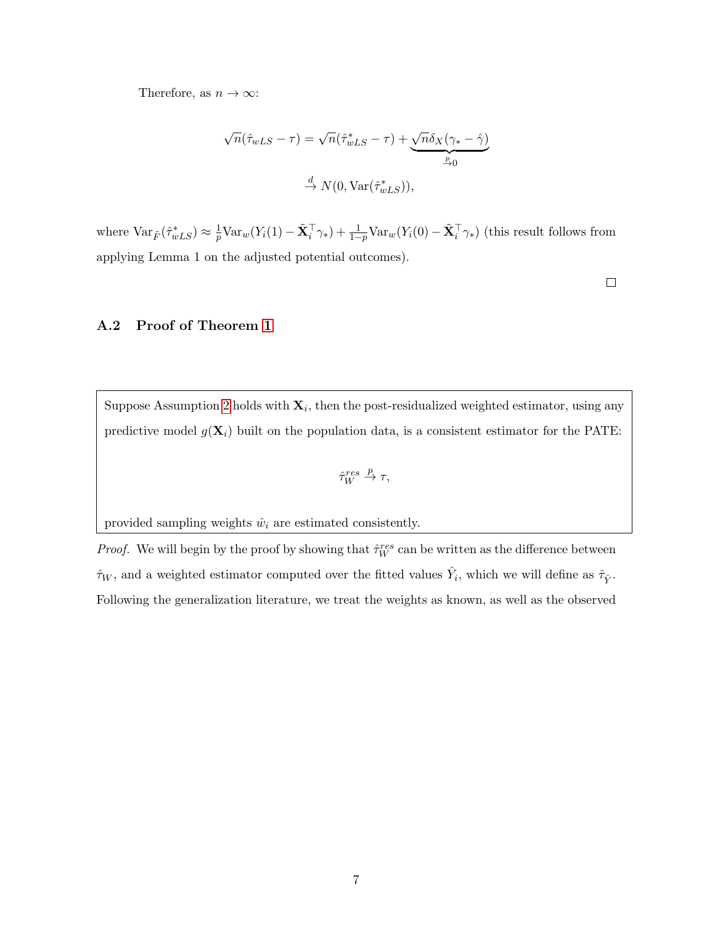Therefore, as  $n \to \infty$ :

$$
\sqrt{n}(\hat{\tau}_{wLS} - \tau) = \sqrt{n}(\hat{\tau}_{wLS}^* - \tau) + \underbrace{\sqrt{n}\delta_X(\gamma_* - \hat{\gamma})}_{\stackrel{p}{\to} 0}
$$

$$
\stackrel{d}{\to} N(0, \text{Var}(\hat{\tau}_{wLS}^*)),
$$

where  $\text{Var}_{\tilde{F}}(\hat{\tau}_{wLS}^*) \approx \frac{1}{p}$  $\frac{1}{p} \text{Var}_w(Y_i(1) - \tilde{\mathbf{X}}_i^{\top} \gamma_*) + \frac{1}{1-p} \text{Var}_w(Y_i(0) - \tilde{\mathbf{X}}_i^{\top} \gamma_*)$  (this result follows from applying Lemma 1 on the adjusted potential outcomes).

 $\Box$ 

#### A.2 Proof of Theorem [1](#page-13-0)

Suppose Assumption [2](#page-6-0) holds with  $\mathbf{X}_i$ , then the post-residualized weighted estimator, using any predictive model  $g(\mathbf{X}_i)$  built on the population data, is a consistent estimator for the PATE:

$$
\hat{\tau}_W^{res}\stackrel{p}{\rightarrow}\tau,
$$

provided sampling weights  $\hat{w}_i$  are estimated consistently.

*Proof.* We will begin by the proof by showing that  $\hat{\tau}_W^{res}$  can be written as the difference between  $\hat{\tau}_W$ , and a weighted estimator computed over the fitted values  $\hat{Y}_i$ , which we will define as  $\hat{\tau}_{\hat{Y}}$ . Following the generalization literature, we treat the weights as known, as well as the observed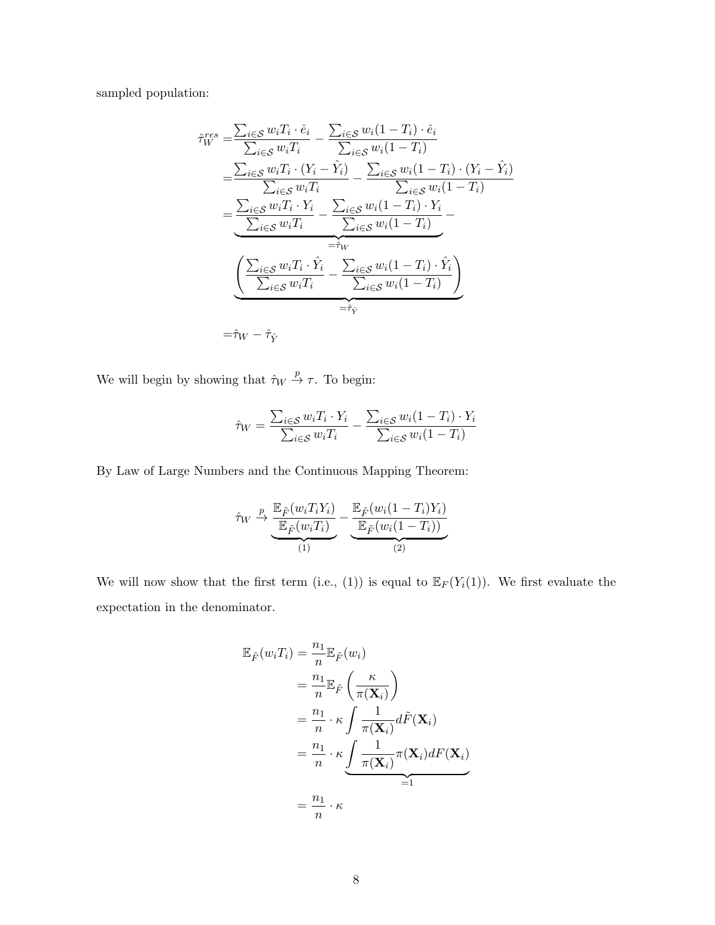sampled population:

$$
\hat{\tau}_{W}^{res} = \frac{\sum_{i \in S} w_{i} T_{i} \cdot \hat{e}_{i}}{\sum_{i \in S} w_{i} T_{i}} - \frac{\sum_{i \in S} w_{i} (1 - T_{i}) \cdot \hat{e}_{i}}{\sum_{i \in S} w_{i} (1 - T_{i})}
$$
\n
$$
= \frac{\sum_{i \in S} w_{i} T_{i} \cdot (Y_{i} - \hat{Y}_{i})}{\sum_{i \in S} w_{i} T_{i}} - \frac{\sum_{i \in S} w_{i} (1 - T_{i}) \cdot (Y_{i} - \hat{Y}_{i})}{\sum_{i \in S} w_{i} (1 - T_{i})}
$$
\n
$$
= \frac{\sum_{i \in S} w_{i} T_{i} \cdot Y_{i}}{\sum_{i \in S} w_{i} T_{i}} - \frac{\sum_{i \in S} w_{i} (1 - T_{i}) \cdot Y_{i}}{\sum_{i \in S} w_{i} (1 - T_{i})}
$$
\n
$$
= \hat{\tau}_{W}
$$
\n
$$
\frac{\left(\sum_{i \in S} w_{i} T_{i} \cdot \hat{Y}_{i} - \sum_{i \in S} w_{i} (1 - T_{i}) \cdot \hat{Y}_{i}\right)}{\sum_{i \in S} w_{i} T_{i}} - \hat{\tau}_{\hat{Y}}
$$
\n
$$
= \hat{\tau}_{W}
$$

We will begin by showing that  $\hat{\tau}_W \stackrel{p}{\rightarrow} \tau$ . To begin:

$$
\hat{\tau}_W = \frac{\sum_{i \in \mathcal{S}} w_i T_i \cdot Y_i}{\sum_{i \in \mathcal{S}} w_i T_i} - \frac{\sum_{i \in \mathcal{S}} w_i (1 - T_i) \cdot Y_i}{\sum_{i \in \mathcal{S}} w_i (1 - T_i)}
$$

By Law of Large Numbers and the Continuous Mapping Theorem:

$$
\hat{\tau}_W \xrightarrow{p} \underbrace{\frac{\mathbb{E}_{\tilde{F}}(w_i T_i Y_i)}{\mathbb{E}_{\tilde{F}}(w_i T_i)}}_{(1)} - \underbrace{\frac{\mathbb{E}_{\tilde{F}}(w_i (1 - T_i) Y_i)}{\mathbb{E}_{\tilde{F}}(w_i (1 - T_i))}}_{(2)}
$$

We will now show that the first term (i.e., (1)) is equal to  $\mathbb{E}_F(Y_i(1))$ . We first evaluate the expectation in the denominator.

$$
\mathbb{E}_{\tilde{F}}(w_i T_i) = \frac{n_1}{n} \mathbb{E}_{\tilde{F}}(w_i)
$$
  
\n
$$
= \frac{n_1}{n} \mathbb{E}_{\tilde{F}}\left(\frac{\kappa}{\pi(\mathbf{X}_i)}\right)
$$
  
\n
$$
= \frac{n_1}{n} \cdot \kappa \int \frac{1}{\pi(\mathbf{X}_i)} d\tilde{F}(\mathbf{X}_i)
$$
  
\n
$$
= \frac{n_1}{n} \cdot \kappa \underbrace{\int \frac{1}{\pi(\mathbf{X}_i)} \pi(\mathbf{X}_i) dF(\mathbf{X}_i)}_{=1}
$$
  
\n
$$
= \frac{n_1}{n} \cdot \kappa
$$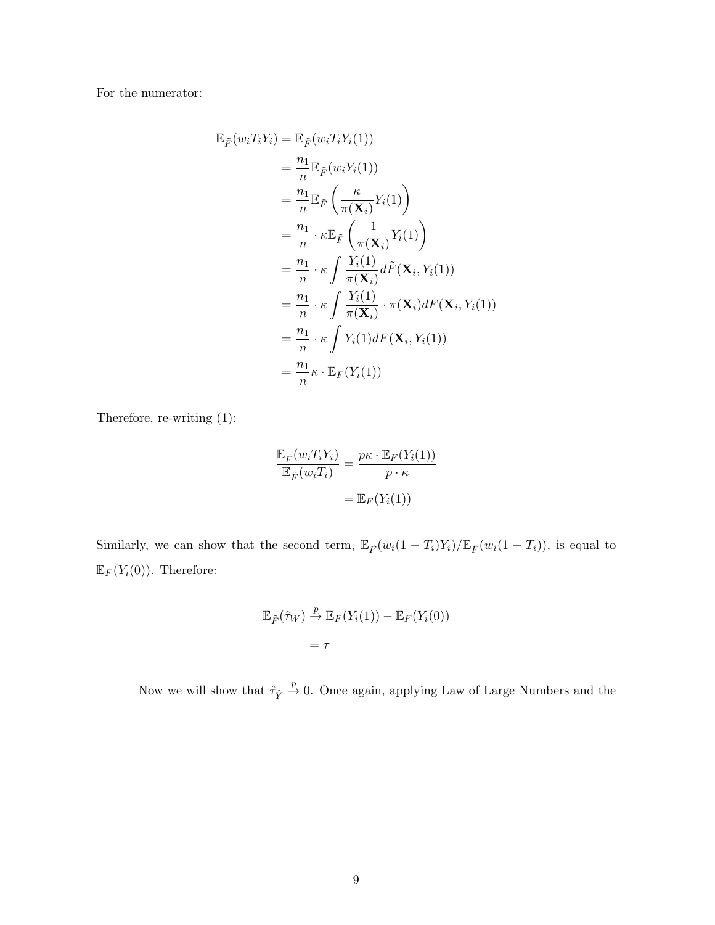For the numerator:

$$
\mathbb{E}_{\tilde{F}}(w_i T_i Y_i) = \mathbb{E}_{\tilde{F}}(w_i T_i Y_i(1))
$$
\n
$$
= \frac{n_1}{n} \mathbb{E}_{\tilde{F}}(w_i Y_i(1))
$$
\n
$$
= \frac{n_1}{n} \mathbb{E}_{\tilde{F}}\left(\frac{\kappa}{\pi(\mathbf{X}_i)} Y_i(1)\right)
$$
\n
$$
= \frac{n_1}{n} \cdot \kappa \mathbb{E}_{\tilde{F}}\left(\frac{1}{\pi(\mathbf{X}_i)} Y_i(1)\right)
$$
\n
$$
= \frac{n_1}{n} \cdot \kappa \int \frac{Y_i(1)}{\pi(\mathbf{X}_i)} d\tilde{F}(\mathbf{X}_i, Y_i(1))
$$
\n
$$
= \frac{n_1}{n} \cdot \kappa \int \frac{Y_i(1)}{\pi(\mathbf{X}_i)} \cdot \pi(\mathbf{X}_i) dF(\mathbf{X}_i, Y_i(1))
$$
\n
$$
= \frac{n_1}{n} \cdot \kappa \int Y_i(1) dF(\mathbf{X}_i, Y_i(1))
$$
\n
$$
= \frac{n_1}{n} \kappa \cdot \mathbb{E}_F(Y_i(1))
$$

Therefore, re-writing (1):

$$
\frac{\mathbb{E}_{\tilde{F}}(w_i T_i Y_i)}{\mathbb{E}_{\tilde{F}}(w_i T_i)} = \frac{p\kappa \cdot \mathbb{E}_F(Y_i(1))}{p \cdot \kappa}
$$

$$
= \mathbb{E}_F(Y_i(1))
$$

Similarly, we can show that the second term,  $\mathbb{E}_{\tilde{F}}(w_i(1-T_i)Y_i)/\mathbb{E}_{\tilde{F}}(w_i(1-T_i))$ , is equal to  $\mathbb{E}_F(Y_i(0))$ . Therefore:

$$
\mathbb{E}_{\tilde{F}}(\hat{\tau}_W) \stackrel{p}{\to} \mathbb{E}_F(Y_i(1)) - \mathbb{E}_F(Y_i(0))
$$

$$
= \tau
$$

Now we will show that  $\hat{\tau}_{\hat{Y}} \stackrel{p}{\rightarrow} 0$ . Once again, applying Law of Large Numbers and the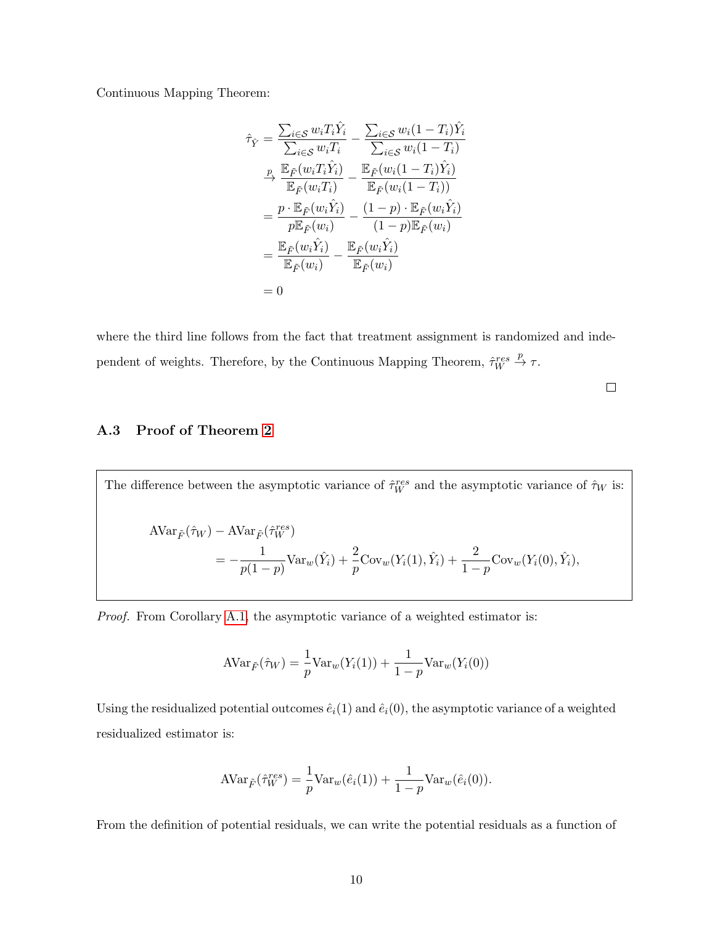Continuous Mapping Theorem:

$$
\hat{\tau}_{\hat{Y}} = \frac{\sum_{i \in \mathcal{S}} w_i T_i \hat{Y}_i}{\sum_{i \in \mathcal{S}} w_i T_i} - \frac{\sum_{i \in \mathcal{S}} w_i (1 - T_i) \hat{Y}_i}{\sum_{i \in \mathcal{S}} w_i (1 - T_i)}
$$
\n
$$
\xrightarrow{p} \frac{\mathbb{E}_{\hat{F}}(w_i T_i \hat{Y}_i)}{\mathbb{E}_{\hat{F}}(w_i T_i)} - \frac{\mathbb{E}_{\hat{F}}(w_i (1 - T_i) \hat{Y}_i)}{\mathbb{E}_{\hat{F}}(w_i (1 - T_i))}
$$
\n
$$
= \frac{p \cdot \mathbb{E}_{\tilde{F}}(w_i \hat{Y}_i)}{p \mathbb{E}_{\tilde{F}}(w_i)} - \frac{(1 - p) \cdot \mathbb{E}_{\tilde{F}}(w_i \hat{Y}_i)}{(1 - p) \mathbb{E}_{\tilde{F}}(w_i)}
$$
\n
$$
= \frac{\mathbb{E}_{\tilde{F}}(w_i \hat{Y}_i)}{\mathbb{E}_{\tilde{F}}(w_i)} - \frac{\mathbb{E}_{\tilde{F}}(w_i \hat{Y}_i)}{\mathbb{E}_{\tilde{F}}(w_i)}
$$
\n
$$
= 0
$$

where the third line follows from the fact that treatment assignment is randomized and independent of weights. Therefore, by the Continuous Mapping Theorem,  $\hat{\tau}_W^{res} \stackrel{p}{\rightarrow} \tau$ .

 $\Box$ 

# A.3 Proof of Theorem [2](#page-14-1)

The difference between the asymptotic variance of  $\hat{\tau}_W^{res}$  and the asymptotic variance of  $\hat{\tau}_W$  is:

$$
\begin{split} \text{AVar}_{\tilde{F}}(\hat{\tau}_{W}) - \text{AVar}_{\tilde{F}}(\hat{\tau}_{W}^{res}) \\ &= -\frac{1}{p(1-p)} \text{Var}_{w}(\hat{Y}_{i}) + \frac{2}{p} \text{Cov}_{w}(Y_{i}(1), \hat{Y}_{i}) + \frac{2}{1-p} \text{Cov}_{w}(Y_{i}(0), \hat{Y}_{i}), \end{split}
$$

Proof. From Corollary [A.1,](#page-44-0) the asymptotic variance of a weighted estimator is:

$$
AVar_{\tilde{F}}(\hat{\tau}_W) = \frac{1}{p}Var_w(Y_i(1)) + \frac{1}{1-p}Var_w(Y_i(0))
$$

Using the residualized potential outcomes  $\hat{e}_i(1)$  and  $\hat{e}_i(0)$ , the asymptotic variance of a weighted residualized estimator is:

$$
AVar_{\tilde{F}}(\hat{\tau}_W^{res}) = \frac{1}{p}Var_w(\hat{e}_i(1)) + \frac{1}{1-p}Var_w(\hat{e}_i(0)).
$$

From the definition of potential residuals, we can write the potential residuals as a function of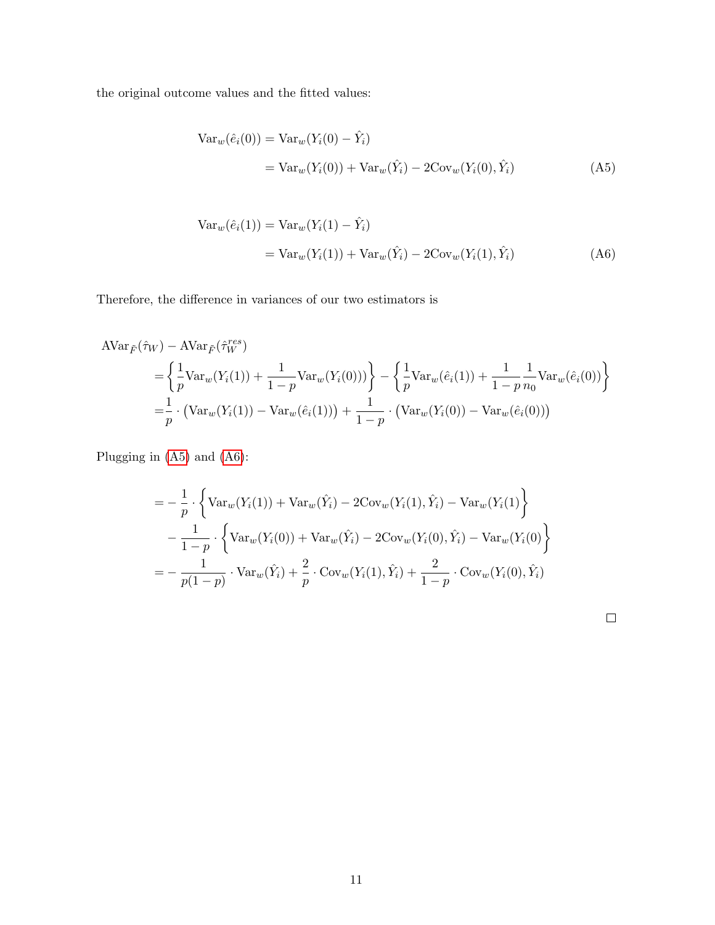the original outcome values and the fitted values:

<span id="page-51-0"></span>
$$
\begin{aligned} \text{Var}_w(\hat{e}_i(0)) &= \text{Var}_w(Y_i(0) - \hat{Y}_i) \\ &= \text{Var}_w(Y_i(0)) + \text{Var}_w(\hat{Y}_i) - 2\text{Cov}_w(Y_i(0), \hat{Y}_i) \end{aligned} \tag{A5}
$$

$$
\begin{aligned} \text{Var}_w(\hat{e}_i(1)) &= \text{Var}_w(Y_i(1) - \hat{Y}_i) \\ &= \text{Var}_w(Y_i(1)) + \text{Var}_w(\hat{Y}_i) - 2\text{Cov}_w(Y_i(1), \hat{Y}_i) \end{aligned} \tag{A6}
$$

Therefore, the difference in variances of our two estimators is

$$
\begin{split} \text{AVar}_{\tilde{F}}(\hat{\tau}_{W}) - \text{AVar}_{\tilde{F}}(\hat{\tau}_{W}^{res}) \\ &= \left\{ \frac{1}{p} \text{Var}_{w}(Y_{i}(1)) + \frac{1}{1-p} \text{Var}_{w}(Y_{i}(0))) \right\} - \left\{ \frac{1}{p} \text{Var}_{w}(\hat{e}_{i}(1)) + \frac{1}{1-p} \frac{1}{n_{0}} \text{Var}_{w}(\hat{e}_{i}(0)) \right\} \\ &= \frac{1}{p} \cdot \left( \text{Var}_{w}(Y_{i}(1)) - \text{Var}_{w}(\hat{e}_{i}(1)) \right) + \frac{1}{1-p} \cdot \left( \text{Var}_{w}(Y_{i}(0)) - \text{Var}_{w}(\hat{e}_{i}(0)) \right) \end{split}
$$

Plugging in [\(A5\)](#page-51-0) and [\(A6\)](#page-51-1):

$$
= -\frac{1}{p} \cdot \left\{ \text{Var}_{w}(Y_{i}(1)) + \text{Var}_{w}(\hat{Y}_{i}) - 2\text{Cov}_{w}(Y_{i}(1), \hat{Y}_{i}) - \text{Var}_{w}(Y_{i}(1)) \right\} -\frac{1}{1-p} \cdot \left\{ \text{Var}_{w}(Y_{i}(0)) + \text{Var}_{w}(\hat{Y}_{i}) - 2\text{Cov}_{w}(Y_{i}(0), \hat{Y}_{i}) - \text{Var}_{w}(Y_{i}(0)) \right\} = -\frac{1}{p(1-p)} \cdot \text{Var}_{w}(\hat{Y}_{i}) + \frac{2}{p} \cdot \text{Cov}_{w}(Y_{i}(1), \hat{Y}_{i}) + \frac{2}{1-p} \cdot \text{Cov}_{w}(Y_{i}(0), \hat{Y}_{i})
$$

<span id="page-51-1"></span>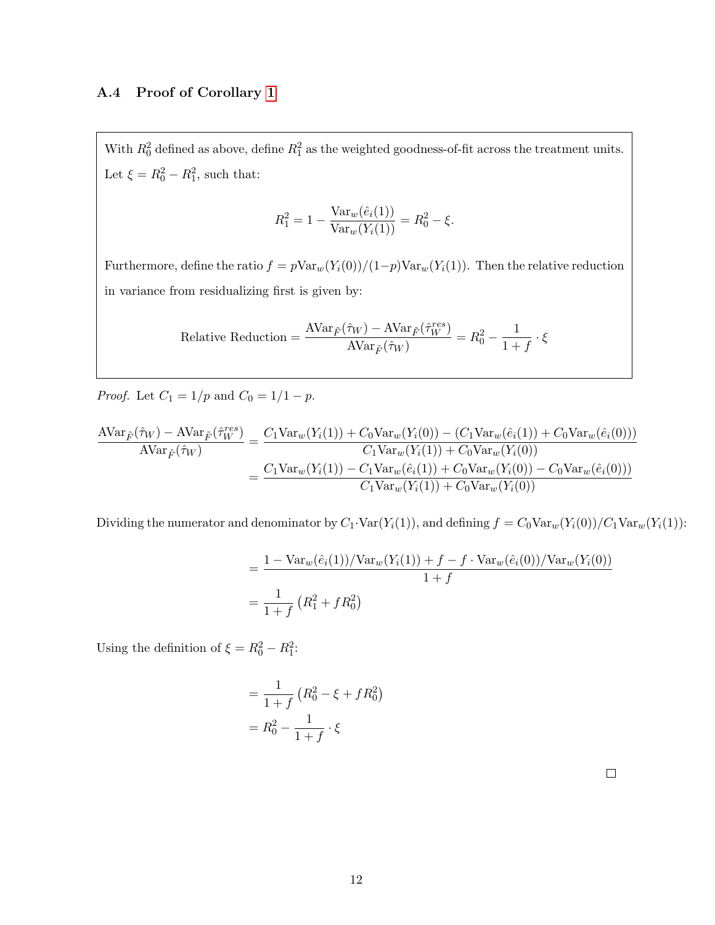## A.4 Proof of Corollary [1](#page-16-0)

With  $R_0^2$  defined as above, define  $R_1^2$  as the weighted goodness-of-fit across the treatment units. Let  $\xi = R_0^2 - R_1^2$ , such that:

$$
R_1^2 = 1 - \frac{\text{Var}_w(\hat{e}_i(1))}{\text{Var}_w(Y_i(1))} = R_0^2 - \xi.
$$

Furthermore, define the ratio  $f = p \text{Var}_w(Y_i(0)) / (1-p) \text{Var}_w(Y_i(1))$ . Then the relative reduction in variance from residualizing first is given by:

Relative Reduction = 
$$
\frac{\text{AVar}_{\tilde{F}}(\hat{\tau}_W) - \text{AVar}_{\tilde{F}}(\hat{\tau}_W^{res})}{\text{AVar}_{\tilde{F}}(\hat{\tau}_W)} = R_0^2 - \frac{1}{1+f} \cdot \xi
$$

*Proof.* Let  $C_1 = 1/p$  and  $C_0 = 1/1 - p$ .

$$
\frac{\text{AVar}_{\tilde{F}}(\hat{\tau}_W) - \text{AVar}_{\tilde{F}}(\hat{\tau}_W^{res})}{\text{AVar}_{\tilde{F}}(\hat{\tau}_W)} = \frac{C_1 \text{Var}_w(Y_i(1)) + C_0 \text{Var}_w(Y_i(0)) - (C_1 \text{Var}_w(\hat{e}_i(1)) + C_0 \text{Var}_w(\hat{e}_i(0)))}{C_1 \text{Var}_w(Y_i(1)) + C_0 \text{Var}_w(Y_i(0))}
$$
\n
$$
= \frac{C_1 \text{Var}_w(Y_i(1)) - C_1 \text{Var}_w(\hat{e}_i(1)) + C_0 \text{Var}_w(Y_i(0)) - C_0 \text{Var}_w(\hat{e}_i(0)))}{C_1 \text{Var}_w(Y_i(1)) + C_0 \text{Var}_w(Y_i(0))}
$$

Dividing the numerator and denominator by  $C_1 \cdot \text{Var}(Y_i(1))$ , and defining  $f = C_0 \text{Var}_w(Y_i(0))/C_1 \text{Var}_w(Y_i(1))$ :

$$
= \frac{1 - \text{Var}_{w}(\hat{e}_i(1))/\text{Var}_{w}(Y_i(1)) + f - f \cdot \text{Var}_{w}(\hat{e}_i(0))/\text{Var}_{w}(Y_i(0))}{1 + f}
$$

$$
= \frac{1}{1 + f}(R_1^2 + fR_0^2)
$$

Using the definition of  $\xi = R_0^2 - R_1^2$ :

$$
= \frac{1}{1+f} (R_0^2 - \xi + fR_0^2)
$$

$$
= R_0^2 - \frac{1}{1+f} \cdot \xi
$$

 $\Box$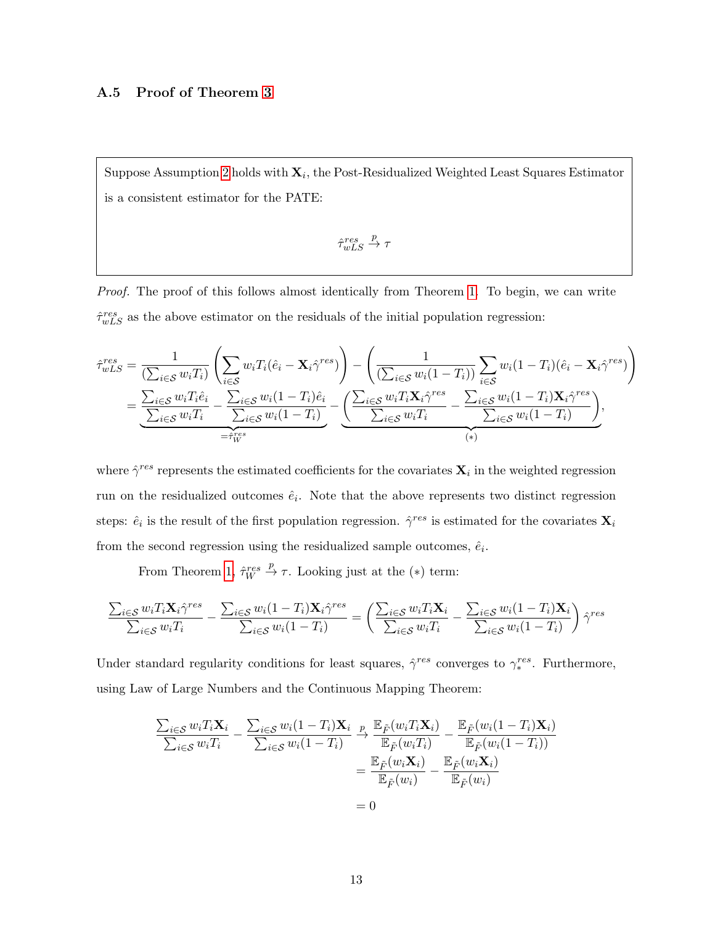### A.5 Proof of Theorem [3](#page-18-0)

Suppose Assumption [2](#page-6-0) holds with  $\mathbf{X}_i$ , the Post-Residualized Weighted Least Squares Estimator is a consistent estimator for the PATE:

$$
\hat{\tau}_{wLS}^{res} \stackrel{p}{\rightarrow} \tau
$$

Proof. The proof of this follows almost identically from Theorem [1.](#page-13-0) To begin, we can write  $\hat{\tau}_{wLS}^{res}$  as the above estimator on the residuals of the initial population regression:

$$
\hat{\tau}_{wLS}^{res} = \frac{1}{(\sum_{i \in \mathcal{S}} w_i T_i)} \left( \sum_{i \in \mathcal{S}} w_i T_i (\hat{e}_i - \mathbf{X}_i \hat{\gamma}^{res}) \right) - \left( \frac{1}{(\sum_{i \in \mathcal{S}} w_i (1 - T_i))} \sum_{i \in \mathcal{S}} w_i (1 - T_i)(\hat{e}_i - \mathbf{X}_i \hat{\gamma}^{res}) \right)
$$
\n
$$
= \underbrace{\sum_{i \in \mathcal{S}} w_i T_i \hat{e}_i}_{\sum_{i \in \mathcal{S}} w_i T_i} - \underbrace{\sum_{i \in \mathcal{S}} w_i (1 - T_i) \hat{e}_i}_{\sum_{i \in \mathcal{S}} w_i (1 - T_i)} - \underbrace{\left( \sum_{i \in \mathcal{S}} w_i T_i \mathbf{X}_i \hat{\gamma}^{res} - \sum_{i \in \mathcal{S}} w_i (1 - T_i) \mathbf{X}_i \hat{\gamma}^{res} \right)}_{(*)},
$$
\n
$$
= \hat{\tau}_{w}^{res},
$$

where  $\hat{\gamma}^{res}$  represents the estimated coefficients for the covariates  $\mathbf{X}_i$  in the weighted regression run on the residualized outcomes  $\hat{e}_i$ . Note that the above represents two distinct regression steps:  $\hat{e}_i$  is the result of the first population regression.  $\hat{\gamma}^{res}$  is estimated for the covariates  $\mathbf{X}_i$ from the second regression using the residualized sample outcomes,  $\hat{e}_i$ .

From Theorem [1,](#page-13-0)  $\hat{\tau}_W^{res} \stackrel{p}{\rightarrow} \tau$ . Looking just at the (\*) term:

$$
\frac{\sum_{i\in\mathcal{S}}w_iT_i\mathbf{X}_i\hat{\gamma}^{res}}{\sum_{i\in\mathcal{S}}w_iT_i} - \frac{\sum_{i\in\mathcal{S}}w_i(1-T_i)\mathbf{X}_i\hat{\gamma}^{res}}{\sum_{i\in\mathcal{S}}w_i(1-T_i)} = \left(\frac{\sum_{i\in\mathcal{S}}w_iT_i\mathbf{X}_i}{\sum_{i\in\mathcal{S}}w_iT_i} - \frac{\sum_{i\in\mathcal{S}}w_i(1-T_i)\mathbf{X}_i}{\sum_{i\in\mathcal{S}}w_i(1-T_i)}\right)\hat{\gamma}^{res}
$$

Under standard regularity conditions for least squares,  $\hat{\gamma}^{res}$  converges to  $\gamma_*^{res}$ . Furthermore, using Law of Large Numbers and the Continuous Mapping Theorem:

$$
\frac{\sum_{i \in \mathcal{S}} w_i T_i \mathbf{X}_i}{\sum_{i \in \mathcal{S}} w_i T_i} - \frac{\sum_{i \in \mathcal{S}} w_i (1 - T_i) \mathbf{X}_i}{\sum_{i \in \mathcal{S}} w_i (1 - T_i)} \xrightarrow{\mathbb{E}_{\tilde{F}} (w_i T_i \mathbf{X}_i)} - \frac{\mathbb{E}_{\tilde{F}} (w_i (1 - T_i) \mathbf{X}_i)}{\mathbb{E}_{\tilde{F}} (w_i (1 - T_i))}
$$
\n
$$
= \frac{\mathbb{E}_{\tilde{F}} (w_i \mathbf{X}_i)}{\mathbb{E}_{\tilde{F}} (w_i)} - \frac{\mathbb{E}_{\tilde{F}} (w_i \mathbf{X}_i)}{\mathbb{E}_{\tilde{F}} (w_i)}
$$
\n
$$
= 0
$$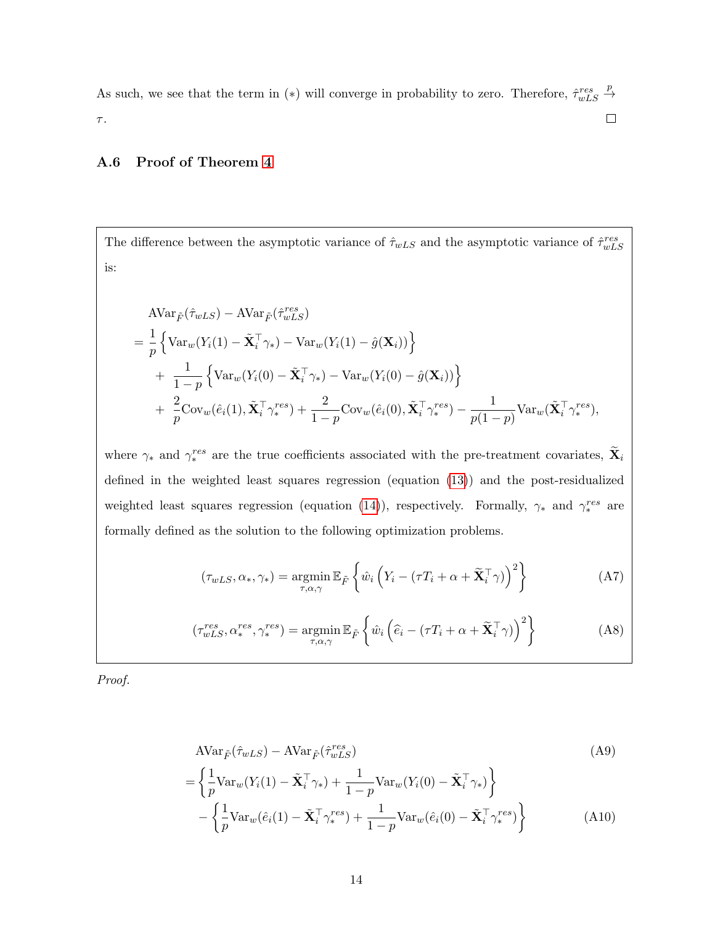As such, we see that the term in (\*) will converge in probability to zero. Therefore,  $\hat{\tau}_{wLS}^{res} \stackrel{p}{\rightarrow}$  $\Box$  $\tau.$ 

## A.6 Proof of Theorem [4](#page-19-0)

The difference between the asymptotic variance of  $\hat{\tau}_{wLS}$  and the asymptotic variance of  $\hat{\tau}_{wLS}^{res}$ is:

$$
\begin{split}\n& \text{AVar}_{\tilde{F}}(\hat{\tau}_{wLS}) - \text{AVar}_{\tilde{F}}(\hat{\tau}_{wLS}^{res}) \\
&= \frac{1}{p} \left\{ \text{Var}_{w}(Y_i(1) - \tilde{\mathbf{X}}_i^{\top} \gamma_*) - \text{Var}_{w}(Y_i(1) - \hat{g}(\mathbf{X}_i)) \right\} \\
&+ \frac{1}{1-p} \left\{ \text{Var}_{w}(Y_i(0) - \tilde{\mathbf{X}}_i^{\top} \gamma_*) - \text{Var}_{w}(Y_i(0) - \hat{g}(\mathbf{X}_i)) \right\} \\
&+ \frac{2}{p} \text{Cov}_{w}(\hat{e}_i(1), \tilde{\mathbf{X}}_i^{\top} \gamma_*^{res}) + \frac{2}{1-p} \text{Cov}_{w}(\hat{e}_i(0), \tilde{\mathbf{X}}_i^{\top} \gamma_*^{res}) - \frac{1}{p(1-p)} \text{Var}_{w}(\tilde{\mathbf{X}}_i^{\top} \gamma_*^{res}),\n\end{split}
$$

where  $\gamma_*$  and  $\gamma_*^{res}$  are the true coefficients associated with the pre-treatment covariates,  $\tilde{\mathbf{X}}_i$ defined in the weighted least squares regression (equation [\(13\)](#page-17-0)) and the post-residualized weighted least squares regression (equation [\(14\)](#page-17-1)), respectively. Formally,  $\gamma_*$  and  $\gamma_*^{res}$  are formally defined as the solution to the following optimization problems.

$$
(\tau_{wLS}, \alpha_*, \gamma_*) = \underset{\tau, \alpha, \gamma}{\text{argmin}} \mathbb{E}_{\tilde{F}} \left\{ \hat{w}_i \left( Y_i - (\tau T_i + \alpha + \tilde{\mathbf{X}}_i^{\top} \gamma) \right)^2 \right\}
$$
(A7)

$$
(\tau_{wLS}^{res}, \alpha_{*}^{res}, \gamma_{*}^{res}) = \underset{\tau, \alpha, \gamma}{\text{argmin}} \mathbb{E}_{\tilde{F}} \left\{ \hat{w}_{i} \left( \hat{e}_{i} - (\tau T_{i} + \alpha + \tilde{\mathbf{X}}_{i}^{\top} \gamma) \right)^{2} \right\}
$$
(A8)

Proof.

<span id="page-54-0"></span>
$$
\begin{split} \text{AVar}_{\tilde{F}}(\hat{\tau}_{wLS}) - \text{AVar}_{\tilde{F}}(\hat{\tau}_{wLS}^{res}) & \qquad (A9) \\ = \left\{ \frac{1}{p} \text{Var}_{w}(Y_i(1) - \tilde{\mathbf{X}}_i^\top \gamma_*) + \frac{1}{1-p} \text{Var}_{w}(Y_i(0) - \tilde{\mathbf{X}}_i^\top \gamma_*) \right\} \\ - \left\{ \frac{1}{p} \text{Var}_{w}(\hat{e}_i(1) - \tilde{\mathbf{X}}_i^\top \gamma_*^{res}) + \frac{1}{1-p} \text{Var}_{w}(\hat{e}_i(0) - \tilde{\mathbf{X}}_i^\top \gamma_*^{res}) \right\} & \qquad (A10) \end{split}
$$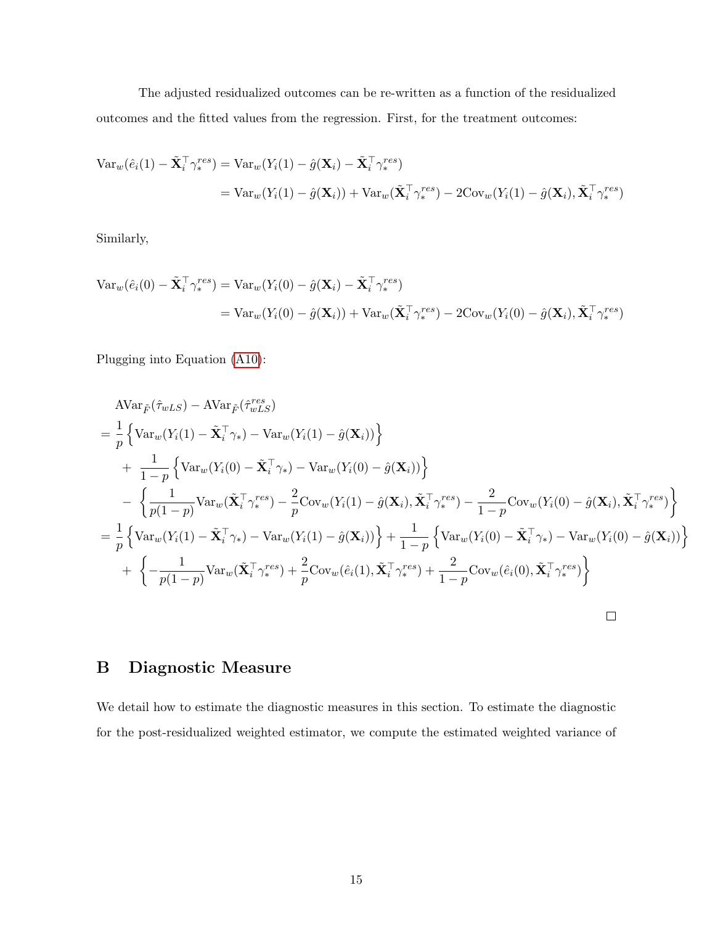The adjusted residualized outcomes can be re-written as a function of the residualized outcomes and the fitted values from the regression. First, for the treatment outcomes:

$$
\begin{split} \text{Var}_{w}(\hat{e}_{i}(1) - \tilde{\mathbf{X}}_{i}^{\top} \gamma_{*}^{res}) &= \text{Var}_{w}(Y_{i}(1) - \hat{g}(\mathbf{X}_{i}) - \tilde{\mathbf{X}}_{i}^{\top} \gamma_{*}^{res}) \\ &= \text{Var}_{w}(Y_{i}(1) - \hat{g}(\mathbf{X}_{i})) + \text{Var}_{w}(\tilde{\mathbf{X}}_{i}^{\top} \gamma_{*}^{res}) - 2\text{Cov}_{w}(Y_{i}(1) - \hat{g}(\mathbf{X}_{i}), \tilde{\mathbf{X}}_{i}^{\top} \gamma_{*}^{res}) \end{split}
$$

Similarly,

$$
\begin{split} \text{Var}_{w}(\hat{e}_{i}(0) - \tilde{\mathbf{X}}_{i}^{\top} \gamma_{*}^{res}) &= \text{Var}_{w}(Y_{i}(0) - \hat{g}(\mathbf{X}_{i}) - \tilde{\mathbf{X}}_{i}^{\top} \gamma_{*}^{res}) \\ &= \text{Var}_{w}(Y_{i}(0) - \hat{g}(\mathbf{X}_{i})) + \text{Var}_{w}(\tilde{\mathbf{X}}_{i}^{\top} \gamma_{*}^{res}) - 2\text{Cov}_{w}(Y_{i}(0) - \hat{g}(\mathbf{X}_{i}), \tilde{\mathbf{X}}_{i}^{\top} \gamma_{*}^{res}) \end{split}
$$

Plugging into Equation [\(A10\)](#page-54-0):

$$
\begin{split}\n&\text{AVar}_{\tilde{F}}(\hat{\tau}_{wLS}) - \text{AVar}_{\tilde{F}}(\hat{\tau}_{wLS}^{res}) \\
&= \frac{1}{p} \left\{ \text{Var}_{w}(Y_{i}(1) - \tilde{\mathbf{X}}_{i}^{\top} \gamma_{*}) - \text{Var}_{w}(Y_{i}(1) - \hat{g}(\mathbf{X}_{i})) \right\} \\
&+ \frac{1}{1-p} \left\{ \text{Var}_{w}(Y_{i}(0) - \tilde{\mathbf{X}}_{i}^{\top} \gamma_{*}) - \text{Var}_{w}(Y_{i}(0) - \hat{g}(\mathbf{X}_{i})) \right\} \\
&- \left\{ \frac{1}{p(1-p)} \text{Var}_{w}(\tilde{\mathbf{X}}_{i}^{\top} \gamma_{*}^{res}) - \frac{2}{p} \text{Cov}_{w}(Y_{i}(1) - \hat{g}(\mathbf{X}_{i}), \tilde{\mathbf{X}}_{i}^{\top} \gamma_{*}^{res}) - \frac{2}{1-p} \text{Cov}_{w}(Y_{i}(0) - \hat{g}(\mathbf{X}_{i}), \tilde{\mathbf{X}}_{i}^{\top} \gamma_{*}^{res}) \right\} \\
&= \frac{1}{p} \left\{ \text{Var}_{w}(Y_{i}(1) - \tilde{\mathbf{X}}_{i}^{\top} \gamma_{*}) - \text{Var}_{w}(Y_{i}(1) - \hat{g}(\mathbf{X}_{i})) \right\} + \frac{1}{1-p} \left\{ \text{Var}_{w}(Y_{i}(0) - \tilde{\mathbf{X}}_{i}^{\top} \gamma_{*}) - \text{Var}_{w}(Y_{i}(0) - \hat{g}(\mathbf{X}_{i})) \right\} \\
&+ \left\{ - \frac{1}{p(1-p)} \text{Var}_{w}(\tilde{\mathbf{X}}_{i}^{\top} \gamma_{*}^{res}) + \frac{2}{p} \text{Cov}_{w}(\hat{e}_{i}(1), \tilde{\mathbf{X}}_{i}^{\top} \gamma_{*}^{res}) + \frac{2}{1-p} \text{Cov}_{w}(\hat{e}_{i}(0), \tilde{\mathbf{X}}_{i}^{\top} \gamma_{*}^{res}) \right\}\n\end{split}
$$

# B Diagnostic Measure

We detail how to estimate the diagnostic measures in this section. To estimate the diagnostic for the post-residualized weighted estimator, we compute the estimated weighted variance of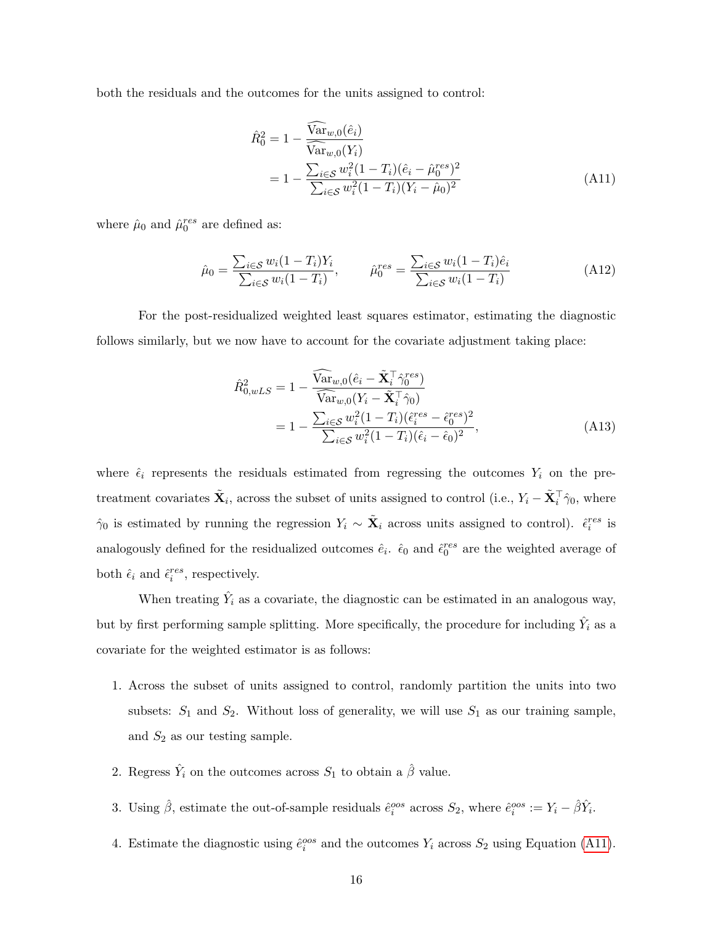both the residuals and the outcomes for the units assigned to control:

<span id="page-56-0"></span>
$$
\hat{R}_0^2 = 1 - \frac{\widehat{\text{Var}}_{w,0}(\hat{e}_i)}{\widehat{\text{Var}}_{w,0}(Y_i)}
$$
\n
$$
= 1 - \frac{\sum_{i \in S} w_i^2 (1 - T_i)(\hat{e}_i - \hat{\mu}_0^{res})^2}{\sum_{i \in S} w_i^2 (1 - T_i)(Y_i - \hat{\mu}_0)^2}
$$
\n(A11)

where  $\hat{\mu}_0$  and  $\hat{\mu}_0^{res}$  are defined as:

$$
\hat{\mu}_0 = \frac{\sum_{i \in S} w_i (1 - T_i) Y_i}{\sum_{i \in S} w_i (1 - T_i)}, \qquad \hat{\mu}_0^{res} = \frac{\sum_{i \in S} w_i (1 - T_i) \hat{e}_i}{\sum_{i \in S} w_i (1 - T_i)}
$$
(A12)

For the post-residualized weighted least squares estimator, estimating the diagnostic follows similarly, but we now have to account for the covariate adjustment taking place:

<span id="page-56-1"></span>
$$
\hat{R}_{0,wLS}^{2} = 1 - \frac{\widehat{\text{Var}}_{w,0}(\hat{e}_{i} - \tilde{\mathbf{X}}_{i}^{\top} \hat{\gamma}_{0}^{res})}{\widehat{\text{Var}}_{w,0}(Y_{i} - \tilde{\mathbf{X}}_{i}^{\top} \hat{\gamma}_{0})}
$$
\n
$$
= 1 - \frac{\sum_{i \in S} w_{i}^{2} (1 - T_{i}) (\hat{\epsilon}_{i}^{res} - \hat{\epsilon}_{0}^{res})^{2}}{\sum_{i \in S} w_{i}^{2} (1 - T_{i}) (\hat{\epsilon}_{i} - \hat{\epsilon}_{0})^{2}},
$$
\n(A13)

where  $\hat{\epsilon}_i$  represents the residuals estimated from regressing the outcomes  $Y_i$  on the pretreatment covariates  $\tilde{\mathbf{X}}_i$ , across the subset of units assigned to control (i.e.,  $Y_i - \tilde{\mathbf{X}}_i^{\top} \hat{\gamma}_0$ , where  $\hat{\gamma}_0$  is estimated by running the regression  $Y_i \sim \tilde{\mathbf{X}}_i$  across units assigned to control).  $\hat{\epsilon}_i^{res}$  is analogously defined for the residualized outcomes  $\hat{e}_i$ .  $\hat{\epsilon}_0$  and  $\hat{\epsilon}_0^{res}$  are the weighted average of both  $\hat{\epsilon}_i$  and  $\hat{\epsilon}_i^{res}$ , respectively.

When treating  $\hat{Y}_i$  as a covariate, the diagnostic can be estimated in an analogous way, but by first performing sample splitting. More specifically, the procedure for including  $\hat{Y}_i$  as a covariate for the weighted estimator is as follows:

- 1. Across the subset of units assigned to control, randomly partition the units into two subsets:  $S_1$  and  $S_2$ . Without loss of generality, we will use  $S_1$  as our training sample, and  $S_2$  as our testing sample.
- 2. Regress  $\hat{Y}_i$  on the outcomes across  $S_1$  to obtain a  $\hat{\beta}$  value.
- 3. Using  $\hat{\beta}$ , estimate the out-of-sample residuals  $\hat{e}^{oos}_i$  across  $S_2$ , where  $\hat{e}^{oos}_i := Y_i \hat{\beta}\hat{Y}_i$ .
- 4. Estimate the diagnostic using  $\hat{e}^{oos}_i$  and the outcomes  $Y_i$  across  $S_2$  using Equation [\(A11\)](#page-56-0).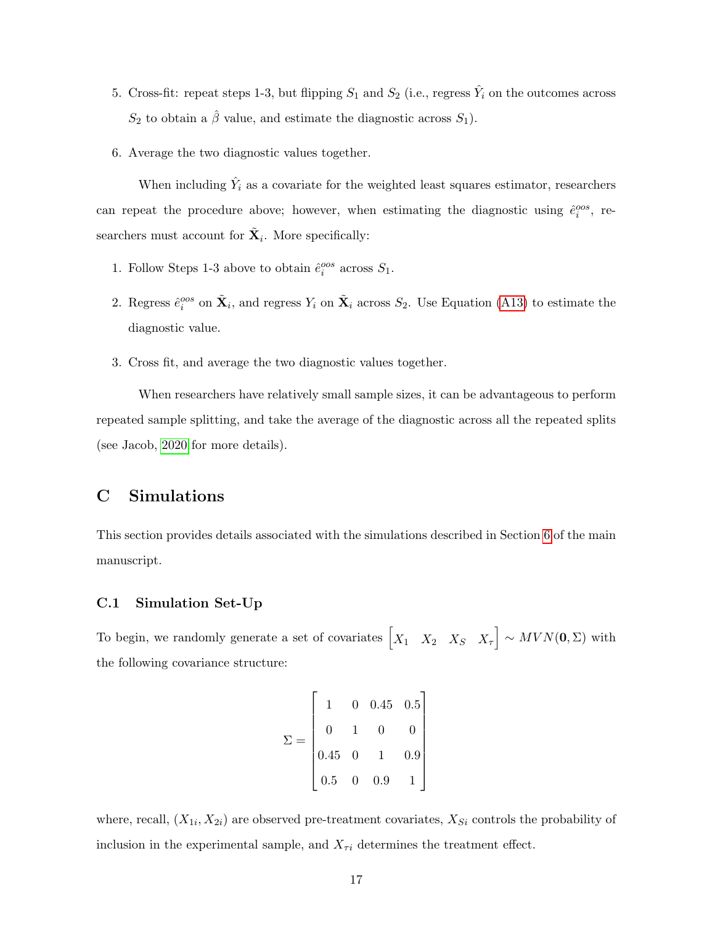- 5. Cross-fit: repeat steps 1-3, but flipping  $S_1$  and  $S_2$  (i.e., regress  $\hat{Y}_i$  on the outcomes across  $S_2$  to obtain a  $\hat{\beta}$  value, and estimate the diagnostic across  $S_1$ ).
- 6. Average the two diagnostic values together.

When including  $\hat{Y}_i$  as a covariate for the weighted least squares estimator, researchers can repeat the procedure above; however, when estimating the diagnostic using  $\hat{e}_i^{oos}$ , researchers must account for  $\tilde{\mathbf{X}}_i$ . More specifically:

- 1. Follow Steps 1-3 above to obtain  $\hat{e}^{oos}_i$  across  $S_1$ .
- 2. Regress  $\hat{e}^{cos}_i$  on  $\tilde{\mathbf{X}}_i$ , and regress  $Y_i$  on  $\tilde{\mathbf{X}}_i$  across  $S_2$ . Use Equation [\(A13\)](#page-56-1) to estimate the diagnostic value.
- 3. Cross fit, and average the two diagnostic values together.

When researchers have relatively small sample sizes, it can be advantageous to perform repeated sample splitting, and take the average of the diagnostic across all the repeated splits (see Jacob, [2020](#page-72-3) for more details).

# C Simulations

This section provides details associated with the simulations described in Section [6](#page-26-0) of the main manuscript.

### C.1 Simulation Set-Up

To begin, we randomly generate a set of covariates  $\begin{bmatrix} X_1 & X_2 & X_S & X_\tau \end{bmatrix} \sim MVN(\mathbf{0}, \Sigma)$  with the following covariance structure:

$$
\Sigma = \begin{bmatrix} 1 & 0 & 0.45 & 0.5 \\ 0 & 1 & 0 & 0 \\ 0.45 & 0 & 1 & 0.9 \\ 0.5 & 0 & 0.9 & 1 \end{bmatrix}
$$

where, recall,  $(X_{1i}, X_{2i})$  are observed pre-treatment covariates,  $X_{Si}$  controls the probability of inclusion in the experimental sample, and  $X_{\tau i}$  determines the treatment effect.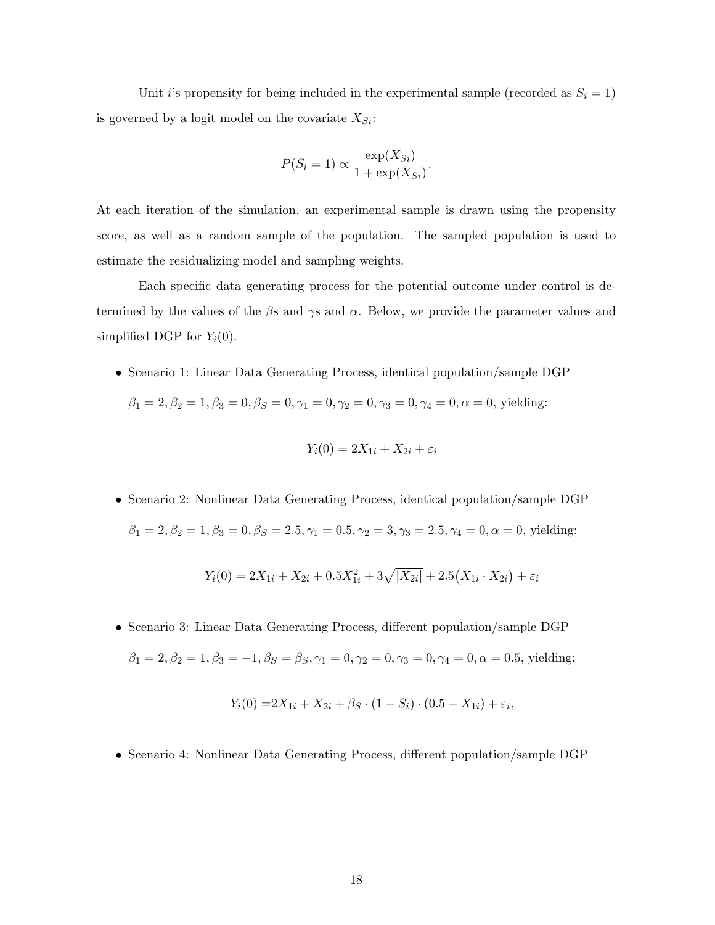Unit *i*'s propensity for being included in the experimental sample (recorded as  $S_i = 1$ ) is governed by a logit model on the covariate  $X_{Si}$ :

$$
P(S_i = 1) \propto \frac{\exp(X_{Si})}{1 + \exp(X_{Si})}.
$$

At each iteration of the simulation, an experimental sample is drawn using the propensity score, as well as a random sample of the population. The sampled population is used to estimate the residualizing model and sampling weights.

Each specific data generating process for the potential outcome under control is determined by the values of the  $\beta$ s and  $\gamma$ s and  $\alpha$ . Below, we provide the parameter values and simplified DGP for  $Y_i(0)$ .

• Scenario 1: Linear Data Generating Process, identical population/sample DGP

$$
\beta_1 = 2, \beta_2 = 1, \beta_3 = 0, \beta_S = 0, \gamma_1 = 0, \gamma_2 = 0, \gamma_3 = 0, \gamma_4 = 0, \alpha = 0
$$
, yielding:

$$
Y_i(0) = 2X_{1i} + X_{2i} + \varepsilon_i
$$

• Scenario 2: Nonlinear Data Generating Process, identical population/sample DGP  $\beta_1 = 2, \beta_2 = 1, \beta_3 = 0, \beta_S = 2.5, \gamma_1 = 0.5, \gamma_2 = 3, \gamma_3 = 2.5, \gamma_4 = 0, \alpha = 0$ , yielding:

$$
Y_i(0) = 2X_{1i} + X_{2i} + 0.5X_{1i}^2 + 3\sqrt{|X_{2i}|} + 2.5(X_{1i} \cdot X_{2i}) + \varepsilon_i
$$

• Scenario 3: Linear Data Generating Process, different population/sample DGP  $\beta_1 = 2, \beta_2 = 1, \beta_3 = -1, \beta_S = \beta_S, \gamma_1 = 0, \gamma_2 = 0, \gamma_3 = 0, \gamma_4 = 0, \alpha = 0.5$ , yielding:

$$
Y_i(0) = 2X_{1i} + X_{2i} + \beta_S \cdot (1 - S_i) \cdot (0.5 - X_{1i}) + \varepsilon_i,
$$

• Scenario 4: Nonlinear Data Generating Process, different population/sample DGP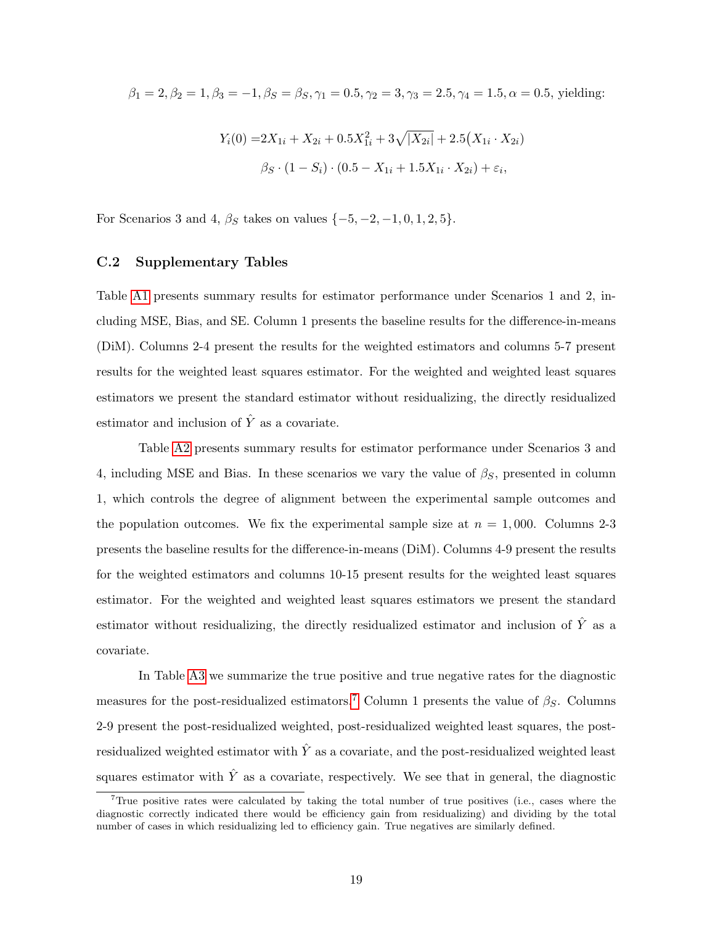$$
\beta_1 = 2, \beta_2 = 1, \beta_3 = -1, \beta_S = \beta_S, \gamma_1 = 0.5, \gamma_2 = 3, \gamma_3 = 2.5, \gamma_4 = 1.5, \alpha = 0.5, \text{ yielding:}
$$
  

$$
Y_i(0) = 2X_{1i} + X_{2i} + 0.5X_{1i}^2 + 3\sqrt{|X_{2i}|} + 2.5(X_{1i} \cdot X_{2i})
$$

$$
\beta_S \cdot (1 - S_i) \cdot (0.5 - X_{1i} + 1.5X_{1i} \cdot X_{2i}) + \varepsilon_i,
$$

For Scenarios 3 and 4,  $\beta_S$  takes on values  $\{-5, -2, -1, 0, 1, 2, 5\}.$ 

#### C.2 Supplementary Tables

Table [A1](#page-11-0) presents summary results for estimator performance under Scenarios 1 and 2, including MSE, Bias, and SE. Column 1 presents the baseline results for the difference-in-means (DiM). Columns 2-4 present the results for the weighted estimators and columns 5-7 present results for the weighted least squares estimator. For the weighted and weighted least squares estimators we present the standard estimator without residualizing, the directly residualized estimator and inclusion of  $\hat{Y}$  as a covariate.

Table [A2](#page-27-0) presents summary results for estimator performance under Scenarios 3 and 4, including MSE and Bias. In these scenarios we vary the value of  $\beta_{\rm S}$ , presented in column 1, which controls the degree of alignment between the experimental sample outcomes and the population outcomes. We fix the experimental sample size at  $n = 1,000$ . Columns 2-3 presents the baseline results for the difference-in-means (DiM). Columns 4-9 present the results for the weighted estimators and columns 10-15 present results for the weighted least squares estimator. For the weighted and weighted least squares estimators we present the standard estimator without residualizing, the directly residualized estimator and inclusion of  $\hat{Y}$  as a covariate.

In Table [A3](#page-33-0) we summarize the true positive and true negative rates for the diagnostic measures for the post-residualized estimators.<sup>[7](#page-0-0)</sup> Column 1 presents the value of  $\beta_S$ . Columns 2-9 present the post-residualized weighted, post-residualized weighted least squares, the postresidualized weighted estimator with  $\hat{Y}$  as a covariate, and the post-residualized weighted least squares estimator with  $\hat{Y}$  as a covariate, respectively. We see that in general, the diagnostic

<sup>&</sup>lt;sup>7</sup>True positive rates were calculated by taking the total number of true positives (i.e., cases where the diagnostic correctly indicated there would be efficiency gain from residualizing) and dividing by the total number of cases in which residualizing led to efficiency gain. True negatives are similarly defined.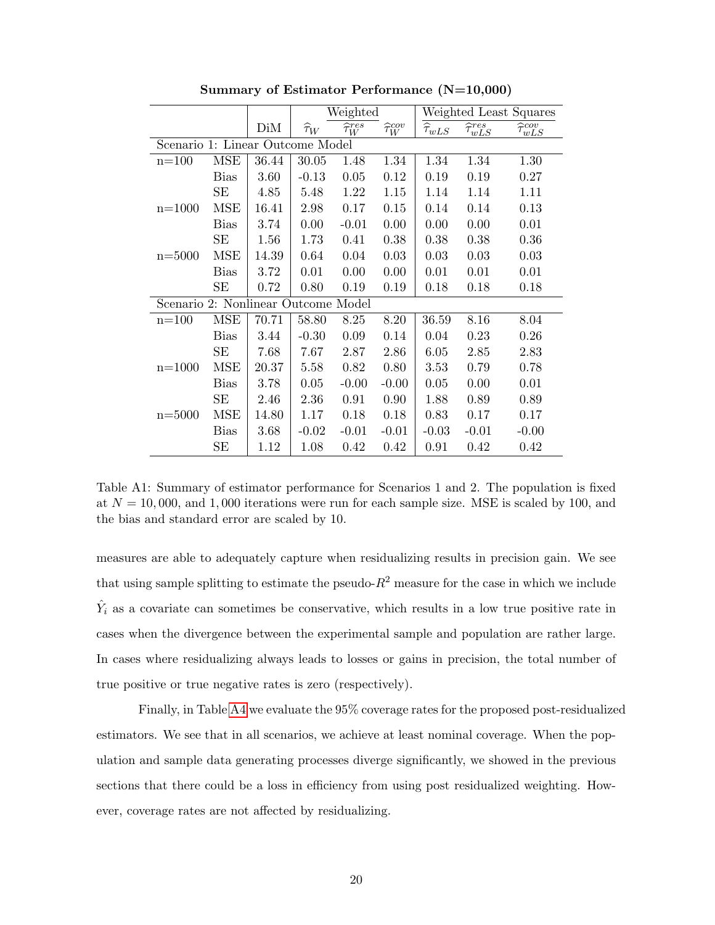|                                     |             |       |                    | Weighted                   |                          | Weighted Least Squares               |                              |                              |  |
|-------------------------------------|-------------|-------|--------------------|----------------------------|--------------------------|--------------------------------------|------------------------------|------------------------------|--|
|                                     |             | DiM   | $\widehat{\tau}_W$ | $\widehat{\tau}_{W}^{res}$ | $\widehat{\tau}_W^{cov}$ | $\widehat{\tau}_{w L \underline{S}}$ | $\widehat{\tau}_{wLS}^{res}$ | $\widehat{\tau}_{wLS}^{cov}$ |  |
| Scenario 1: Linear Outcome Model    |             |       |                    |                            |                          |                                      |                              |                              |  |
| $n = 100$                           | <b>MSE</b>  | 36.44 | 30.05              | 1.48                       | 1.34                     | 1.34                                 | 1.34                         | 1.30                         |  |
|                                     | <b>Bias</b> | 3.60  | $-0.13$            | 0.05                       | 0.12                     | 0.19                                 | 0.19                         | 0.27                         |  |
|                                     | SE          | 4.85  | 5.48               | 1.22                       | 1.15                     | 1.14                                 | 1.14                         | 1.11                         |  |
| $n = 1000$                          | <b>MSE</b>  | 16.41 | 2.98               | 0.17                       | 0.15                     | 0.14                                 | 0.14                         | 0.13                         |  |
|                                     | Bias        | 3.74  | 0.00               | $-0.01$                    | 0.00                     | 0.00                                 | 0.00                         | 0.01                         |  |
|                                     | SE          | 1.56  | 1.73               | 0.41                       | 0.38                     | 0.38                                 | 0.38                         | 0.36                         |  |
| $n = 5000$                          | <b>MSE</b>  | 14.39 | 0.64               | 0.04                       | 0.03                     | 0.03                                 | 0.03                         | 0.03                         |  |
|                                     | Bias        | 3.72  | 0.01               | 0.00                       | 0.00                     | 0.01                                 | 0.01                         | 0.01                         |  |
|                                     | SE          | 0.72  | 0.80               | 0.19                       | 0.19                     | 0.18                                 | 0.18                         | 0.18                         |  |
| Scenario 2: Nonlinear Outcome Model |             |       |                    |                            |                          |                                      |                              |                              |  |
| $n = 100$                           | <b>MSE</b>  | 70.71 | 58.80              | 8.25                       | 8.20                     | 36.59                                | 8.16                         | 8.04                         |  |
|                                     | Bias        | 3.44  | $-0.30$            | 0.09                       | 0.14                     | 0.04                                 | 0.23                         | 0.26                         |  |
|                                     | SE          | 7.68  | 7.67               | 2.87                       | 2.86                     | 6.05                                 | 2.85                         | 2.83                         |  |
| $n = 1000$                          | MSE         | 20.37 | 5.58               | 0.82                       | 0.80                     | 3.53                                 | 0.79                         | 0.78                         |  |
|                                     | <b>Bias</b> | 3.78  | 0.05               | $-0.00$                    | $-0.00$                  | 0.05                                 | 0.00                         | 0.01                         |  |
|                                     | SE          | 2.46  | 2.36               | 0.91                       | 0.90                     | 1.88                                 | 0.89                         | 0.89                         |  |
| $n = 5000$                          | MSE         | 14.80 | 1.17               | 0.18                       | 0.18                     | 0.83                                 | 0.17                         | 0.17                         |  |
|                                     | <b>Bias</b> | 3.68  | $-0.02$            | $-0.01$                    | $-0.01$                  | $-0.03$                              | $-0.01$                      | $-0.00$                      |  |
|                                     | SЕ          | 1.12  | 1.08               | 0.42                       | 0.42                     | 0.91                                 | 0.42                         | 0.42                         |  |

Summary of Estimator Performance (N=10,000)

Table A1: Summary of estimator performance for Scenarios 1 and 2. The population is fixed at  $N = 10,000$ , and 1,000 iterations were run for each sample size. MSE is scaled by 100, and the bias and standard error are scaled by 10.

measures are able to adequately capture when residualizing results in precision gain. We see that using sample splitting to estimate the pseudo- $R^2$  measure for the case in which we include  $\hat{Y}_i$  as a covariate can sometimes be conservative, which results in a low true positive rate in cases when the divergence between the experimental sample and population are rather large. In cases where residualizing always leads to losses or gains in precision, the total number of true positive or true negative rates is zero (respectively).

Finally, in Table [A4](#page-63-0) we evaluate the 95% coverage rates for the proposed post-residualized estimators. We see that in all scenarios, we achieve at least nominal coverage. When the population and sample data generating processes diverge significantly, we showed in the previous sections that there could be a loss in efficiency from using post residualized weighting. However, coverage rates are not affected by residualizing.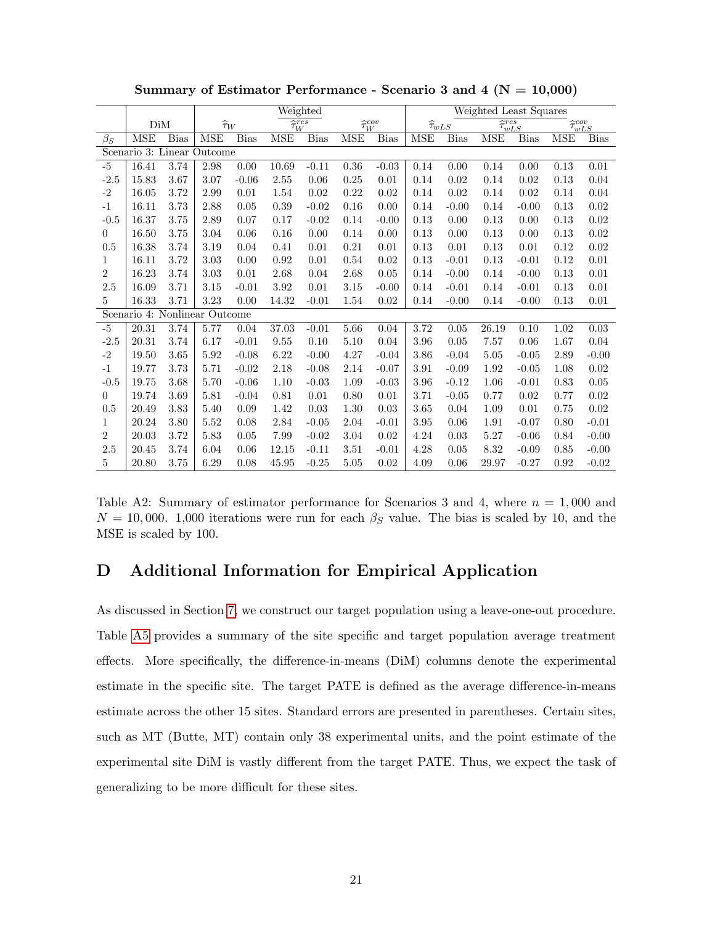|                  |                               |             |            | Weighted           |                            |         |      |                          |            | Weighted Least Squares |                                         |             |                              |             |
|------------------|-------------------------------|-------------|------------|--------------------|----------------------------|---------|------|--------------------------|------------|------------------------|-----------------------------------------|-------------|------------------------------|-------------|
|                  | DiM                           |             |            | $\widehat{\tau}_W$ | $\widehat{\tau}_{W}^{res}$ |         |      | $\widehat{\tau}_W^{cov}$ |            | $\widehat{\tau}_{wLS}$ | $\overline{\widehat{\tau}_{wLS}^{res}}$ |             | $\widehat{\tau}^{cov}_{wLS}$ |             |
| $\beta_S$        | <b>MSE</b>                    | <b>Bias</b> | <b>MSE</b> | <b>Bias</b>        | MSE                        | Bias    | MSE  | <b>Bias</b>              | <b>MSE</b> | <b>Bias</b>            | <b>MSE</b>                              | <b>Bias</b> | MSE                          | <b>Bias</b> |
|                  | Scenario 3: Linear Outcome    |             |            |                    |                            |         |      |                          |            |                        |                                         |             |                              |             |
| $-5$             | 16.41                         | 3.74        | 2.98       | 0.00               | 10.69                      | $-0.11$ | 0.36 | $-0.03$                  | 0.14       | 0.00                   | 0.14                                    | 0.00        | 0.13                         | 0.01        |
| $-2.5$           | 15.83                         | 3.67        | 3.07       | $-0.06$            | 2.55                       | 0.06    | 0.25 | 0.01                     | 0.14       | 0.02                   | 0.14                                    | 0.02        | 0.13                         | 0.04        |
| $-2$             | 16.05                         | 3.72        | 2.99       | 0.01               | 1.54                       | 0.02    | 0.22 | 0.02                     | 0.14       | 0.02                   | 0.14                                    | 0.02        | 0.14                         | 0.04        |
| $-1$             | 16.11                         | 3.73        | 2.88       | 0.05               | 0.39                       | $-0.02$ | 0.16 | 0.00                     | 0.14       | $-0.00$                | 0.14                                    | $-0.00$     | 0.13                         | 0.02        |
| $-0.5$           | 16.37                         | 3.75        | 2.89       | 0.07               | 0.17                       | $-0.02$ | 0.14 | $-0.00$                  | 0.13       | 0.00                   | 0.13                                    | 0.00        | 0.13                         | 0.02        |
| $\theta$         | 16.50                         | 3.75        | 3.04       | 0.06               | 0.16                       | 0.00    | 0.14 | 0.00                     | 0.13       | 0.00                   | 0.13                                    | 0.00        | 0.13                         | 0.02        |
| 0.5              | 16.38                         | 3.74        | 3.19       | 0.04               | 0.41                       | 0.01    | 0.21 | 0.01                     | 0.13       | 0.01                   | 0.13                                    | 0.01        | 0.12                         | 0.02        |
| 1                | 16.11                         | 3.72        | 3.03       | 0.00               | 0.92                       | 0.01    | 0.54 | 0.02                     | 0.13       | $-0.01$                | 0.13                                    | $-0.01$     | 0.12                         | 0.01        |
| $\sqrt{2}$       | 16.23                         | 3.74        | 3.03       | 0.01               | 2.68                       | 0.04    | 2.68 | 0.05                     | 0.14       | $-0.00$                | 0.14                                    | $-0.00$     | 0.13                         | 0.01        |
| 2.5              | 16.09                         | 3.71        | 3.15       | $-0.01$            | 3.92                       | 0.01    | 3.15 | $-0.00$                  | 0.14       | $-0.01$                | 0.14                                    | $-0.01$     | 0.13                         | 0.01        |
| 5                | 16.33                         | 3.71        | 3.23       | 0.00               | 14.32                      | $-0.01$ | 1.54 | 0.02                     | 0.14       | $-0.00$                | 0.14                                    | $-0.00$     | 0.13                         | 0.01        |
|                  | Scenario 4: Nonlinear Outcome |             |            |                    |                            |         |      |                          |            |                        |                                         |             |                              |             |
| $-5$             | $20.31\,$                     | 3.74        | 5.77       | 0.04               | 37.03                      | $-0.01$ | 5.66 | 0.04                     | 3.72       | 0.05                   | 26.19                                   | 0.10        | 1.02                         | $\rm 0.03$  |
| $-2.5$           | 20.31                         | 3.74        | 6.17       | $-0.01$            | 9.55                       | 0.10    | 5.10 | 0.04                     | 3.96       | 0.05                   | 7.57                                    | 0.06        | 1.67                         | 0.04        |
| $-2$             | 19.50                         | 3.65        | 5.92       | $-0.08$            | 6.22                       | $-0.00$ | 4.27 | $-0.04$                  | 3.86       | $-0.04$                | $5.05\,$                                | $-0.05$     | 2.89                         | $-0.00$     |
| $-1$             | 19.77                         | 3.73        | 5.71       | $-0.02$            | 2.18                       | $-0.08$ | 2.14 | $-0.07$                  | 3.91       | $-0.09$                | 1.92                                    | $-0.05$     | 1.08                         | 0.02        |
| $-0.5$           | 19.75                         | 3.68        | 5.70       | $-0.06$            | 1.10                       | $-0.03$ | 1.09 | $-0.03$                  | 3.96       | $-0.12$                | 1.06                                    | $-0.01$     | 0.83                         | $0.05\,$    |
| $\theta$         | 19.74                         | 3.69        | 5.81       | $-0.04$            | 0.81                       | 0.01    | 0.80 | 0.01                     | 3.71       | $-0.05$                | 0.77                                    | 0.02        | 0.77                         | 0.02        |
| 0.5              | 20.49                         | 3.83        | 5.40       | 0.09               | 1.42                       | 0.03    | 1.30 | 0.03                     | 3.65       | 0.04                   | 1.09                                    | 0.01        | 0.75                         | $0.02\,$    |
| 1                | 20.24                         | 3.80        | 5.52       | 0.08               | 2.84                       | $-0.05$ | 2.04 | $-0.01$                  | 3.95       | 0.06                   | 1.91                                    | $-0.07$     | 0.80                         | $-0.01$     |
| $\boldsymbol{2}$ | 20.03                         | 3.72        | 5.83       | 0.05               | 7.99                       | $-0.02$ | 3.04 | 0.02                     | 4.24       | 0.03                   | $5.27\,$                                | $-0.06$     | 0.84                         | $-0.00$     |
| 2.5              | 20.45                         | 3.74        | 6.04       | 0.06               | 12.15                      | $-0.11$ | 3.51 | $-0.01$                  | 4.28       | 0.05                   | 8.32                                    | $-0.09$     | 0.85                         | $-0.00$     |
| 5                | 20.80                         | 3.75        | 6.29       | 0.08               | 45.95                      | $-0.25$ | 5.05 | 0.02                     | 4.09       | 0.06                   | 29.97                                   | $-0.27$     | 0.92                         | $-0.02$     |

Summary of Estimator Performance - Scenario 3 and 4 ( $N = 10,000$ )

Table A2: Summary of estimator performance for Scenarios 3 and 4, where  $n = 1,000$  and  $N = 10,000$ . 1,000 iterations were run for each  $\beta_S$  value. The bias is scaled by 10, and the MSE is scaled by 100.

# D Additional Information for Empirical Application

As discussed in Section [7,](#page-30-0) we construct our target population using a leave-one-out procedure. Table [A5](#page-64-0) provides a summary of the site specific and target population average treatment effects. More specifically, the difference-in-means (DiM) columns denote the experimental estimate in the specific site. The target PATE is defined as the average difference-in-means estimate across the other 15 sites. Standard errors are presented in parentheses. Certain sites, such as MT (Butte, MT) contain only 38 experimental units, and the point estimate of the experimental site DiM is vastly different from the target PATE. Thus, we expect the task of generalizing to be more difficult for these sites.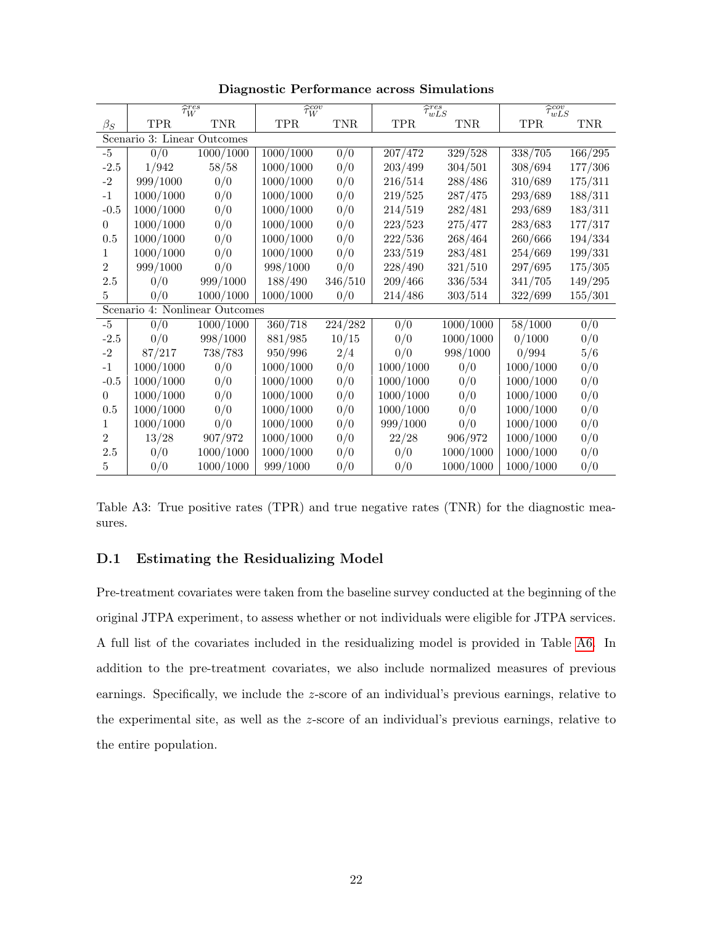|                | $\widehat{\tau}_{W}^{res}$     |           | $\widehat{\tau}_{W}^{cov}$ |            | $\overline{\hat{\tau}_{wLS}^{res}}$ |            | $\widehat{\tau}_{wLS}^{cov}$ |         |
|----------------|--------------------------------|-----------|----------------------------|------------|-------------------------------------|------------|------------------------------|---------|
| $\beta_S$      | TPR.                           | TNR.      | <b>TPR</b>                 | <b>TNR</b> | <b>TPR</b>                          | <b>TNR</b> | <b>TPR</b>                   | TNR.    |
|                | Scenario 3: Linear Outcomes    |           |                            |            |                                     |            |                              |         |
| $-5$           | 0/0                            | 1000/1000 | 1000/1000                  | 0/0        | 207/472                             | 329/528    | 338/705                      | 166/295 |
| $-2.5$         | 1/942                          | 58/58     | 1000/1000                  | 0/0        | 203/499                             | 304/501    | 308/694                      | 177/306 |
| $-2$           | 999/1000                       | 0/0       | 1000/1000                  | 0/0        | 216/514                             | 288/486    | 310/689                      | 175/311 |
| $-1$           | 1000/1000                      | 0/0       | 1000/1000                  | 0/0        | 219/525                             | 287/475    | 293/689                      | 188/311 |
| $-0.5$         | 1000/1000                      | 0/0       | 1000/1000                  | 0/0        | 214/519                             | 282/481    | 293/689                      | 183/311 |
| $\Omega$       | 1000/1000                      | 0/0       | 1000/1000                  | 0/0        | 223/523                             | 275/477    | 283/683                      | 177/317 |
| 0.5            | 1000/1000                      | 0/0       | 1000/1000                  | 0/0        | 222/536                             | 268/464    | 260/666                      | 194/334 |
| 1              | 1000/1000                      | 0/0       | 1000/1000                  | 0/0        | 233/519                             | 283/481    | 254/669                      | 199/331 |
| $\overline{2}$ | 999/1000                       | 0/0       | 998/1000                   | 0/0        | 228/490                             | 321/510    | 297/695                      | 175/305 |
| 2.5            | 0/0                            | 999/1000  | 188/490                    | 346/510    | 209/466                             | 336/534    | 341/705                      | 149/295 |
| $\overline{5}$ | 0/0                            | 1000/1000 | 1000/1000                  | 0/0        | 214/486                             | 303/514    | 322/699                      | 155/301 |
|                | Scenario 4: Nonlinear Outcomes |           |                            |            |                                     |            |                              |         |
| $-5$           | 0/0                            | 1000/1000 | 360/718                    | 224/282    | 0/0                                 | 1000/1000  | 58/1000                      | 0/0     |
| $-2.5$         | 0/0                            | 998/1000  | 881/985                    | 10/15      | 0/0                                 | 1000/1000  | 0/1000                       | 0/0     |
| $-2$           | 87/217                         | 738/783   | 950/996                    | 2/4        | 0/0                                 | 998/1000   | 0/994                        | 5/6     |
| $-1$           | 1000/1000                      | 0/0       | 1000/1000                  | 0/0        | 1000/1000                           | 0/0        | 1000/1000                    | 0/0     |
| $-0.5$         | 1000/1000                      | 0/0       | 1000/1000                  | 0/0        | 1000/1000                           | 0/0        | 1000/1000                    | 0/0     |
| $\Omega$       | 1000/1000                      | 0/0       | 1000/1000                  | 0/0        | 1000/1000                           | 0/0        | 1000/1000                    | 0/0     |
| 0.5            | 1000/1000                      | 0/0       | 1000/1000                  | 0/0        | 1000/1000                           | 0/0        | 1000/1000                    | 0/0     |
| 1              | 1000/1000                      | 0/0       | 1000/1000                  | 0/0        | 999/1000                            | 0/0        | 1000/1000                    | 0/0     |
| $\overline{2}$ | 13/28                          | 907/972   | 1000/1000                  | 0/0        | 22/28                               | 906/972    | 1000/1000                    | 0/0     |
| 2.5            | 0/0                            | 1000/1000 | 1000/1000                  | 0/0        | 0/0                                 | 1000/1000  | 1000/1000                    | 0/0     |
| 5              | 0/0                            | 1000/1000 | 999/1000                   | 0/0        | 0/0                                 | 1000/1000  | 1000/1000                    | 0/0     |

Diagnostic Performance across Simulations

Table A3: True positive rates (TPR) and true negative rates (TNR) for the diagnostic measures.

## D.1 Estimating the Residualizing Model

Pre-treatment covariates were taken from the baseline survey conducted at the beginning of the original JTPA experiment, to assess whether or not individuals were eligible for JTPA services. A full list of the covariates included in the residualizing model is provided in Table [A6.](#page-65-0) In addition to the pre-treatment covariates, we also include normalized measures of previous earnings. Specifically, we include the z-score of an individual's previous earnings, relative to the experimental site, as well as the z-score of an individual's previous earnings, relative to the entire population.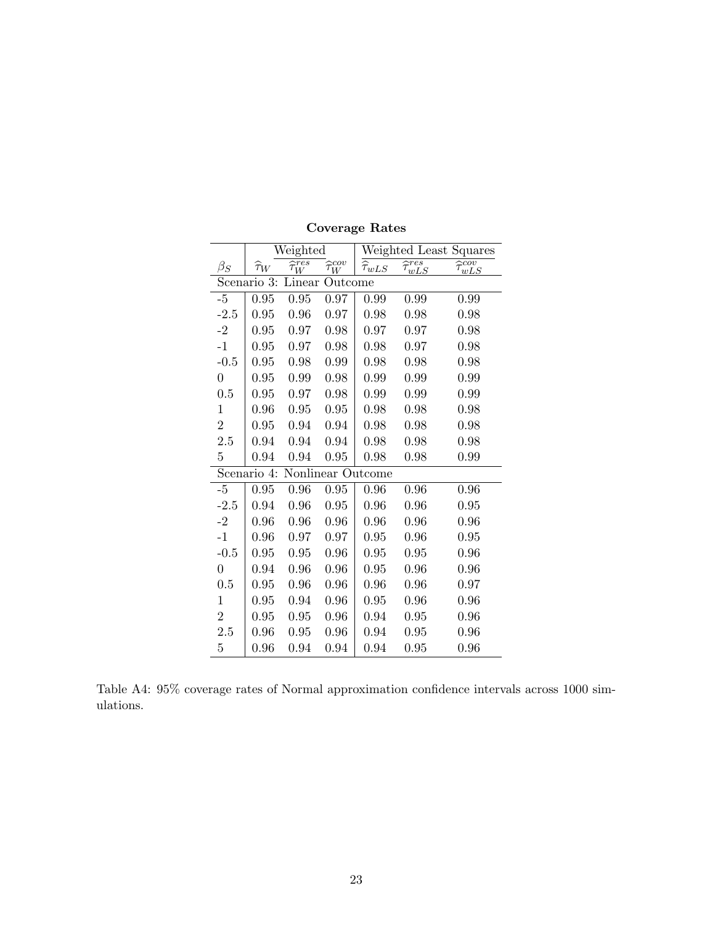|                |                    | Weighted                       |                          | Weighted Least Squares |                              |                              |  |  |
|----------------|--------------------|--------------------------------|--------------------------|------------------------|------------------------------|------------------------------|--|--|
| $\beta_S$      | $\widehat{\tau}_W$ | $\widehat{\tau}^{res}_{\cdot}$ | $\widehat{\tau}_W^{cov}$ | $\widehat{\tau}_{wLS}$ | $\widehat{\tau}_{wLS}^{res}$ | $\widehat{\tau}_{wLS}^{cov}$ |  |  |
|                | Scenario 3:        | Linear                         | Outcome                  |                        |                              |                              |  |  |
| $-5$           | 0.95               | 0.95                           | 0.97                     | 0.99                   | 0.99                         | 0.99                         |  |  |
| $-2.5$         | 0.95               | 0.96                           | 0.97                     | 0.98                   | 0.98                         | 0.98                         |  |  |
| $-2$           | 0.95               | 0.97                           | 0.98                     | 0.97                   | 0.97                         | 0.98                         |  |  |
| $-1$           | 0.95               | 0.97                           | 0.98                     | 0.98                   | 0.97                         | 0.98                         |  |  |
| $-0.5$         | 0.95               | 0.98                           | 0.99                     | 0.98                   | 0.98                         | 0.98                         |  |  |
| $\overline{0}$ | 0.95               | 0.99                           | 0.98                     | 0.99                   | 0.99                         | 0.99                         |  |  |
| 0.5            | 0.95               | 0.97                           | 0.98                     | 0.99                   | 0.99                         | 0.99                         |  |  |
| $\mathbf{1}$   | 0.96               | 0.95                           | 0.95                     | 0.98                   | 0.98                         | 0.98                         |  |  |
| $\overline{2}$ | 0.95               | 0.94                           | 0.94                     | 0.98                   | 0.98                         | 0.98                         |  |  |
| 2.5            | 0.94               | 0.94                           | 0.94                     | 0.98                   | 0.98                         | 0.98                         |  |  |
| 5              | 0.94               | 0.94                           | 0.95                     | 0.98                   | 0.98                         | 0.99                         |  |  |
|                | Scenario 4:        |                                |                          | Nonlinear Outcome      |                              |                              |  |  |
| $-5$           | $\rm 0.95$         | 0.96                           | 0.95                     | 0.96                   | 0.96                         | 0.96                         |  |  |
| $-2.5$         | 0.94               | 0.96                           | 0.95                     | 0.96                   | 0.96                         | 0.95                         |  |  |
| $-2$           | 0.96               | 0.96                           | 0.96                     | 0.96                   | 0.96                         | 0.96                         |  |  |
| $-1$           | 0.96               | 0.97                           | 0.97                     | 0.95                   | 0.96                         | 0.95                         |  |  |
| $-0.5$         | 0.95               | 0.95                           | 0.96                     | 0.95                   | 0.95                         | 0.96                         |  |  |
| $\overline{0}$ | 0.94               | 0.96                           | 0.96                     | 0.95                   | 0.96                         | 0.96                         |  |  |
| 0.5            | 0.95               | 0.96                           | 0.96                     | 0.96                   | 0.96                         | 0.97                         |  |  |
| 1              | 0.95               | 0.94                           | 0.96                     | 0.95                   | 0.96                         | 0.96                         |  |  |
| $\overline{2}$ | 0.95               | 0.95                           | 0.96                     | 0.94                   | 0.95                         | 0.96                         |  |  |
| 2.5            | 0.96               | 0.95                           | 0.96                     | 0.94                   | 0.95                         | 0.96                         |  |  |
| $\overline{5}$ | 0.96               | 0.94                           | 0.94                     | 0.94                   | 0.95                         | 0.96                         |  |  |

Coverage Rates

<span id="page-63-0"></span>Table A4: 95% coverage rates of Normal approximation confidence intervals across 1000 simulations.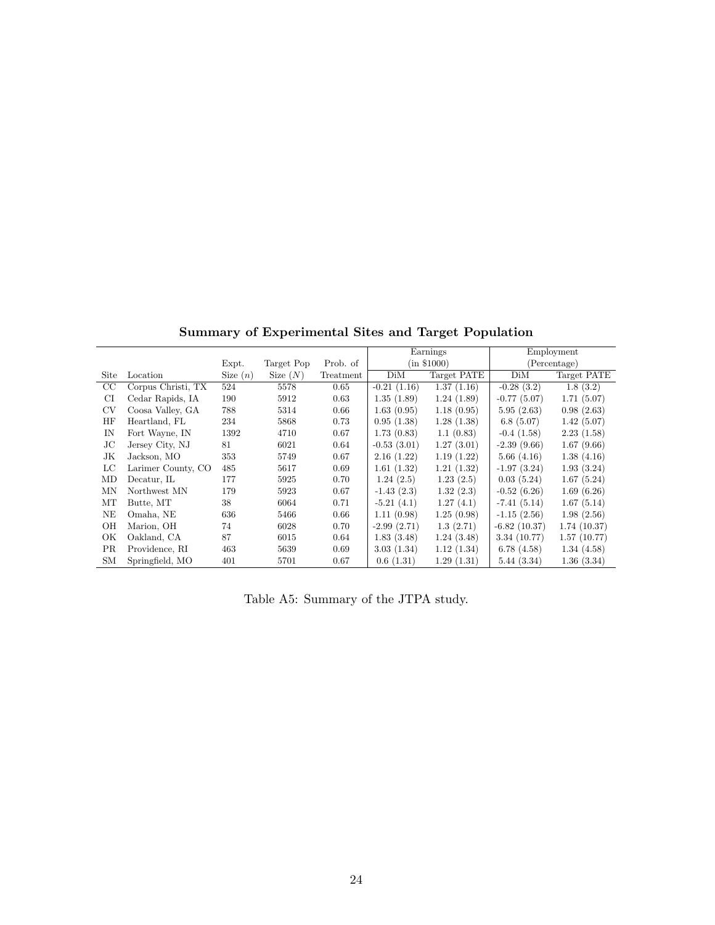|             |                    |            |            |           |               | Earnings    |                | Employment   |
|-------------|--------------------|------------|------------|-----------|---------------|-------------|----------------|--------------|
|             |                    | Expt.      | Target Pop | Prob. of  | (in \$1000)   |             |                | (Percentage) |
| Site        | Location           | Size $(n)$ | Size $(N)$ | Treatment | DiM           | Target PATE | DiM            | Target PATE  |
| $_{\rm CC}$ | Corpus Christi, TX | 524        | 5578       | 0.65      | $-0.21(1.16)$ | 1.37(1.16)  | $-0.28(3.2)$   | 1.8(3.2)     |
| CI          | Cedar Rapids, IA   | 190        | 5912       | 0.63      | 1.35(1.89)    | 1.24(1.89)  | $-0.77(5.07)$  | 1.71(5.07)   |
| <b>CV</b>   | Coosa Valley, GA   | 788        | 5314       | 0.66      | 1.63(0.95)    | 1.18(0.95)  | 5.95(2.63)     | 0.98(2.63)   |
| HF          | Heartland, FL      | 234        | 5868       | 0.73      | 0.95(1.38)    | 1.28(1.38)  | 6.8(5.07)      | 1.42(5.07)   |
| IN          | Fort Wayne, IN     | 1392       | 4710       | 0.67      | 1.73(0.83)    | 1.1(0.83)   | $-0.4(1.58)$   | 2.23(1.58)   |
| JС          | Jersey City, NJ    | 81         | 6021       | 0.64      | $-0.53(3.01)$ | 1.27(3.01)  | $-2.39(9.66)$  | 1.67(9.66)   |
| JK          | Jackson, MO        | 353        | 5749       | 0.67      | 2.16(1.22)    | 1.19(1.22)  | 5.66(4.16)     | 1.38(4.16)   |
| LC          | Larimer County, CO | 485        | 5617       | 0.69      | 1.61(1.32)    | 1.21(1.32)  | $-1.97(3.24)$  | 1.93(3.24)   |
| MD          | Decatur, IL        | 177        | 5925       | 0.70      | 1.24(2.5)     | 1.23(2.5)   | 0.03(5.24)     | 1.67(5.24)   |
| MN          | Northwest MN       | 179        | 5923       | 0.67      | $-1.43(2.3)$  | 1.32(2.3)   | $-0.52(6.26)$  | 1.69(6.26)   |
| MT          | Butte, MT          | 38         | 6064       | 0.71      | $-5.21(4.1)$  | 1.27(4.1)   | $-7.41(5.14)$  | 1.67(5.14)   |
| NE          | Omaha, NE          | 636        | 5466       | 0.66      | 1.11(0.98)    | 1.25(0.98)  | $-1.15(2.56)$  | 1.98(2.56)   |
| OН          | Marion, OH         | 74         | 6028       | 0.70      | $-2.99(2.71)$ | 1.3(2.71)   | $-6.82(10.37)$ | 1.74(10.37)  |
| ОK          | Oakland, CA        | 87         | 6015       | 0.64      | 1.83(3.48)    | 1.24(3.48)  | 3.34(10.77)    | 1.57(10.77)  |
| <b>PR</b>   | Providence, RI     | 463        | 5639       | 0.69      | 3.03(1.34)    | 1.12(1.34)  | 6.78(4.58)     | 1.34(4.58)   |
| SМ          | Springfield, MO    | 401        | 5701       | 0.67      | 0.6(1.31)     | 1.29(1.31)  | 5.44(3.34)     | 1.36(3.34)   |

Summary of Experimental Sites and Target Population

<span id="page-64-0"></span>Table A5: Summary of the JTPA study.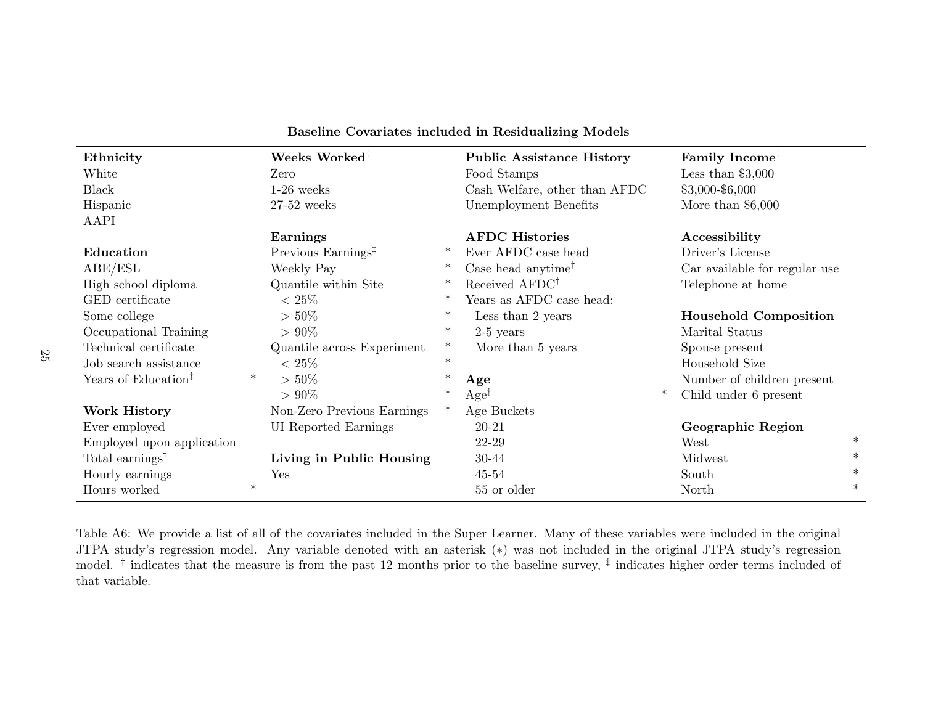| Ethnicity                       |        | Weeks Worked <sup>†</sup>      |        | <b>Public Assistance History</b>                  |        | Family Income <sup>†</sup>    |        |
|---------------------------------|--------|--------------------------------|--------|---------------------------------------------------|--------|-------------------------------|--------|
| White                           |        | Zero                           |        | Food Stamps                                       |        | Less than $$3,000$            |        |
| Black                           |        | $1-26$ weeks                   |        | Cash Welfare, other than AFDC                     |        | $$3,000 - $6,000$             |        |
| Hispanic                        |        | $27-52$ weeks                  |        | Unemployment Benefits                             |        | More than $$6,000$            |        |
| AAPI                            |        |                                |        |                                                   |        |                               |        |
|                                 |        | Earnings                       |        | <b>AFDC</b> Histories                             |        | Accessibility                 |        |
| Education                       |        | Previous Earnings <sup>‡</sup> | ∗      | Ever AFDC case head                               |        | Driver's License              |        |
| ABE/ESL                         |        | Weekly Pay                     | ∗      | Case head anytime <sup><math>\dagger</math></sup> |        | Car available for regular use |        |
| High school diploma             |        | Quantile within Site           | $\ast$ | Received AFDC <sup>†</sup>                        |        | Telephone at home             |        |
| GED certificate                 |        | $< 25\%$                       | $\ast$ | Years as AFDC case head:                          |        |                               |        |
| Some college                    |        | $> 50\%$                       | $\ast$ | Less than 2 years                                 |        | <b>Household Composition</b>  |        |
| Occupational Training           |        | $> 90\%$                       | $\ast$ | $2-5$ years                                       |        | Marital Status                |        |
| Technical certificate           |        | Quantile across Experiment     | $\ast$ | More than 5 years                                 |        | Spouse present                |        |
| Job search assistance           |        | $< 25\%$                       | $\ast$ |                                                   |        | Household Size                |        |
| Years of Education <sup>‡</sup> | $\ast$ | $> 50\%$                       | $\ast$ | Age                                               |        | Number of children present    |        |
|                                 |        | $> 90\%$                       | $\ast$ | $Age^{\ddagger}$                                  | $\ast$ | Child under 6 present         |        |
| Work History                    |        | Non-Zero Previous Earnings     |        | Age Buckets                                       |        |                               |        |
| Ever employed                   |        | UI Reported Earnings           |        | 20-21                                             |        | Geographic Region             |        |
| Employed upon application       |        |                                |        | 22-29                                             |        | West                          | $\ast$ |
| Total earnings <sup>†</sup>     |        | Living in Public Housing       |        | 30-44                                             |        | Midwest                       | $\ast$ |
| Hourly earnings                 |        | Yes                            |        | $45 - 54$                                         |        | South                         | $\ast$ |
| Hours worked                    | $\ast$ |                                |        | 55 or older                                       |        | North                         | $\ast$ |
|                                 |        |                                |        |                                                   |        |                               |        |

### <span id="page-65-0"></span>Baseline Covariates included in Residualizing Models

Table A6: We provide <sup>a</sup> list of all of the covariates included in the Super Learner. Many of these variables were included in the original JTPA study's regression model. Any variable denoted with an asterisk (∗) was not included in the original JTPA study's regressionmodel.<sup>†</sup> indicates that the measure is from the past 12 months prior to the baseline survey,<sup>‡</sup> indicates higher order terms included of that variable.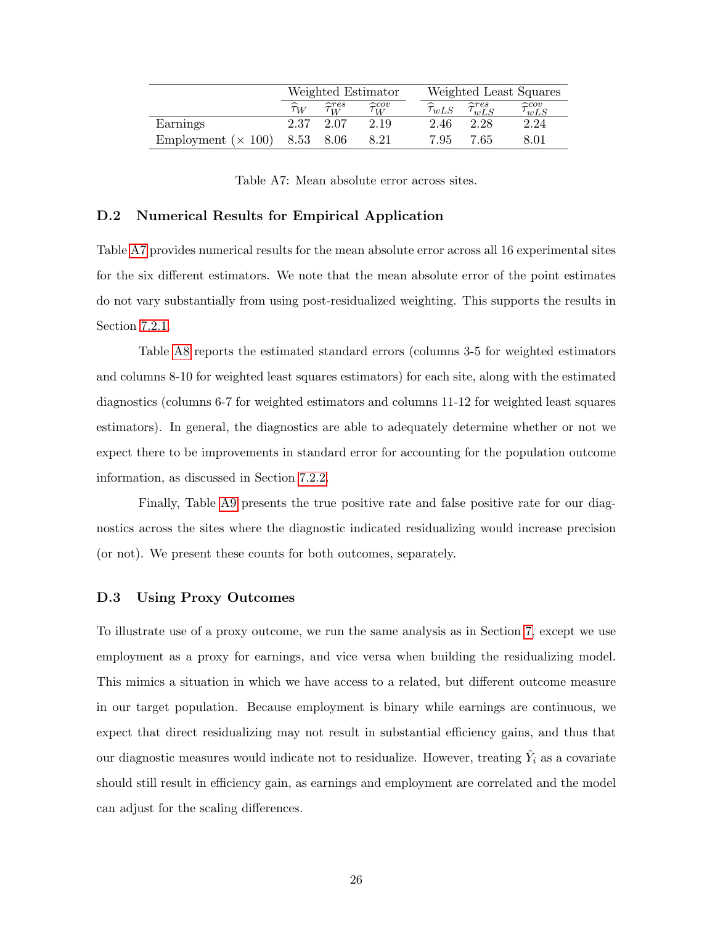|                            | Weighted Estimator |                            |                            |  |                        |                              | Weighted Least Squares       |
|----------------------------|--------------------|----------------------------|----------------------------|--|------------------------|------------------------------|------------------------------|
|                            | $\widehat{\tau}_W$ | $\widehat{\tau}_{W}^{res}$ | $\widehat{\tau}_{W}^{cov}$ |  | $\widehat{\tau}_{wLS}$ | $\widehat{\tau}_{wLS}^{res}$ | $\widehat{\tau}_{wLS}^{cov}$ |
| Earnings                   | 2.37               | 2.07                       | 2.19                       |  | 2.46                   | 2.28                         | 2.24                         |
| Employment ( $\times$ 100) | 8.53 8.06          |                            | 8.21                       |  | 7.95                   | 7.65                         | 8.01                         |

<span id="page-66-0"></span>Table A7: Mean absolute error across sites.

#### D.2 Numerical Results for Empirical Application

Table [A7](#page-66-0) provides numerical results for the mean absolute error across all 16 experimental sites for the six different estimators. We note that the mean absolute error of the point estimates do not vary substantially from using post-residualized weighting. This supports the results in Section [7.2.1.](#page-32-0)

Table [A8](#page-67-0) reports the estimated standard errors (columns 3-5 for weighted estimators and columns 8-10 for weighted least squares estimators) for each site, along with the estimated diagnostics (columns 6-7 for weighted estimators and columns 11-12 for weighted least squares estimators). In general, the diagnostics are able to adequately determine whether or not we expect there to be improvements in standard error for accounting for the population outcome information, as discussed in Section [7.2.2.](#page-32-1)

Finally, Table [A9](#page-68-0) presents the true positive rate and false positive rate for our diagnostics across the sites where the diagnostic indicated residualizing would increase precision (or not). We present these counts for both outcomes, separately.

#### D.3 Using Proxy Outcomes

To illustrate use of a proxy outcome, we run the same analysis as in Section [7,](#page-30-0) except we use employment as a proxy for earnings, and vice versa when building the residualizing model. This mimics a situation in which we have access to a related, but different outcome measure in our target population. Because employment is binary while earnings are continuous, we expect that direct residualizing may not result in substantial efficiency gains, and thus that our diagnostic measures would indicate not to residualize. However, treating  $\hat{Y}_i$  as a covariate should still result in efficiency gain, as earnings and employment are correlated and the model can adjust for the scaling differences.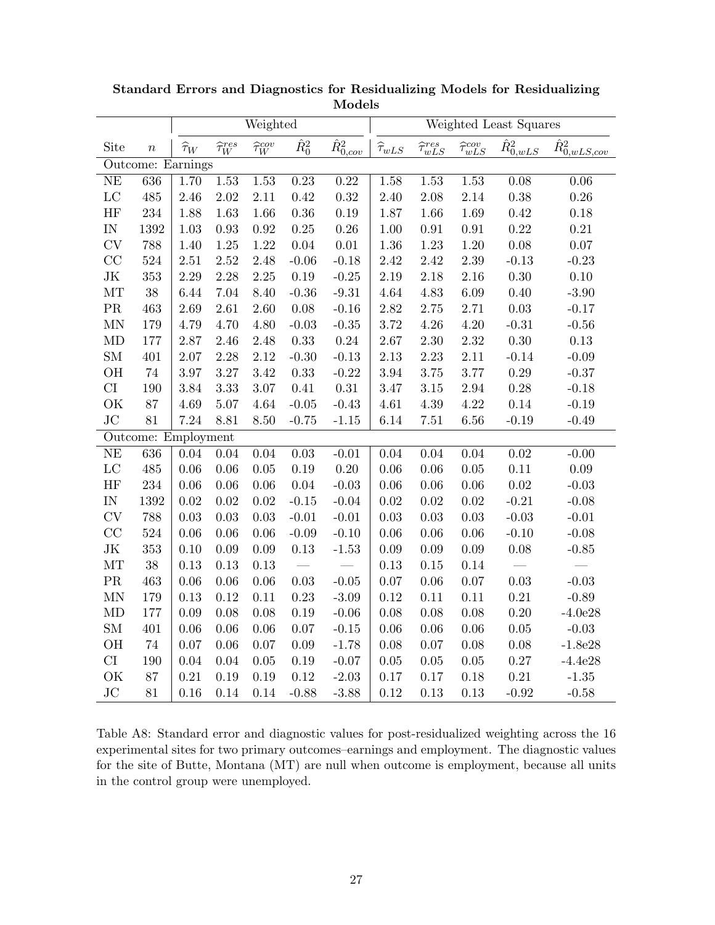|                            |                     |                    |                            | Weighted                 |               |                     | Weighted Least Squares             |                              |                              |                                        |                                     |  |
|----------------------------|---------------------|--------------------|----------------------------|--------------------------|---------------|---------------------|------------------------------------|------------------------------|------------------------------|----------------------------------------|-------------------------------------|--|
| Site                       | $\boldsymbol{n}$    | $\widehat{\tau}_W$ | $\widehat{\tau}_{W}^{res}$ | $\widehat{\tau}_W^{cov}$ | $\hat{R}_0^2$ | $\hat{R}_{0,cov}^2$ | $\widehat{\tau}_{w\underline{L}S}$ | $\widehat{\tau}_{wLS}^{res}$ | $\widehat{\tau}^{cov}_{wLS}$ | $\bar{\hat{R}^2_{\underline{0, wLS}}}$ | $\hat{R}^2_{\underline{0,wLS,cov}}$ |  |
|                            | Outcome: Earnings   |                    |                            |                          |               |                     |                                    |                              |                              |                                        |                                     |  |
| NE                         | 636                 | 1.70               | 1.53                       | 1.53                     | 0.23          | 0.22                | 1.58                               | 1.53                         | 1.53                         | 0.08                                   | 0.06                                |  |
| $_{\rm LC}$                | 485                 | 2.46               | $2.02\,$                   | $2.11\,$                 | 0.42          | 0.32                | 2.40                               | 2.08                         | $2.14\,$                     | $0.38\,$                               | $0.26\,$                            |  |
| HF                         | 234                 | 1.88               | 1.63                       | 1.66                     | $0.36\,$      | 0.19                | 1.87                               | 1.66                         | 1.69                         | $\rm 0.42$                             | $0.18\,$                            |  |
| $\mathop{\rm IN}\nolimits$ | 1392                | 1.03               | $\rm 0.93$                 | 0.92                     | $0.25\,$      | 0.26                | $1.00\,$                           | $0.91\,$                     | $\rm 0.91$                   | $0.22\,$                               | $0.21\,$                            |  |
| <b>CV</b>                  | 788                 | 1.40               | $1.25\,$                   | 1.22                     | $0.04\,$      | $0.01\,$            | 1.36                               | 1.23                         | $1.20\,$                     | $0.08\,$                               | $0.07\,$                            |  |
| CC                         | 524                 | 2.51               | $2.52\,$                   | 2.48                     | $-0.06$       | $-0.18$             | 2.42                               | 2.42                         | 2.39                         | $-0.13$                                | $-0.23$                             |  |
| $\rm JK$                   | 353                 | 2.29               | 2.28                       | 2.25                     | $0.19\,$      | $\text{-}0.25$      | 2.19                               | 2.18                         | 2.16                         | $0.30\,$                               | $0.10\,$                            |  |
| MT                         | 38                  | 6.44               | 7.04                       | 8.40                     | $-0.36$       | $-9.31$             | 4.64                               | 4.83                         | $6.09\,$                     | $0.40\,$                               | $-3.90$                             |  |
| $\rm PR$                   | 463                 | 2.69               | $2.61\,$                   | 2.60                     | $0.08\,$      | $-0.16$             | $2.82\,$                           | $2.75\,$                     | $2.71\,$                     | $0.03\,$                               | $-0.17$                             |  |
| $\mbox{MN}$                | 179                 | 4.79               | 4.70                       | 4.80                     | $-0.03$       | $-0.35$             | 3.72                               | 4.26                         | $4.20\,$                     | $-0.31$                                | $-0.56$                             |  |
| $\mbox{MD}$                | 177                 | 2.87               | 2.46                       | 2.48                     | 0.33          | $0.24\,$            | $2.67\,$                           | $2.30\,$                     | 2.32                         | $0.30\,$                               | $0.13\,$                            |  |
| ${\rm SM}$                 | 401                 | $2.07\,$           | 2.28                       | 2.12                     | $-0.30$       | $-0.13$             | $2.13\,$                           | 2.23                         | $2.11\,$                     | $-0.14$                                | $-0.09$                             |  |
| OH                         | $74\,$              | 3.97               | $3.27\,$                   | 3.42                     | 0.33          | $-0.22$             | 3.94                               | 3.75                         | 3.77                         | $0.29\,$                               | $-0.37$                             |  |
| CI                         | 190                 | 3.84               | 3.33                       | 3.07                     | 0.41          | 0.31                | 3.47                               | 3.15                         | 2.94                         | 0.28                                   | $-0.18$                             |  |
| OK                         | 87                  | 4.69               | $5.07\,$                   | 4.64                     | $-0.05$       | $-0.43$             | 4.61                               | $4.39\,$                     | 4.22                         | $0.14\,$                               | $-0.19$                             |  |
| JC                         | 81                  | 7.24               | 8.81                       | $8.50\,$                 | $-0.75$       | $-1.15$             | 6.14                               | $7.51\,$                     | $6.56\,$                     | $-0.19$                                | $-0.49$                             |  |
|                            | Outcome: Employment |                    |                            |                          |               |                     |                                    |                              |                              |                                        |                                     |  |
| NE                         | 636                 | 0.04               | 0.04                       | 0.04                     | $0.03\,$      | $-0.01$             | $0.04\,$                           | 0.04                         | $0.04\,$                     | $0.02\,$                               | $-0.00$                             |  |
| $_{\rm LC}$                | 485                 | 0.06               | 0.06                       | 0.05                     | 0.19          | 0.20                | $0.06\,$                           | 0.06                         | $0.05\,$                     | $0.11\,$                               | $0.09\,$                            |  |
| HF                         | 234                 | 0.06               | 0.06                       | 0.06                     | $0.04\,$      | $-0.03$             | $0.06\,$                           | $0.06\,$                     | $0.06\,$                     | $0.02\,$                               | $-0.03$                             |  |
| $\mathop{\rm IN}\nolimits$ | 1392                | 0.02               | $0.02\,$                   | 0.02                     | $-0.15$       | $-0.04$             | $0.02\,$                           | $0.02\,$                     | $0.02\,$                     | $-0.21$                                | $-0.08$                             |  |
| CV                         | 788                 | 0.03               | $0.03\,$                   | 0.03                     | $-0.01$       | $-0.01$             | $0.03\,$                           | 0.03                         | $0.03\,$                     | $-0.03$                                | $-0.01$                             |  |
| CC                         | 524                 | 0.06               | 0.06                       | 0.06                     | $-0.09$       | $-0.10$             | $0.06\,$                           | $0.06\,$                     | $0.06\,$                     | $-0.10$                                | $-0.08$                             |  |
| $\rm JK$                   | 353                 | 0.10               | $0.09\,$                   | 0.09                     | $0.13\,$      | $-1.53$             | $0.09\,$                           | $0.09\,$                     | $0.09\,$                     | $0.08\,$                               | $-0.85$                             |  |
| MT                         | $38\,$              | 0.13               | 0.13                       | $0.13\,$                 |               |                     | $0.13\,$                           | $0.15\,$                     | 0.14                         |                                        |                                     |  |
| $\rm PR$                   | 463                 | $0.06\,$           | $0.06\,$                   | 0.06                     | $0.03\,$      | $-0.05$             | $0.07\,$                           | $0.06\,$                     | $0.07\,$                     | $\rm 0.03$                             | $-0.03$                             |  |
| $\mbox{MN}$                | 179                 | 0.13               | 0.12                       | 0.11                     | 0.23          | $-3.09$             | $0.12\,$                           | 0.11                         | 0.11                         | 0.21                                   | $-0.89$                             |  |
| MD                         | 177                 | 0.09               | 0.08                       | 0.08                     | $0.19\,$      | $-0.06$             | 0.08                               | 0.08                         | $0.08\,$                     | $0.20\,$                               | $-4.0e28$                           |  |
| ${\rm SM}$                 | 401                 | 0.06               | 0.06                       | 0.06                     | 0.07          | $-0.15$             | $0.06\,$                           | 0.06                         | $0.06\,$                     | $0.05\,$                               | $-0.03$                             |  |
| OH                         | 74                  | $0.07\,$           | $0.06\,$                   | 0.07                     | $0.09\,$      | $-1.78$             | $0.08\,$                           | $0.07\,$                     | $0.08\,$                     | $0.08\,$                               | $-1.8e28$                           |  |
| CI                         | 190                 | 0.04               | 0.04                       | 0.05                     | 0.19          | $-0.07$             | 0.05                               | 0.05                         | $0.05\,$                     | $0.27\,$                               | $-4.4e28$                           |  |
| OK                         | 87                  | 0.21               | 0.19                       | 0.19                     | 0.12          | $-2.03$             | 0.17                               | 0.17                         | $0.18\,$                     | 0.21                                   | $-1.35$                             |  |
| JC                         | 81                  | 0.16               | 0.14                       | 0.14                     | $-0.88$       | $-3.88$             | 0.12                               | 0.13                         | 0.13                         | $-0.92$                                | $-0.58$                             |  |

Standard Errors and Diagnostics for Residualizing Models for Residualizing Models

<span id="page-67-0"></span>Table A8: Standard error and diagnostic values for post-residualized weighting across the 16 experimental sites for two primary outcomes–earnings and employment. The diagnostic values for the site of Butte, Montana (MT) are null when outcome is employment, because all units in the control group were unemployed.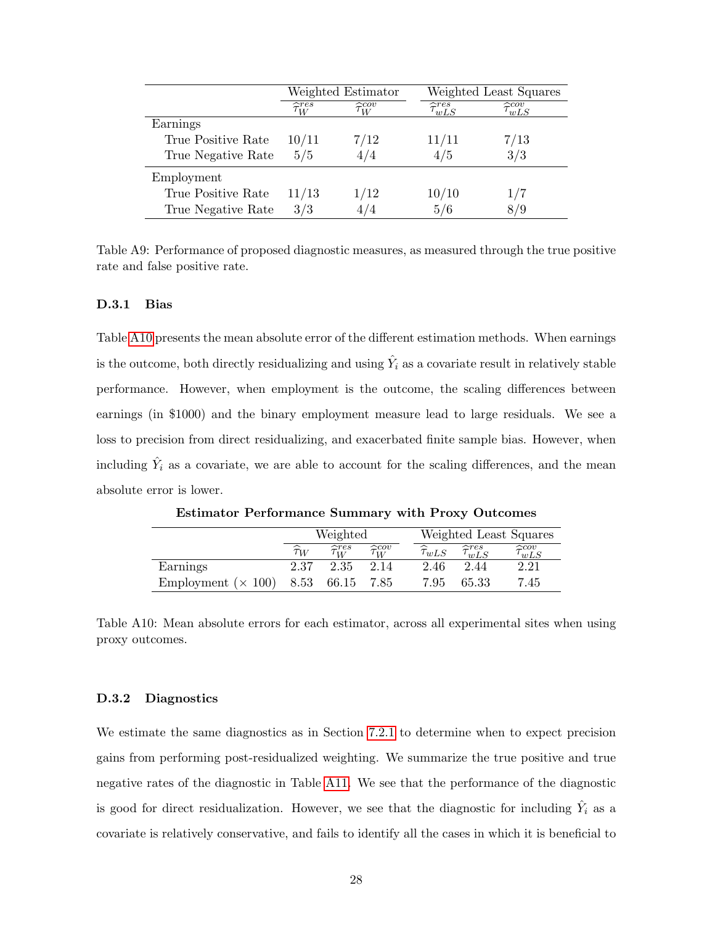|                    |                            | Weighted Estimator |                              | Weighted Least Squares       |
|--------------------|----------------------------|--------------------|------------------------------|------------------------------|
|                    | $\widehat{\tau}_{W}^{res}$ | $\approx cov$<br>W | $\widehat{\tau}_{wLS}^{res}$ | $\widehat{\tau_{wLS}^{cov}}$ |
| Earnings           |                            |                    |                              |                              |
| True Positive Rate | 10/11                      | 7/12               | 11/11                        | 7/13                         |
| True Negative Rate | 5/5                        | 474                | 4/5                          | 3/3                          |
| Employment         |                            |                    |                              |                              |
| True Positive Rate | 11/13                      | 1/12               | 10/10                        | 1/7                          |
| True Negative Rate | 3/3                        |                    | 5/6                          | 879                          |

<span id="page-68-0"></span>Table A9: Performance of proposed diagnostic measures, as measured through the true positive rate and false positive rate.

#### D.3.1 Bias

Table [A10](#page-68-1) presents the mean absolute error of the different estimation methods. When earnings is the outcome, both directly residualizing and using  $\hat{Y}_i$  as a covariate result in relatively stable performance. However, when employment is the outcome, the scaling differences between earnings (in \$1000) and the binary employment measure lead to large residuals. We see a loss to precision from direct residualizing, and exacerbated finite sample bias. However, when including  $\hat{Y}_i$  as a covariate, we are able to account for the scaling differences, and the mean absolute error is lower.

|                            | Weighted           |                            |                            |  |                        |                              | Weighted Least Squares       |
|----------------------------|--------------------|----------------------------|----------------------------|--|------------------------|------------------------------|------------------------------|
|                            | $\widehat{\tau}_W$ | $\widehat{\tau}_{W}^{res}$ | $\widehat{\tau}_{W}^{cov}$ |  | $\widehat{\tau}_{wLS}$ | $\widehat{\tau}_{wLS}^{res}$ | $\widehat{\tau}_{wLS}^{cov}$ |
| Earnings                   | 2.37               | 2.35                       | 2.14                       |  | 2.46                   | 2.44                         | 2.21                         |
| Employment ( $\times$ 100) |                    | 8.53 66.15 7.85            |                            |  | 7.95                   | 65.33                        | 7.45                         |

Estimator Performance Summary with Proxy Outcomes

<span id="page-68-1"></span>Table A10: Mean absolute errors for each estimator, across all experimental sites when using proxy outcomes.

#### D.3.2 Diagnostics

We estimate the same diagnostics as in Section [7.2.1](#page-32-0) to determine when to expect precision gains from performing post-residualized weighting. We summarize the true positive and true negative rates of the diagnostic in Table [A11.](#page-69-0) We see that the performance of the diagnostic is good for direct residualization. However, we see that the diagnostic for including  $\hat{Y}_i$  as a covariate is relatively conservative, and fails to identify all the cases in which it is beneficial to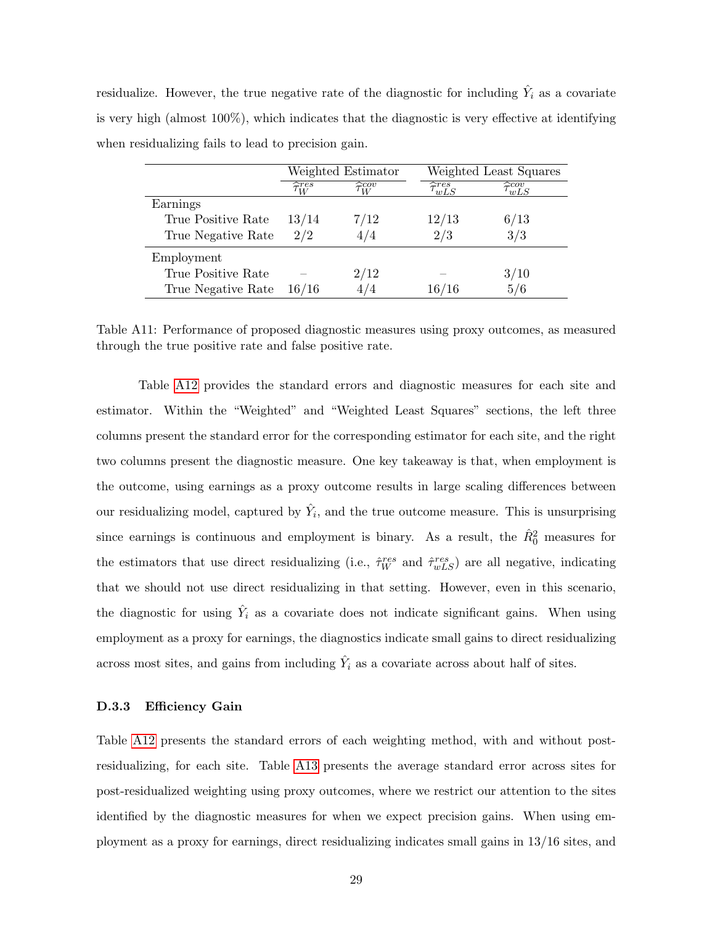| residualize. However, the true negative rate of the diagnostic for including $Y_i$ as a covariate    |
|------------------------------------------------------------------------------------------------------|
| is very high (almost $100\%$ ), which indicates that the diagnostic is very effective at identifying |
| when residualizing fails to lead to precision gain.                                                  |

|                    |                            | Weighted Estimator         | Weighted Least Squares      |                                |  |  |
|--------------------|----------------------------|----------------------------|-----------------------------|--------------------------------|--|--|
|                    | $\widehat{\tau}_{W}^{res}$ | $\widehat{\tau}_{W}^{cov}$ | $\widehat{\tau}$ res<br>wLS | $\widetilde{\tau_{wLS}^{cov}}$ |  |  |
| Earnings           |                            |                            |                             |                                |  |  |
| True Positive Rate | 13/14                      | 7/12                       | 12/13                       | 6/13                           |  |  |
| True Negative Rate | 2/2                        | 4/4                        | 2/3                         | 3/3                            |  |  |
| Employment         |                            |                            |                             |                                |  |  |
| True Positive Rate |                            | 2/12                       |                             | 3/10                           |  |  |
| True Negative Rate | 16/16                      | 474                        | 16/16                       | 5/6                            |  |  |

<span id="page-69-0"></span>Table A11: Performance of proposed diagnostic measures using proxy outcomes, as measured through the true positive rate and false positive rate.

Table [A12](#page-70-0) provides the standard errors and diagnostic measures for each site and estimator. Within the "Weighted" and "Weighted Least Squares" sections, the left three columns present the standard error for the corresponding estimator for each site, and the right two columns present the diagnostic measure. One key takeaway is that, when employment is the outcome, using earnings as a proxy outcome results in large scaling differences between our residualizing model, captured by  $\hat{Y}_i$ , and the true outcome measure. This is unsurprising since earnings is continuous and employment is binary. As a result, the  $\hat{R}_0^2$  measures for the estimators that use direct residualizing (i.e.,  $\hat{\tau}_{W}^{res}$  and  $\hat{\tau}_{wLS}^{res}$ ) are all negative, indicating that we should not use direct residualizing in that setting. However, even in this scenario, the diagnostic for using  $\hat{Y}_i$  as a covariate does not indicate significant gains. When using employment as a proxy for earnings, the diagnostics indicate small gains to direct residualizing across most sites, and gains from including  $\hat{Y}_i$  as a covariate across about half of sites.

#### D.3.3 Efficiency Gain

Table [A12](#page-70-0) presents the standard errors of each weighting method, with and without postresidualizing, for each site. Table [A13](#page-72-4) presents the average standard error across sites for post-residualized weighting using proxy outcomes, where we restrict our attention to the sites identified by the diagnostic measures for when we expect precision gains. When using employment as a proxy for earnings, direct residualizing indicates small gains in 13/16 sites, and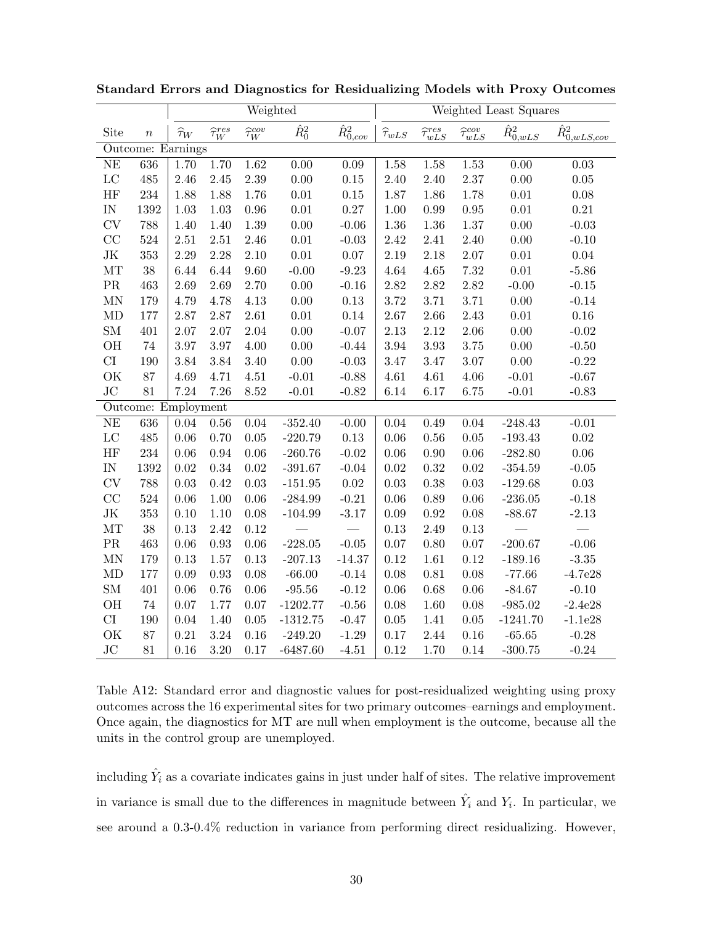|                          |                  | Weighted           |                            |                          |               |                     | Weighted Least Squares |                              |                              |                            |                                       |  |
|--------------------------|------------------|--------------------|----------------------------|--------------------------|---------------|---------------------|------------------------|------------------------------|------------------------------|----------------------------|---------------------------------------|--|
| Site                     | $\boldsymbol{n}$ | $\widehat{\tau}_W$ | $\widehat{\tau}_{W}^{res}$ | $\widehat{\tau}_W^{cov}$ | $\hat{R}_0^2$ | $\hat{R}_{0,cov}^2$ | $\widehat{\tau}_{wLS}$ | $\widehat{\tau}_{wLS}^{res}$ | $\widehat{\tau}^{cov}_{wLS}$ | $\bar{\hat{R}^2_{0, wLS}}$ | $\hat{R}^2_{\underline{0, wLS, cov}}$ |  |
| Outcome: Earnings        |                  |                    |                            |                          |               |                     |                        |                              |                              |                            |                                       |  |
| $\rm NE$                 | 636              | 1.70               | 1.70                       | $1.62\,$                 | 0.00          | 0.09                | 1.58                   | 1.58                         | 1.53                         | 0.00                       | 0.03                                  |  |
| $_{\rm LC}$              | 485              | 2.46               | $2.45\,$                   | $2.39\,$                 | $0.00\,$      | $0.15\,$            | 2.40                   | 2.40                         | 2.37                         | 0.00                       | $0.05\,$                              |  |
| HF                       | 234              | 1.88               | 1.88                       | 1.76                     | $0.01\,$      | $0.15\,$            | 1.87                   | 1.86                         | 1.78                         | $0.01\,$                   | $0.08\,$                              |  |
| $\ensuremath{\text{IN}}$ | 1392             | $1.03\,$           | $1.03\,$                   | $\rm 0.96$               | $0.01\,$      | $0.27\,$            | $1.00\,$               | 0.99                         | $0.95\,$                     | $0.01\,$                   | $0.21\,$                              |  |
| <b>CV</b>                | 788              | 1.40               | 1.40                       | $1.39\,$                 | $0.00\,$      | $-0.06$             | 1.36                   | 1.36                         | $1.37\,$                     | 0.00                       | $-0.03$                               |  |
| CC                       | 524              | $2.51\,$           | $2.51\,$                   | 2.46                     | 0.01          | $-0.03$             | 2.42                   | 2.41                         | 2.40                         | 0.00                       | $-0.10$                               |  |
| $\rm JK$                 | 353              | 2.29               | 2.28                       | $2.10\,$                 | $0.01\,$      | $0.07\,$            | 2.19                   | 2.18                         | $2.07\,$                     | $0.01\,$                   | $0.04\,$                              |  |
| MT                       | 38               | 6.44               | 6.44                       | 9.60                     | $-0.00$       | $-9.23$             | 4.64                   | 4.65                         | 7.32                         | $0.01\,$                   | $-5.86$                               |  |
| $\rm PR$                 | 463              | 2.69               | 2.69                       | 2.70                     | $0.00\,$      | $-0.16$             | 2.82                   | $2.82\,$                     | 2.82                         | $-0.00$                    | $-0.15$                               |  |
| MN                       | 179              | 4.79               | 4.78                       | 4.13                     | $0.00\,$      | $0.13\,$            | 3.72                   | 3.71                         | 3.71                         | 0.00                       | $-0.14$                               |  |
| MD                       | 177              | $2.87\,$           | 2.87                       | $2.61\,$                 | $0.01\,$      | $0.14\,$            | $2.67\,$               | 2.66                         | $2.43\,$                     | $0.01\,$                   | $0.16\,$                              |  |
| ${\rm SM}$               | 401              | $2.07\,$           | 2.07                       | 2.04                     | $0.00\,$      | $-0.07$             | $2.13\,$               | 2.12                         | $2.06\,$                     | $0.00\,$                   | $-0.02$                               |  |
| OH                       | $74\,$           | $3.97\,$           | $3.97\,$                   | $4.00\,$                 | $0.00\,$      | $-0.44$             | $3.94\,$               | $3.93\,$                     | $3.75\,$                     | $0.00\,$                   | $-0.50$                               |  |
| $\mathop{\rm CI}$        | 190              | $3.84\,$           | 3.84                       | $3.40\,$                 | $0.00\,$      | $-0.03$             | 3.47                   | 3.47                         | $3.07\,$                     | $0.00\,$                   | $-0.22$                               |  |
| OK                       | 87               | 4.69               | 4.71                       | $4.51\,$                 | $-0.01$       | $-0.88$             | $4.61\,$               | 4.61                         | $4.06\,$                     | $-0.01$                    | $-0.67$                               |  |
| JC                       | 81               | 7.24               | 7.26                       | $8.52\,$                 | $-0.01$       | $-0.82$             | 6.14                   | 6.17                         | 6.75                         | $-0.01$                    | $-0.83$                               |  |
| Outcome: Employment      |                  |                    |                            |                          |               |                     |                        |                              |                              |                            |                                       |  |
| NE                       | 636              | 0.04               | $0.56\,$                   | 0.04                     | $-352.40$     | $-0.00$             | 0.04                   | 0.49                         | $0.04\,$                     | $-248.43$                  | $-0.01$                               |  |
| $\rm LC$                 | 485              | $0.06\,$           | 0.70                       | $0.05\,$                 | $-220.79$     | $0.13\,$            | $0.06\,$               | 0.56                         | $0.05\,$                     | $-193.43$                  | $0.02\,$                              |  |
| HF                       | 234              | $0.06\,$           | 0.94                       | $0.06\,$                 | $-260.76$     | $-0.02$             | $0.06\,$               | $0.90\,$                     | $0.06\,$                     | $-282.80$                  | $0.06\,$                              |  |
| $\ensuremath{\text{IN}}$ | 1392             | $0.02\,$           | 0.34                       | $0.02\,$                 | $-391.67$     | $-0.04$             | $0.02\,$               | 0.32                         | $0.02\,$                     | $-354.59$                  | $-0.05$                               |  |
| CV                       | 788              | $0.03\,$           | 0.42                       | $\rm 0.03$               | $-151.95$     | $0.02\,$            | $0.03\,$               | 0.38                         | $0.03\,$                     | $-129.68$                  | $0.03\,$                              |  |
| CC                       | 524              | $0.06\,$           | $1.00\,$                   | $0.06\,$                 | $-284.99$     | $-0.21$             | $0.06\,$               | 0.89                         | $0.06\,$                     | $-236.05$                  | $-0.18$                               |  |
| $\rm JK$                 | 353              | 0.10               | 1.10                       | $0.08\,$                 | $-104.99$     | $-3.17$             | $0.09\,$               | $\rm 0.92$                   | 0.08                         | $-88.67$                   | $-2.13$                               |  |
| MT                       | 38               | 0.13               | 2.42                       | 0.12                     |               |                     | 0.13                   | 2.49                         | $0.13\,$                     |                            |                                       |  |
| $\rm PR$                 | 463              | $0.06\,$           | $\rm 0.93$                 | $0.06\,$                 | $-228.05$     | $-0.05$             | $0.07\,$               | 0.80                         | $0.07\,$                     | $-200.67$                  | $-0.06$                               |  |
| $\mbox{MN}$              | 179              | 0.13               | $1.57\,$                   | $0.13\,$                 | $-207.13$     | $-14.37$            | $0.12\,$               | 1.61                         | $0.12\,$                     | $-189.16$                  | $\textbf{-3.35}$                      |  |
| MD                       | 177              | 0.09               | 0.93                       | $0.08\,$                 | $-66.00$      | $-0.14$             | 0.08                   | $\rm 0.81$                   | 0.08                         | $-77.66$                   | $-4.7e28$                             |  |
| ${\rm SM}$               | 401              | $0.06\,$           | 0.76                       | $0.06\,$                 | $-95.56$      | $-0.12$             | $0.06\,$               | 0.68                         | $0.06\,$                     | $-84.67$                   | $-0.10$                               |  |
| OH                       | $74\,$           | $0.07\,$           | 1.77                       | $0.07\,$                 | $-1202.77$    | $-0.56$             | 0.08                   | 1.60                         | $0.08\,$                     | $-985.02$                  | $-2.4e28$                             |  |
| $\mathop{\rm CI}$        | 190              | $0.04\,$           | 1.40                       | $0.05\,$                 | $-1312.75$    | $-0.47$             | $0.05\,$               | 1.41                         | $0.05\,$                     | $-1241.70$                 | $-1.1e28$                             |  |
| OK                       | 87               | 0.21               | $3.24\,$                   | 0.16                     | $-249.20$     | $-1.29$             | 0.17                   | 2.44                         | $0.16\,$                     | $-65.65$                   | $-0.28$                               |  |
| JC                       | 81               | 0.16               | 3.20                       | 0.17                     | $-6487.60$    | $-4.51$             | $0.12\,$               | 1.70                         | 0.14                         | $-300.75$                  | $-0.24$                               |  |

Standard Errors and Diagnostics for Residualizing Models with Proxy Outcomes

<span id="page-70-0"></span>Table A12: Standard error and diagnostic values for post-residualized weighting using proxy outcomes across the 16 experimental sites for two primary outcomes–earnings and employment. Once again, the diagnostics for MT are null when employment is the outcome, because all the units in the control group are unemployed.

including  $\hat{Y}_i$  as a covariate indicates gains in just under half of sites. The relative improvement in variance is small due to the differences in magnitude between  $\hat{Y}_i$  and  $Y_i$ . In particular, we see around a 0.3-0.4% reduction in variance from performing direct residualizing. However,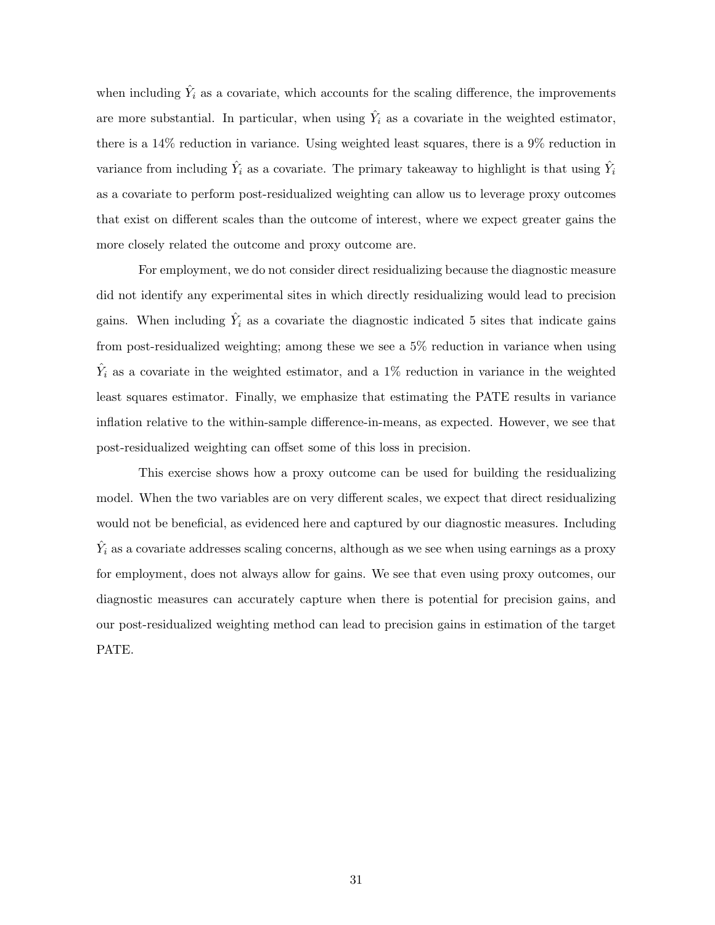when including  $\hat{Y}_i$  as a covariate, which accounts for the scaling difference, the improvements are more substantial. In particular, when using  $\hat{Y}_i$  as a covariate in the weighted estimator, there is a 14% reduction in variance. Using weighted least squares, there is a 9% reduction in variance from including  $\hat{Y}_i$  as a covariate. The primary takeaway to highlight is that using  $\hat{Y}_i$ as a covariate to perform post-residualized weighting can allow us to leverage proxy outcomes that exist on different scales than the outcome of interest, where we expect greater gains the more closely related the outcome and proxy outcome are.

For employment, we do not consider direct residualizing because the diagnostic measure did not identify any experimental sites in which directly residualizing would lead to precision gains. When including  $\hat{Y}_i$  as a covariate the diagnostic indicated 5 sites that indicate gains from post-residualized weighting; among these we see a 5% reduction in variance when using  $\hat{Y}_i$  as a covariate in the weighted estimator, and a 1% reduction in variance in the weighted least squares estimator. Finally, we emphasize that estimating the PATE results in variance inflation relative to the within-sample difference-in-means, as expected. However, we see that post-residualized weighting can offset some of this loss in precision.

This exercise shows how a proxy outcome can be used for building the residualizing model. When the two variables are on very different scales, we expect that direct residualizing would not be beneficial, as evidenced here and captured by our diagnostic measures. Including  $\hat{Y}_i$  as a covariate addresses scaling concerns, although as we see when using earnings as a proxy for employment, does not always allow for gains. We see that even using proxy outcomes, our diagnostic measures can accurately capture when there is potential for precision gains, and our post-residualized weighting method can lead to precision gains in estimation of the target PATE.